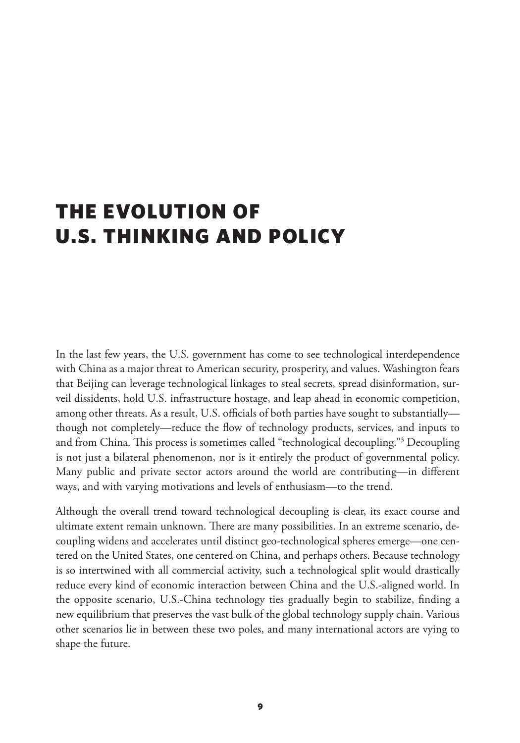# <span id="page-0-0"></span>THE EVOLUTION OF U.S. THINKING AND POLICY

In the last few years, the U.S. government has come to see technological interdependence with China as a major threat to American security, prosperity, and values. Washington fears that Beijing can leverage technological linkages to steal secrets, spread disinformation, surveil dissidents, hold U.S. infrastructure hostage, and leap ahead in economic competition, among other threats. As a result, U.S. officials of both parties have sought to substantially though not completely—reduce the flow of technology products, services, and inputs to and from China. This process is sometimes called "technological decoupling.["3](#page-26-0) Decoupling is not just a bilateral phenomenon, nor is it entirely the product of governmental policy. Many public and private sector actors around the world are contributing—in different ways, and with varying motivations and levels of enthusiasm—to the trend.

Although the overall trend toward technological decoupling is clear, its exact course and ultimate extent remain unknown. There are many possibilities. In an extreme scenario, decoupling widens and accelerates until distinct geo-technological spheres emerge—one centered on the United States, one centered on China, and perhaps others. Because technology is so intertwined with all commercial activity, such a technological split would drastically reduce every kind of economic interaction between China and the U.S.-aligned world. In the opposite scenario, U.S.-China technology ties gradually begin to stabilize, finding a new equilibrium that preserves the vast bulk of the global technology supply chain. Various other scenarios lie in between these two poles, and many international actors are vying to shape the future.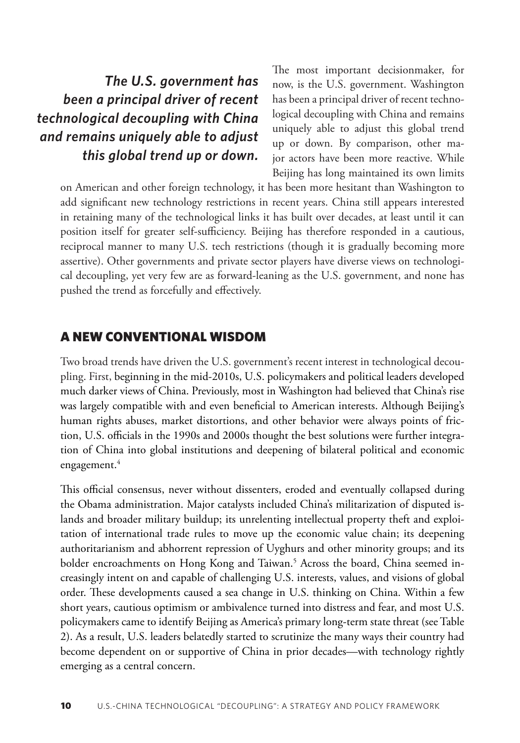<span id="page-1-0"></span>*The U.S. government has been a principal driver of recent technological decoupling with China and remains uniquely able to adjust this global trend up or down.*

The most important decisionmaker, for now, is the U.S. government. Washington has been a principal driver of recent technological decoupling with China and remains uniquely able to adjust this global trend up or down. By comparison, other major actors have been more reactive. While Beijing has long maintained its own limits

on American and other foreign technology, it has been more hesitant than Washington to add significant new technology restrictions in recent years. China still appears interested in retaining many of the technological links it has built over decades, at least until it can position itself for greater self-sufficiency. Beijing has therefore responded in a cautious, reciprocal manner to many U.S. tech restrictions (though it is gradually becoming more assertive). Other governments and private sector players have diverse views on technological decoupling, yet very few are as forward-leaning as the U.S. government, and none has pushed the trend as forcefully and effectively.

#### A NEW CONVENTIONAL WISDOM

Two broad trends have driven the U.S. government's recent interest in technological decoupling. First, beginning in the mid-2010s, U.S. policymakers and political leaders developed much darker views of China. Previously, most in Washington had believed that China's rise was largely compatible with and even beneficial to American interests. Although Beijing's human rights abuses, market distortions, and other behavior were always points of friction, U.S. officials in the 1990s and 2000s thought the best solutions were further integration of China into global institutions and deepening of bilateral political and economic engagement.<sup>4</sup>

This official consensus, never without dissenters, eroded and eventually collapsed during the Obama administration. Major catalysts included China's militarization of disputed islands and broader military buildup; its unrelenting intellectual property theft and exploitation of international trade rules to move up the economic value chain; its deepening authoritarianism and abhorrent repression of Uyghurs and other minority groups; and its bolder encroachments on Hong Kong and Taiwan.<sup>5</sup> Across the board, China seemed increasingly intent on and capable of challenging U.S. interests, values, and visions of global order. These developments caused a sea change in U.S. thinking on China. Within a few short years, cautious optimism or ambivalence turned into distress and fear, and most U.S. policymakers came to identify Beijing as America's primary long-term state threat (see Table 2). As a result, U.S. leaders belatedly started to scrutinize the many ways their country had become dependent on or supportive of China in prior decades—with technology rightly emerging as a central concern.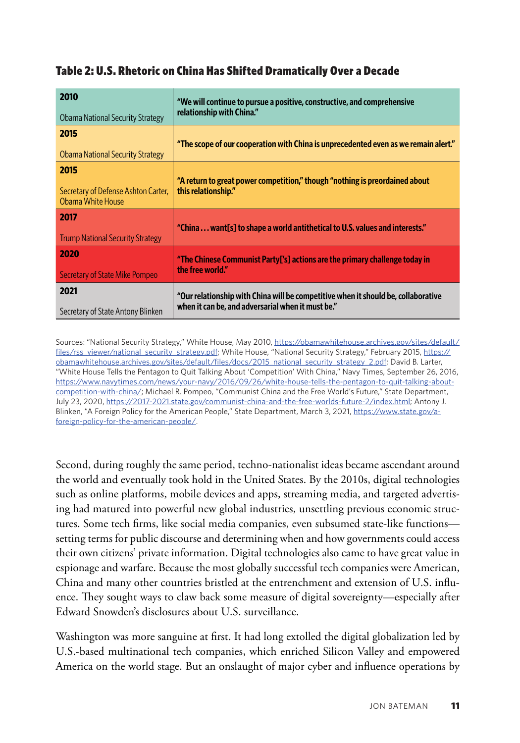#### Table 2: U.S. Rhetoric on China Has Shifted Dramatically Over a Decade

| 2010<br>Obama National Security Strategy                 | "We will continue to pursue a positive, constructive, and comprehensive<br>relationship with China." |
|----------------------------------------------------------|------------------------------------------------------------------------------------------------------|
| 2015                                                     | "The scope of our cooperation with China is unprecedented even as we remain alert."                  |
| <b>Obama National Security Strategy</b>                  |                                                                                                      |
| 2015                                                     |                                                                                                      |
| Secretary of Defense Ashton Carter,<br>Obama White House | "A return to great power competition," though "nothing is preordained about<br>this relationship."   |
| 2017                                                     | "China  want[s] to shape a world antithetical to U.S. values and interests."                         |
| <b>Trump National Security Strategy</b>                  |                                                                                                      |
| 2020                                                     | "The Chinese Communist Party['s] actions are the primary challenge today in                          |
| Secretary of State Mike Pompeo                           | the free world."                                                                                     |
| 2021                                                     | "Our relationship with China will be competitive when it should be, collaborative                    |
| Secretary of State Antony Blinken                        | when it can be, and adversarial when it must be."                                                    |

Sources: "National Security Strategy," White House, May 2010, [https://obamawhitehouse.archives.gov/sites/default/](https://obamawhitehouse.archives.gov/sites/default/files/rss_viewer/national_security_strategy.pdf) [files/rss\\_viewer/national\\_security\\_strategy.pdf;](https://obamawhitehouse.archives.gov/sites/default/files/rss_viewer/national_security_strategy.pdf) White House, "National Security Strategy," February 2015, [https://](https://obamawhitehouse.archives.gov/sites/default/files/docs/2015_national_security_strategy_2.pdf) [obamawhitehouse.archives.gov/sites/default/files/docs/2015\\_national\\_security\\_strategy\\_2.pdf;](https://obamawhitehouse.archives.gov/sites/default/files/docs/2015_national_security_strategy_2.pdf) David B. Larter, "White House Tells the Pentagon to Quit Talking About 'Competition' With China," Navy Times, September 26, 2016, [https://www.navytimes.com/news/your-navy/2016/09/26/white-house-tells-the-pentagon-to-quit-talking-about](https://www.navytimes.com/news/your-navy/2016/09/26/white-house-tells-the-pentagon-to-quit-talking-about-competition-with-china/)[competition-with-china/](https://www.navytimes.com/news/your-navy/2016/09/26/white-house-tells-the-pentagon-to-quit-talking-about-competition-with-china/); Michael R. Pompeo, "Communist China and the Free World's Future," State Department, July 23, 2020, https://2017-2021.[state.gov/communist-china-and-the-free-worlds-future-2/index.html;](https://2017-2021.state.gov/communist-china-and-the-free-worlds-future-2/index.html) Antony J. Blinken, "A Foreign Policy for the American People," State Department, March 3, 2021, [https://www.state.gov/a](https://www.state.gov/a-foreign-policy-for-the-american-people/)[foreign-policy-for-the-american-people/](https://www.state.gov/a-foreign-policy-for-the-american-people/).

Second, during roughly the same period, techno-nationalist ideas became ascendant around the world and eventually took hold in the United States. By the 2010s, digital technologies such as online platforms, mobile devices and apps, streaming media, and targeted advertising had matured into powerful new global industries, unsettling previous economic structures. Some tech firms, like social media companies, even subsumed state-like functions setting terms for public discourse and determining when and how governments could access their own citizens' private information. Digital technologies also came to have great value in espionage and warfare. Because the most globally successful tech companies were American, China and many other countries bristled at the entrenchment and extension of U.S. influence. They sought ways to claw back some measure of digital sovereignty—especially after Edward Snowden's disclosures about U.S. surveillance.

Washington was more sanguine at first. It had long extolled the digital globalization led by U.S.-based multinational tech companies, which enriched Silicon Valley and empowered America on the world stage. But an onslaught of major cyber and influence operations by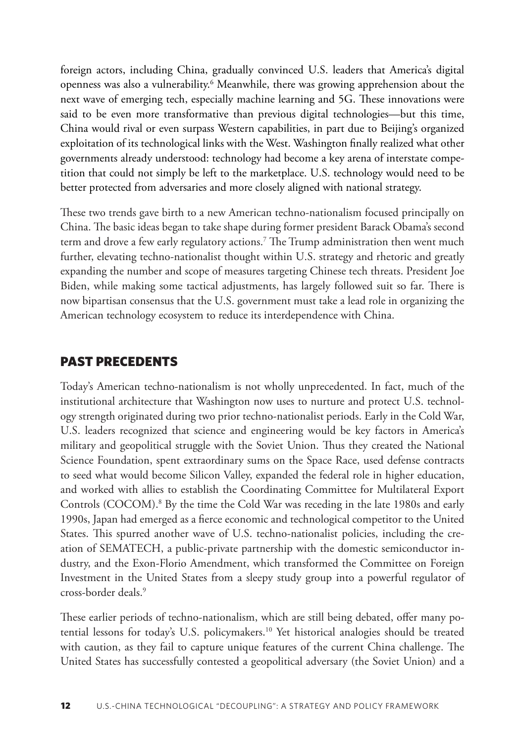<span id="page-3-0"></span>foreign actors, including China, gradually convinced U.S. leaders that America's digital openness was also a vulnerability.<sup>[6](#page-26-0)</sup> Meanwhile, there was growing apprehension about the next wave of emerging tech, especially machine learning and 5G. These innovations were said to be even more transformative than previous digital technologies—but this time, China would rival or even surpass Western capabilities, in part due to Beijing's organized exploitation of its technological links with the West. Washington finally realized what other governments already understood: technology had become a key arena of interstate competition that could not simply be left to the marketplace. U.S. technology would need to be better protected from adversaries and more closely aligned with national strategy.

These two trends gave birth to a new American techno-nationalism focused principally on China. The basic ideas began to take shape during former president Barack Obama's second term and drove a few early regulatory actions[.7](#page-26-0) The Trump administration then went much further, elevating techno-nationalist thought within U.S. strategy and rhetoric and greatly expanding the number and scope of measures targeting Chinese tech threats. President Joe Biden, while making some tactical adjustments, has largely followed suit so far. There is now bipartisan consensus that the U.S. government must take a lead role in organizing the American technology ecosystem to reduce its interdependence with China.

#### PAST PRECEDENTS

Today's American techno-nationalism is not wholly unprecedented. In fact, much of the institutional architecture that Washington now uses to nurture and protect U.S. technology strength originated during two prior techno-nationalist periods. Early in the Cold War, U.S. leaders recognized that science and engineering would be key factors in America's military and geopolitical struggle with the Soviet Union. Thus they created the National Science Foundation, spent extraordinary sums on the Space Race, used defense contracts to seed what would become Silicon Valley, expanded the federal role in higher education, and worked with allies to establish the Coordinating Committee for Multilateral Export Controls (COCOM).<sup>[8](#page-26-0)</sup> By the time the Cold War was receding in the late 1980s and early 1990s, Japan had emerged as a fierce economic and technological competitor to the United States. This spurred another wave of U.S. techno-nationalist policies, including the creation of SEMATECH, a public-private partnership with the domestic semiconductor industry, and the Exon-Florio Amendment, which transformed the Committee on Foreign Investment in the United States from a sleepy study group into a powerful regulator of cross-border deals<sup>9</sup>

These earlier periods of techno-nationalism, which are still being debated, offer many potential lessons for today's U.S. policymakers.<sup>10</sup> Yet historical analogies should be treated with caution, as they fail to capture unique features of the current China challenge. The United States has successfully contested a geopolitical adversary (the Soviet Union) and a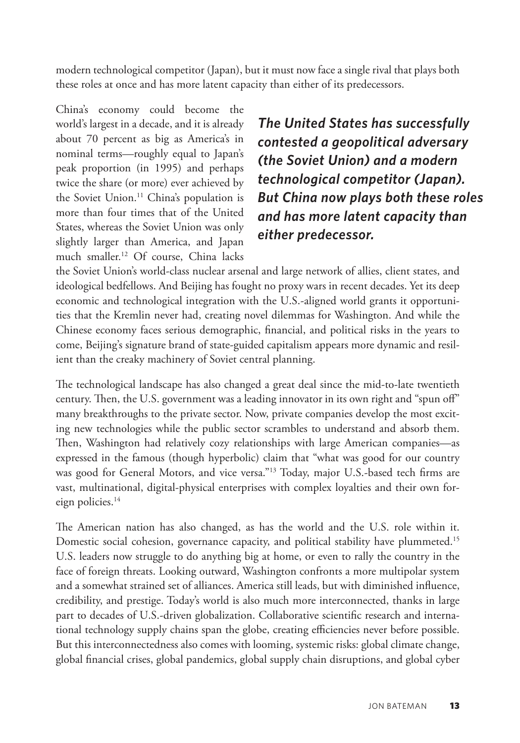<span id="page-4-0"></span>modern technological competitor (Japan), but it must now face a single rival that plays both these roles at once and has more latent capacity than either of its predecessors.

China's economy could become the world's largest in a decade, and it is already about 70 percent as big as America's in nominal terms—roughly equal to Japan's peak proportion (in 1995) and perhaps twice the share (or more) ever achieved by the Soviet Union.<sup>[11](#page-26-0)</sup> China's population is more than four times that of the United States, whereas the Soviet Union was only slightly larger than America, and Japan much smaller[.12](#page-26-0) Of course, China lacks

*The United States has successfully contested a geopolitical adversary (the Soviet Union) and a modern technological competitor (Japan). But China now plays both these roles and has more latent capacity than either predecessor.*

the Soviet Union's world-class nuclear arsenal and large network of allies, client states, and ideological bedfellows. And Beijing has fought no proxy wars in recent decades. Yet its deep economic and technological integration with the U.S.-aligned world grants it opportunities that the Kremlin never had, creating novel dilemmas for Washington. And while the Chinese economy faces serious demographic, financial, and political risks in the years to come, Beijing's signature brand of state-guided capitalism appears more dynamic and resilient than the creaky machinery of Soviet central planning.

The technological landscape has also changed a great deal since the mid-to-late twentieth century. Then, the U.S. government was a leading innovator in its own right and "spun off" many breakthroughs to the private sector. Now, private companies develop the most exciting new technologies while the public sector scrambles to understand and absorb them. Then, Washington had relatively cozy relationships with large American companies—as expressed in the famous (though hyperbolic) claim that "what was good for our country was good for General Motors, and vice versa.["13](#page-26-0) Today, major U.S.-based tech firms are vast, multinational, digital-physical enterprises with complex loyalties and their own foreign policies.<sup>14</sup>

The American nation has also changed, as has the world and the U.S. role within it. Domestic social cohesion, governance capacity, and political stability have plummeted.<sup>[15](#page-26-0)</sup> U.S. leaders now struggle to do anything big at home, or even to rally the country in the face of foreign threats. Looking outward, Washington confronts a more multipolar system and a somewhat strained set of alliances. America still leads, but with diminished influence, credibility, and prestige. Today's world is also much more interconnected, thanks in large part to decades of U.S.-driven globalization. Collaborative scientific research and international technology supply chains span the globe, creating efficiencies never before possible. But this interconnectedness also comes with looming, systemic risks: global climate change, global financial crises, global pandemics, global supply chain disruptions, and global cyber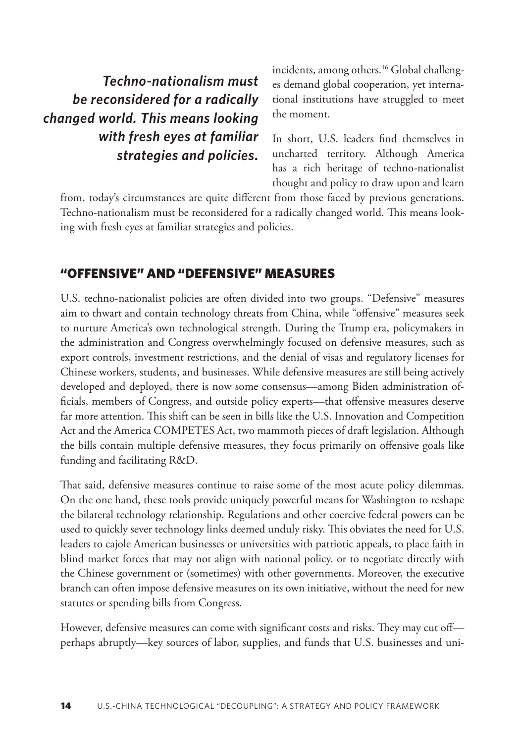<span id="page-5-0"></span>*Techno-nationalism must be reconsidered for a radically changed world. This means looking with fresh eyes at familiar strategies and policies.*

incidents, among others.<sup>[16](#page-27-0)</sup> Global challenges demand global cooperation, yet international institutions have struggled to meet the moment.

In short, U.S. leaders find themselves in uncharted territory. Although America has a rich heritage of techno-nationalist thought and policy to draw upon and learn

from, today's circumstances are quite different from those faced by previous generations. Techno-nationalism must be reconsidered for a radically changed world. This means looking with fresh eyes at familiar strategies and policies.

#### "OFFENSIVE" AND "DEFENSIVE" MEASURES

U.S. techno-nationalist policies are often divided into two groups. "Defensive" measures aim to thwart and contain technology threats from China, while "offensive" measures seek to nurture America's own technological strength. During the Trump era, policymakers in the administration and Congress overwhelmingly focused on defensive measures, such as export controls, investment restrictions, and the denial of visas and regulatory licenses for Chinese workers, students, and businesses. While defensive measures are still being actively developed and deployed, there is now some consensus—among Biden administration officials, members of Congress, and outside policy experts—that offensive measures deserve far more attention. This shift can be seen in bills like the U.S. Innovation and Competition Act and the America COMPETES Act, two mammoth pieces of draft legislation. Although the bills contain multiple defensive measures, they focus primarily on offensive goals like funding and facilitating R&D.

That said, defensive measures continue to raise some of the most acute policy dilemmas. On the one hand, these tools provide uniquely powerful means for Washington to reshape the bilateral technology relationship. Regulations and other coercive federal powers can be used to quickly sever technology links deemed unduly risky. This obviates the need for U.S. leaders to cajole American businesses or universities with patriotic appeals, to place faith in blind market forces that may not align with national policy, or to negotiate directly with the Chinese government or (sometimes) with other governments. Moreover, the executive branch can often impose defensive measures on its own initiative, without the need for new statutes or spending bills from Congress.

However, defensive measures can come with significant costs and risks. They may cut off perhaps abruptly—key sources of labor, supplies, and funds that U.S. businesses and uni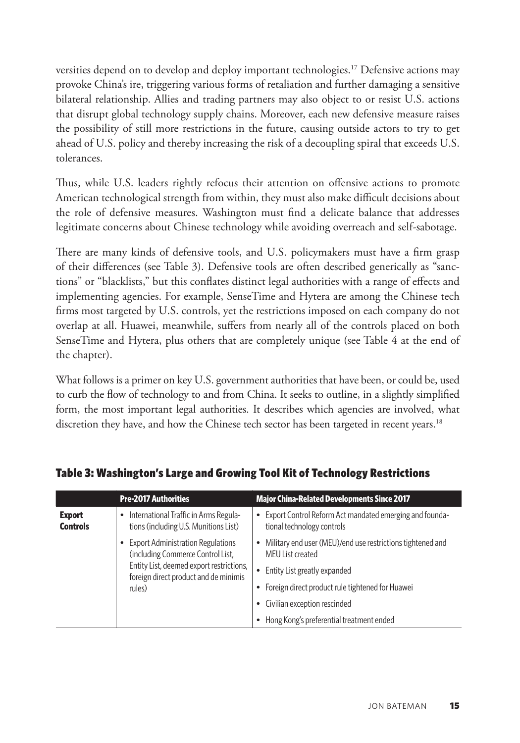<span id="page-6-0"></span>versities depend on to develop and deploy important technologies.[17](#page-27-0) Defensive actions may provoke China's ire, triggering various forms of retaliation and further damaging a sensitive bilateral relationship. Allies and trading partners may also object to or resist U.S. actions that disrupt global technology supply chains. Moreover, each new defensive measure raises the possibility of still more restrictions in the future, causing outside actors to try to get ahead of U.S. policy and thereby increasing the risk of a decoupling spiral that exceeds U.S. tolerances.

Thus, while U.S. leaders rightly refocus their attention on offensive actions to promote American technological strength from within, they must also make difficult decisions about the role of defensive measures. Washington must find a delicate balance that addresses legitimate concerns about Chinese technology while avoiding overreach and self-sabotage.

There are many kinds of defensive tools, and U.S. policymakers must have a firm grasp of their differences (see Table 3). Defensive tools are often described generically as "sanctions" or "blacklists," but this conflates distinct legal authorities with a range of effects and implementing agencies. For example, SenseTime and Hytera are among the Chinese tech firms most targeted by U.S. controls, yet the restrictions imposed on each company do not overlap at all. Huawei, meanwhile, suffers from nearly all of the controls placed on both SenseTime and Hytera, plus others that are completely unique (see Table 4 at the end of the chapter).

What follows is a primer on key U.S. government authorities that have been, or could be, used to curb the flow of technology to and from China. It seeks to outline, in a slightly simplified form, the most important legal authorities. It describes which agencies are involved, what discretion they have, and how the Chinese tech sector has been targeted in recent years.<sup>18</sup>

|                                  | <b>Pre-2017 Authorities</b>                                                       | <b>Major China-Related Developments Since 2017</b>                                                 |
|----------------------------------|-----------------------------------------------------------------------------------|----------------------------------------------------------------------------------------------------|
| <b>Export</b><br><b>Controls</b> | • International Traffic in Arms Regula-<br>tions (including U.S. Munitions List)  | Export Control Reform Act mandated emerging and founda-<br>$\bullet$<br>tional technology controls |
|                                  | • Export Administration Regulations<br>(including Commerce Control List,          | Military end user (MEU)/end use restrictions tightened and<br>$\bullet$<br>MEU List created        |
|                                  | Entity List, deemed export restrictions,<br>foreign direct product and de minimis | Entity List greatly expanded                                                                       |
|                                  | rules)                                                                            | Foreign direct product rule tightened for Huawei<br>$\bullet$                                      |
|                                  |                                                                                   | Civilian exception rescinded<br>٠                                                                  |
|                                  |                                                                                   | Hong Kong's preferential treatment ended<br>٠                                                      |

#### Table 3: Washington's Large and Growing Tool Kit of Technology Restrictions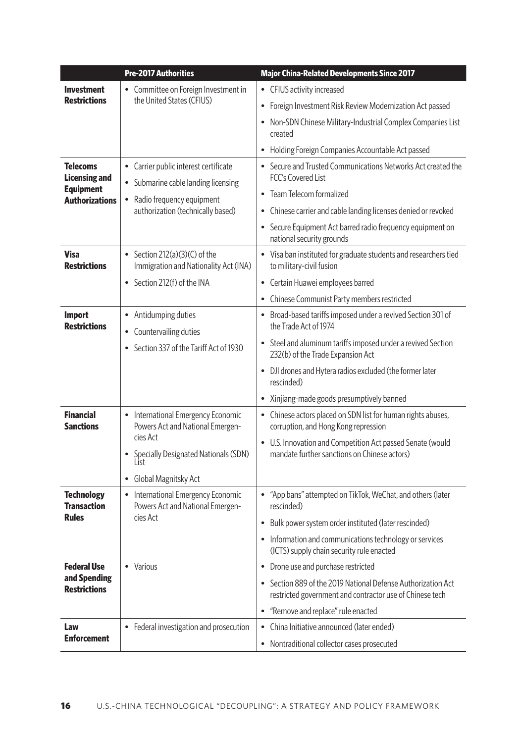|                                           | <b>Pre-2017 Authorities</b>                                                       | <b>Major China-Related Developments Since 2017</b>                                                                       |
|-------------------------------------------|-----------------------------------------------------------------------------------|--------------------------------------------------------------------------------------------------------------------------|
| Investment                                | • Committee on Foreign Investment in                                              | • CFIUS activity increased                                                                                               |
| <b>Restrictions</b>                       | the United States (CFIUS)                                                         | Foreign Investment Risk Review Modernization Act passed<br>$\bullet$                                                     |
|                                           |                                                                                   | Non-SDN Chinese Military-Industrial Complex Companies List<br>$\bullet$<br>created                                       |
|                                           |                                                                                   | Holding Foreign Companies Accountable Act passed<br>$\bullet$                                                            |
| Telecoms<br><b>Licensing and</b>          | • Carrier public interest certificate<br>• Submarine cable landing licensing      | • Secure and Trusted Communications Networks Act created the<br>FCC's Covered List                                       |
| <b>Equipment</b><br><b>Authorizations</b> | • Radio frequency equipment                                                       | • Team Telecom formalized                                                                                                |
|                                           | authorization (technically based)                                                 | • Chinese carrier and cable landing licenses denied or revoked                                                           |
|                                           |                                                                                   | • Secure Equipment Act barred radio frequency equipment on<br>national security grounds                                  |
| <b>Visa</b><br><b>Restrictions</b>        | • Section 212(a)(3)(C) of the<br>Immigration and Nationality Act (INA)            | • Visa ban instituted for graduate students and researchers tied<br>to military-civil fusion                             |
|                                           | • Section 212(f) of the INA                                                       | • Certain Huawei employees barred                                                                                        |
|                                           |                                                                                   | Chinese Communist Party members restricted                                                                               |
| <b>Import</b><br><b>Restrictions</b>      | • Antidumping duties<br>• Countervailing duties                                   | • Broad-based tariffs imposed under a revived Section 301 of<br>the Trade Act of 1974                                    |
|                                           | • Section 337 of the Tariff Act of 1930                                           | • Steel and aluminum tariffs imposed under a revived Section<br>232(b) of the Trade Expansion Act                        |
|                                           |                                                                                   | • DJI drones and Hytera radios excluded (the former later<br>rescinded)                                                  |
|                                           |                                                                                   | Xinjiang-made goods presumptively banned<br>٠                                                                            |
| <b>Financial</b><br><b>Sanctions</b>      | • International Emergency Economic<br>Powers Act and National Emergen-            | • Chinese actors placed on SDN list for human rights abuses,<br>corruption, and Hong Kong repression                     |
|                                           | cies Act<br>• Specially Designated Nationals (SDN)<br>List                        | • U.S. Innovation and Competition Act passed Senate (would<br>mandate further sanctions on Chinese actors)               |
|                                           | • Global Magnitsky Act                                                            |                                                                                                                          |
| <b>Technology</b><br><b>Transaction</b>   | International Emergency Economic<br>$\bullet$<br>Powers Act and National Emergen- | • "App bans" attempted on TikTok, WeChat, and others (later<br>rescinded)                                                |
| Rules                                     | cies Act                                                                          | • Bulk power system order instituted (later rescinded)                                                                   |
|                                           |                                                                                   | • Information and communications technology or services<br>(ICTS) supply chain security rule enacted                     |
| <b>Federal Use</b>                        | • Various                                                                         | • Drone use and purchase restricted                                                                                      |
| and Spending<br><b>Restrictions</b>       |                                                                                   | • Section 889 of the 2019 National Defense Authorization Act<br>restricted government and contractor use of Chinese tech |
|                                           |                                                                                   | "Remove and replace" rule enacted<br>$\bullet$                                                                           |
| Law                                       | • Federal investigation and prosecution                                           | China Initiative announced (later ended)                                                                                 |
| <b>Enforcement</b>                        |                                                                                   | • Nontraditional collector cases prosecuted                                                                              |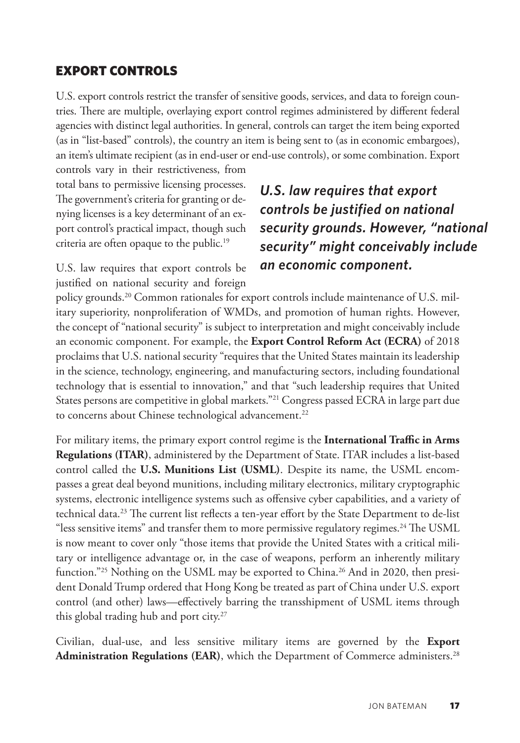#### <span id="page-8-0"></span>EXPORT CONTROLS

U.S. export controls restrict the transfer of sensitive goods, services, and data to foreign countries. There are multiple, overlaying export control regimes administered by different federal agencies with distinct legal authorities. In general, controls can target the item being exported (as in "list-based" controls), the country an item is being sent to (as in economic embargoes), an item's ultimate recipient (as in end-user or end-use controls), or some combination. Export

controls vary in their restrictiveness, from total bans to permissive licensing processes. The government's criteria for granting or denying licenses is a key determinant of an export control's practical impact, though such criteria are often opaque to the public[.19](#page-27-0)

U.S. law requires that export controls be justified on national security and foreign

# *U.S. law requires that export controls be justified on national security grounds. However, "national security" might conceivably include an economic component.*

policy grounds.[20](#page-27-0) Common rationales for export controls include maintenance of U.S. military superiority, nonproliferation of WMDs, and promotion of human rights. However, the concept of "national security" is subject to interpretation and might conceivably include an economic component. For example, the **Export Control Reform Act (ECRA)** of 2018 proclaims that U.S. national security "requires that the United States maintain its leadership in the science, technology, engineering, and manufacturing sectors, including foundational technology that is essential to innovation," and that "such leadership requires that United States persons are competitive in global markets.["21](#page-27-0) Congress passed ECRA in large part due to concerns about Chinese technological advancement.<sup>22</sup>

For military items, the primary export control regime is the **International Traffic in Arms Regulations (ITAR)**, administered by the Department of State. ITAR includes a list-based control called the **U.S. Munitions List (USML)**. Despite its name, the USML encompasses a great deal beyond munitions, including military electronics, military cryptographic systems, electronic intelligence systems such as offensive cyber capabilities, and a variety of technical data.[23](#page-27-0) The current list reflects a ten-year effort by the State Department to de-list "less sensitive items" and transfer them to more permissive regulatory regimes.<sup>24</sup> The USML is now meant to cover only "those items that provide the United States with a critical military or intelligence advantage or, in the case of weapons, perform an inherently military function."<sup>[25](#page-27-0)</sup> Nothing on the USML may be exported to China.<sup>26</sup> And in 2020, then president Donald Trump ordered that Hong Kong be treated as part of China under U.S. export control (and other) laws—effectively barring the transshipment of USML items through this global trading hub and port city.<sup>[27](#page-27-0)</sup>

Civilian, dual-use, and less sensitive military items are governed by the **Export Administration Regulations (EAR)**, which the Department of Commerce administers.[28](#page-27-0)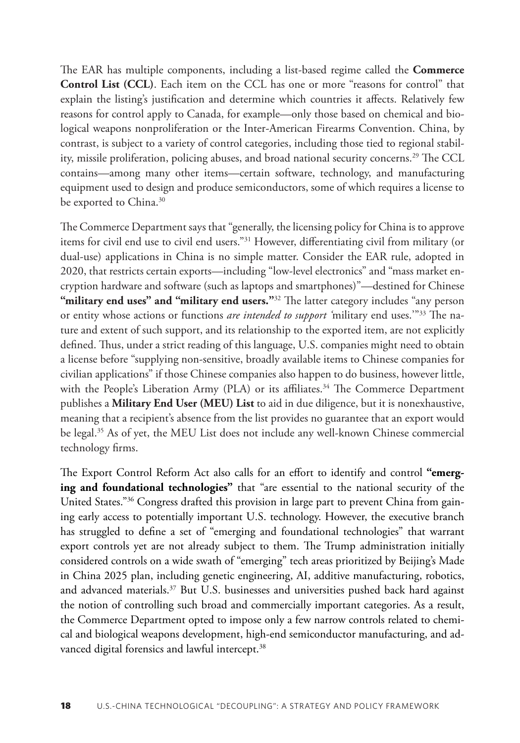<span id="page-9-0"></span>The EAR has multiple components, including a list-based regime called the **Commerce Control List (CCL)**. Each item on the CCL has one or more "reasons for control" that explain the listing's justification and determine which countries it affects. Relatively few reasons for control apply to Canada, for example—only those based on chemical and biological weapons nonproliferation or the Inter-American Firearms Convention. China, by contrast, is subject to a variety of control categories, including those tied to regional stability, missile proliferation, policing abuses, and broad national security concerns.[29](#page-27-0) The CCL contains—among many other items—certain software, technology, and manufacturing equipment used to design and produce semiconductors, some of which requires a license to be exported to China.<sup>[30](#page-27-0)</sup>

The Commerce Department says that "generally, the licensing policy for China is to approve items for civil end use to civil end users."[31](#page-27-0) However, differentiating civil from military (or dual-use) applications in China is no simple matter. Consider the EAR rule, adopted in 2020, that restricts certain exports—including "low-level electronics" and "mass market encryption hardware and software (such as laptops and smartphones)"—destined for Chinese "military end uses" and "military end users."<sup>[32](#page-27-0)</sup> The latter category includes "any person or entity whose actions or functions *are intended to support '*military end uses.'["33](#page-27-0) The nature and extent of such support, and its relationship to the exported item, are not explicitly defined. Thus, under a strict reading of this language, U.S. companies might need to obtain a license before "supplying non-sensitive, broadly available items to Chinese companies for civilian applications" if those Chinese companies also happen to do business, however little, with the People's Liberation Army (PLA) or its affiliates.<sup>[34](#page-27-0)</sup> The Commerce Department publishes a **Military End User (MEU) List** to aid in due diligence, but it is nonexhaustive, meaning that a recipient's absence from the list provides no guarantee that an export would be legal.<sup>35</sup> As of yet, the MEU List does not include any well-known Chinese commercial technology firms.

The Export Control Reform Act also calls for an effort to identify and control **"emerging and foundational technologies"** that "are essential to the national security of the United States.["36](#page-27-0) Congress drafted this provision in large part to prevent China from gaining early access to potentially important U.S. technology. However, the executive branch has struggled to define a set of "emerging and foundational technologies" that warrant export controls yet are not already subject to them. The Trump administration initially considered controls on a wide swath of "emerging" tech areas prioritized by Beijing's Made in China 2025 plan, including genetic engineering, AI, additive manufacturing, robotics, and advanced materials.<sup>37</sup> But U.S. businesses and universities pushed back hard against the notion of controlling such broad and commercially important categories. As a result, the Commerce Department opted to impose only a few narrow controls related to chemical and biological weapons development, high-end semiconductor manufacturing, and advanced digital forensics and lawful intercept.<sup>38</sup>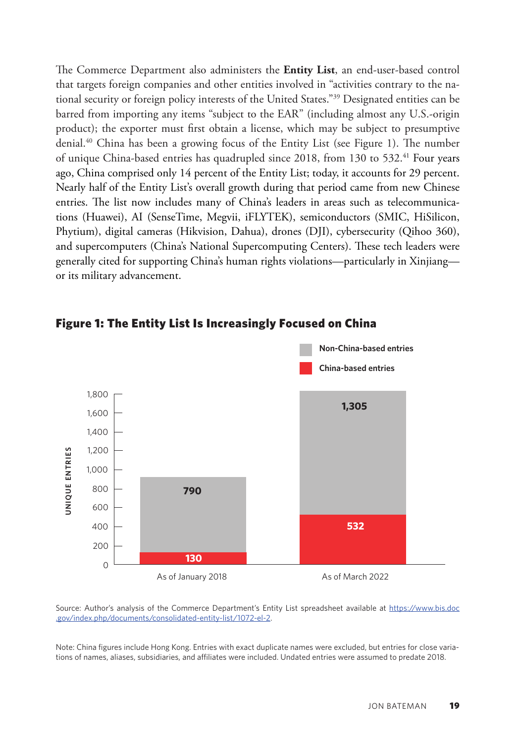<span id="page-10-0"></span>The Commerce Department also administers the **Entity List**, an end-user-based control that targets foreign companies and other entities involved in "activities contrary to the national security or foreign policy interests of the United States.["39](#page-28-0) Designated entities can be barred from importing any items "subject to the EAR" (including almost any U.S.-origin product); the exporter must first obtain a license, which may be subject to presumptive denial[.40](#page-28-0) China has been a growing focus of the Entity List (see Figure 1). The number of unique China-based entries has quadrupled since 2018, from 130 to 532[.41](#page-28-0) Four years ago, China comprised only 14 percent of the Entity List; today, it accounts for 29 percent. Nearly half of the Entity List's overall growth during that period came from new Chinese entries. The list now includes many of China's leaders in areas such as telecommunications (Huawei), AI (SenseTime, Megvii, iFLYTEK), semiconductors (SMIC, HiSilicon, Phytium), digital cameras (Hikvision, Dahua), drones (DJI), cybersecurity (Qihoo 360), and supercomputers (China's National Supercomputing Centers). These tech leaders were generally cited for supporting China's human rights violations—particularly in Xinjiang or its military advancement.



Figure 1: The Entity List Is Increasingly Focused on China **The Entity List Is Increasingly Focused on China**

Source: Author's analysis of the Commerce Department's Entity List spreadsheet available at [https://www.bis.doc](https://www.bis.doc.gov/index.php/documents/consolidated-entity-list/1072-el-2)<br>Commerce: Author's analysis of the Commerce Department's Entity List spreadsheet available at https://www.bis. [.gov/index.php/documents/consolidated-entity-list/1072-el-2](https://www.bis.doc.gov/index.php/documents/consolidated-entity-list/1072-el-2).

Note: China figures include Hong Kong. Entries with exact duplicate names were excluded, but entries for close variations of names, aliases, subsidiaries, and affiliates were included. Undated entries were assumed to predate 2018.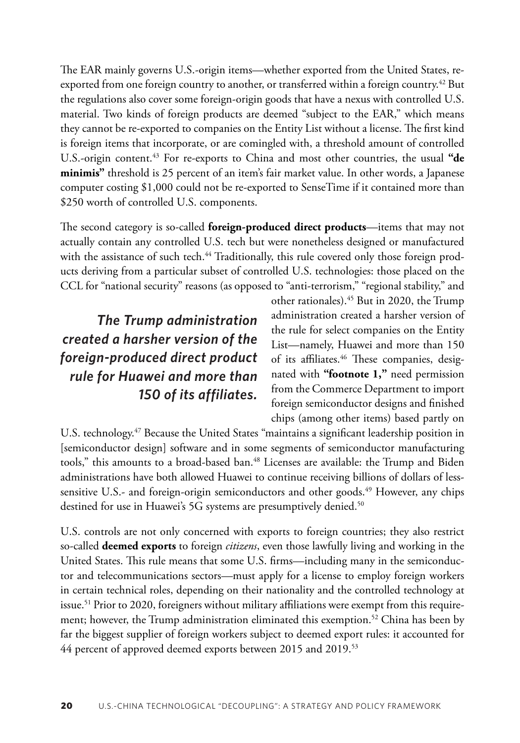<span id="page-11-0"></span>The EAR mainly governs U.S.-origin items—whether exported from the United States, reexported from one foreign country to another, or transferred within a foreign country.<sup>42</sup> But the regulations also cover some foreign-origin goods that have a nexus with controlled U.S. material. Two kinds of foreign products are deemed "subject to the EAR," which means they cannot be re-exported to companies on the Entity List without a license. The first kind is foreign items that incorporate, or are comingled with, a threshold amount of controlled U.S.-origin content.[43](#page-28-0) For re-exports to China and most other countries, the usual **"de minimis"** threshold is 25 percent of an item's fair market value. In other words, a Japanese computer costing \$1,000 could not be re-exported to SenseTime if it contained more than \$250 worth of controlled U.S. components.

The second category is so-called **foreign-produced direct products**—items that may not actually contain any controlled U.S. tech but were nonetheless designed or manufactured with the assistance of such tech.<sup>[44](#page-28-0)</sup> Traditionally, this rule covered only those foreign products deriving from a particular subset of controlled U.S. technologies: those placed on the CCL for "national security" reasons (as opposed to "anti-terrorism," "regional stability," and

*The Trump administration created a harsher version of the foreign-produced direct product rule for Huawei and more than 150 of its affiliates.*

other rationales)[.45](#page-28-0) But in 2020, the Trump administration created a harsher version of the rule for select companies on the Entity List—namely, Huawei and more than 150 of its affiliates.<sup>[46](#page-28-0)</sup> These companies, designated with **"footnote 1,"** need permission from the Commerce Department to import foreign semiconductor designs and finished chips (among other items) based partly on

U.S. technology.<sup>47</sup> Because the United States "maintains a significant leadership position in [semiconductor design] software and in some segments of semiconductor manufacturing tools," this amounts to a broad-based ban.<sup>[48](#page-28-0)</sup> Licenses are available: the Trump and Biden administrations have both allowed Huawei to continue receiving billions of dollars of less-sensitive U.S.- and foreign-origin semiconductors and other goods.<sup>[49](#page-28-0)</sup> However, any chips destined for use in Huawei's 5G systems are presumptively denied.<sup>50</sup>

U.S. controls are not only concerned with exports to foreign countries; they also restrict so-called **deemed exports** to foreign *citizens*, even those lawfully living and working in the United States. This rule means that some U.S. firms—including many in the semiconductor and telecommunications sectors—must apply for a license to employ foreign workers in certain technical roles, depending on their nationality and the controlled technology at issue.<sup>[51](#page-28-0)</sup> Prior to 2020, foreigners without military affiliations were exempt from this requirement; however, the Trump administration eliminated this exemption.<sup>52</sup> China has been by far the biggest supplier of foreign workers subject to deemed export rules: it accounted for 44 percent of approved deemed exports between 2015 and 2019.<sup>[53](#page-29-0)</sup>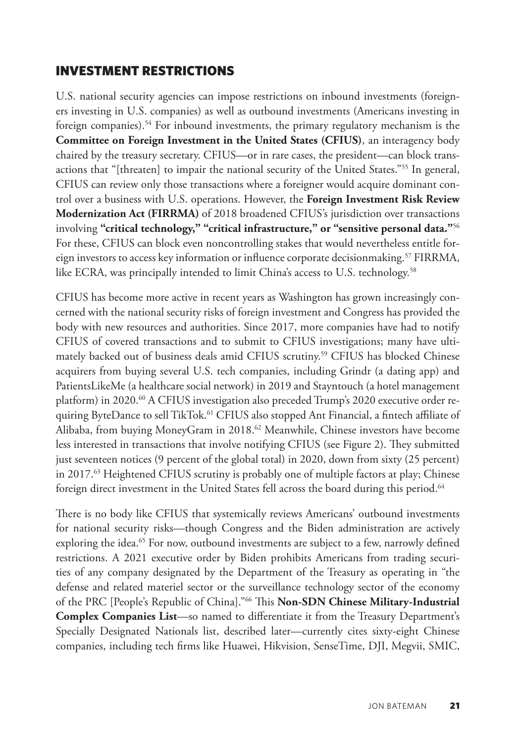#### <span id="page-12-0"></span>INVESTMENT RESTRICTIONS

U.S. national security agencies can impose restrictions on inbound investments (foreigners investing in U.S. companies) as well as outbound investments (Americans investing in foreign companies).<sup>54</sup> For inbound investments, the primary regulatory mechanism is the **Committee on Foreign Investment in the United States (CFIUS)**, an interagency body chaired by the treasury secretary. CFIUS—or in rare cases, the president—can block transactions that "[threaten] to impair the national security of the United States.["55](#page-29-0) In general, CFIUS can review only those transactions where a foreigner would acquire dominant control over a business with U.S. operations. However, the **Foreign Investment Risk Review Modernization Act (FIRRMA)** of 2018 broadened CFIUS's jurisdiction over transactions involving **"critical technology," "critical infrastructure," or "sensitive personal data."**[56](#page-29-0) For these, CFIUS can block even noncontrolling stakes that would nevertheless entitle foreign investors to access key information or influence corporate decisionmaking.<sup>57</sup> FIRRMA, like ECRA, was principally intended to limit China's access to U.S. technology.<sup>58</sup>

CFIUS has become more active in recent years as Washington has grown increasingly concerned with the national security risks of foreign investment and Congress has provided the body with new resources and authorities. Since 2017, more companies have had to notify CFIUS of covered transactions and to submit to CFIUS investigations; many have ultimately backed out of business deals amid CFIUS scrutiny.[59](#page-29-0) CFIUS has blocked Chinese acquirers from buying several U.S. tech companies, including Grindr (a dating app) and PatientsLikeMe (a healthcare social network) in 2019 and Stayntouch (a hotel management platform) in 2020.<sup>60</sup> A CFIUS investigation also preceded Trump's 2020 executive order re-quiring ByteDance to sell TikTok.<sup>[61](#page-29-0)</sup> CFIUS also stopped Ant Financial, a fintech affiliate of Alibaba, from buying MoneyGram in 2018.<sup>[62](#page-29-0)</sup> Meanwhile, Chinese investors have become less interested in transactions that involve notifying CFIUS (see Figure 2). They submitted just seventeen notices (9 percent of the global total) in 2020, down from sixty (25 percent) in  $2017<sup>63</sup>$  $2017<sup>63</sup>$  $2017<sup>63</sup>$  Heightened CFIUS scrutiny is probably one of multiple factors at play; Chinese foreign direct investment in the United States fell across the board during this period.<sup>64</sup>

There is no body like CFIUS that systemically reviews Americans' outbound investments for national security risks—though Congress and the Biden administration are actively exploring the idea.<sup>65</sup> For now, outbound investments are subject to a few, narrowly defined restrictions. A 2021 executive order by Biden prohibits Americans from trading securities of any company designated by the Department of the Treasury as operating in "the defense and related materiel sector or the surveillance technology sector of the economy of the PRC [People's Republic of China]."[66](#page-29-0) This **Non-SDN Chinese Military-Industrial Complex Companies List**—so named to differentiate it from the Treasury Department's Specially Designated Nationals list, described later—currently cites sixty-eight Chinese companies, including tech firms like Huawei, Hikvision, SenseTime, DJI, Megvii, SMIC,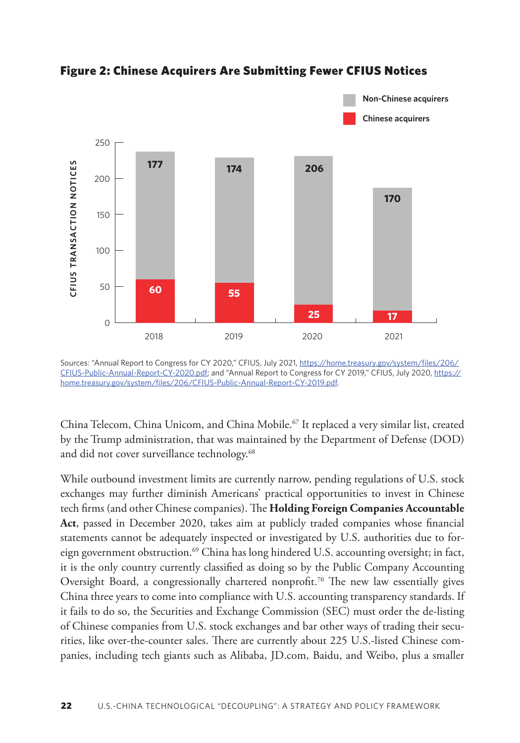

<span id="page-13-0"></span>Figure 2: Chinese Acquirers Are Submitting Fewer CFIUS Notices **Chinese Acquirers Are Submitting Fewer CFIUS Notices**

China Telecom, China Unicom, and China Mobile[.67](#page-29-0) It replaced a very similar list, created by the Trump administration, that was maintained by the Department of Defense (DOD) and did not cover surveillance technology.<sup>[68](#page-30-0)</sup>

While outbound investment limits are currently narrow, pending regulations of U.S. stock exchanges may further diminish Americans' practical opportunities to invest in Chinese tech firms (and other Chinese companies). The **Holding Foreign Companies Accountable Act**, passed in December 2020, takes aim at publicly traded companies whose financial statements cannot be adequately inspected or investigated by U.S. authorities due to foreign government obstruction.<sup>69</sup> China has long hindered U.S. accounting oversight; in fact, it is the only country currently classified as doing so by the Public Company Accounting Oversight Board, a congressionally chartered nonprofit.<sup>[70](#page-30-0)</sup> The new law essentially gives China three years to come into compliance with U.S. accounting transparency standards. If it fails to do so, the Securities and Exchange Commission (SEC) must order the de-listing of Chinese companies from U.S. stock exchanges and bar other ways of trading their securities, like over-the-counter sales. There are currently about 225 U.S.-listed Chinese companies, including tech giants such as Alibaba, [JD.com,](http://JD.com) Baidu, and Weibo, plus a smaller

Sources: "Annual Report to Congress for CY 2020," CFIUS, July 2021, [https://home.treasury.gov/system/files/206/](https://home.treasury.gov/system/files/206/CFIUS-Public-Annual-Report-CY-2020.pdf) [CFIUS-Public-Annual-Report-CY-2020.pdf](https://home.treasury.gov/system/files/206/CFIUS-Public-Annual-Report-CY-2020.pdf); and "Annual Report to Congress for CY 2019," CFIUS, July 2020, [https://](https://home.treasury.gov/system/files/206/CFIUS-Public-Annual-Report-CY-2019.pdf) [home.treasury.gov/system/files/206/CFIUS-Public-Annual-Report-CY-2019.pdf](https://home.treasury.gov/system/files/206/CFIUS-Public-Annual-Report-CY-2019.pdf).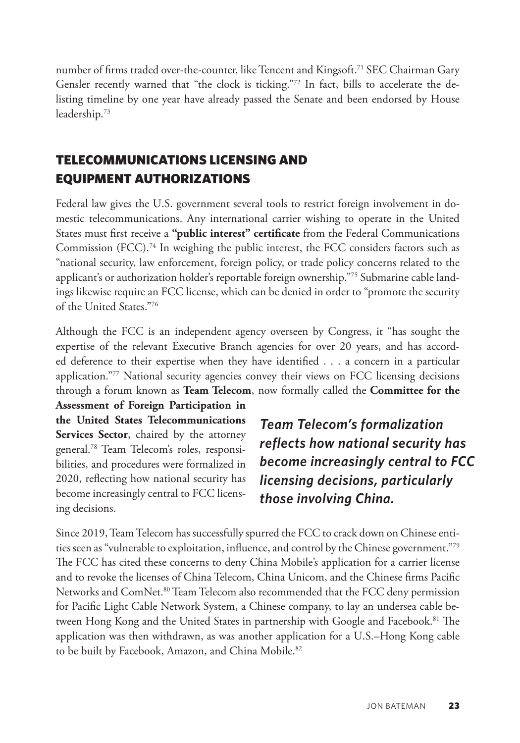<span id="page-14-0"></span>number of firms traded over-the-counter, like Tencent and Kingsoft.<sup>71</sup> SEC Chairman Gary Gensler recently warned that "the clock is ticking."<sup>[72](#page-30-0)</sup> In fact, bills to accelerate the delisting timeline by one year have already passed the Senate and been endorsed by House leadership[.73](#page-30-0)

## TELECOMMUNICATIONS LICENSING AND EQUIPMENT AUTHORIZATIONS

Federal law gives the U.S. government several tools to restrict foreign involvement in domestic telecommunications. Any international carrier wishing to operate in the United States must first receive a **"public interest" certificate** from the Federal Communications Commission  $(FCC)$ .<sup>[74](#page-30-0)</sup> In weighing the public interest, the FCC considers factors such as "national security, law enforcement, foreign policy, or trade policy concerns related to the applicant's or authorization holder's reportable foreign ownership.["75](#page-30-0) Submarine cable landings likewise require an FCC license, which can be denied in order to "promote the security of the United States."[76](#page-30-0)

Although the FCC is an independent agency overseen by Congress, it "has sought the expertise of the relevant Executive Branch agencies for over 20 years, and has accorded deference to their expertise when they have identified . . . a concern in a particular application.["77](#page-30-0) National security agencies convey their views on FCC licensing decisions through a forum known as **Team Telecom**, now formally called the **Committee for the** 

**Assessment of Foreign Participation in the United States Telecommunications Services Sector**, chaired by the attorney general.[78](#page-30-0) Team Telecom's roles, responsibilities, and procedures were formalized in 2020, reflecting how national security has become increasingly central to FCC licensing decisions.

*Team Telecom's formalization reflects how national security has become increasingly central to FCC licensing decisions, particularly those involving China.*

Since 2019, Team Telecom has successfully spurred the FCC to crack down on Chinese entities seen as "vulnerable to exploitation, influence, and control by the Chinese government."[79](#page-30-0) The FCC has cited these concerns to deny China Mobile's application for a carrier license and to revoke the licenses of China Telecom, China Unicom, and the Chinese firms Pacific Networks and ComNet.<sup>80</sup> Team Telecom also recommended that the FCC deny permission for Pacific Light Cable Network System, a Chinese company, to lay an undersea cable between Hong Kong and the United States in partnership with Google and Facebook.<sup>81</sup> The application was then withdrawn, as was another application for a U.S.–Hong Kong cable to be built by Facebook, Amazon, and China Mobile.<sup>82</sup>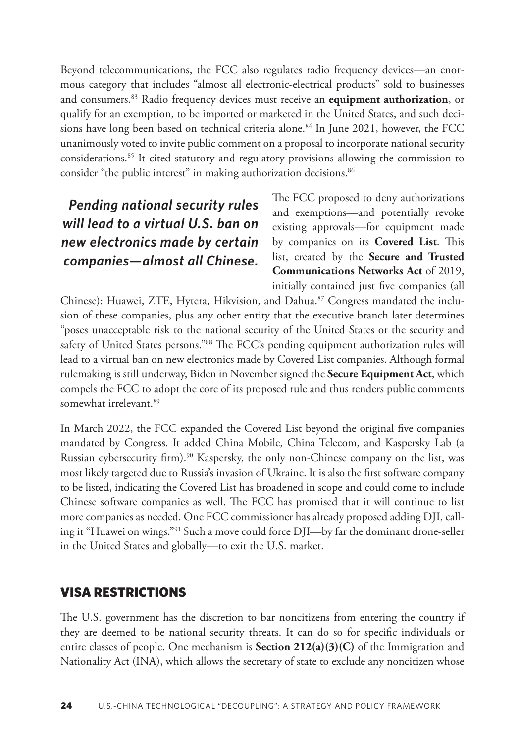<span id="page-15-0"></span>Beyond telecommunications, the FCC also regulates radio frequency devices—an enormous category that includes "almost all electronic-electrical products" sold to businesses and consumers[.83](#page-31-0) Radio frequency devices must receive an **equipment authorization**, or qualify for an exemption, to be imported or marketed in the United States, and such deci-sions have long been based on technical criteria alone.<sup>[84](#page-31-0)</sup> In June 2021, however, the FCC unanimously voted to invite public comment on a proposal to incorporate national security considerations.[85](#page-31-0) It cited statutory and regulatory provisions allowing the commission to consider "the public interest" in making authorization decisions.<sup>86</sup>

# *Pending national security rules will lead to a virtual U.S. ban on new electronics made by certain companies—almost all Chinese.*

The FCC proposed to deny authorizations and exemptions—and potentially revoke existing approvals—for equipment made by companies on its **Covered List**. This list, created by the **Secure and Trusted Communications Networks Act** of 2019, initially contained just five companies (all

Chinese): Huawei, ZTE, Hytera, Hikvision, and Dahua.<sup>[87](#page-31-0)</sup> Congress mandated the inclusion of these companies, plus any other entity that the executive branch later determines "poses unacceptable risk to the national security of the United States or the security and safety of United States persons.["88](#page-31-0) The FCC's pending equipment authorization rules will lead to a virtual ban on new electronics made by Covered List companies. Although formal rulemaking is still underway, Biden in November signed the **Secure Equipment Act**, which compels the FCC to adopt the core of its proposed rule and thus renders public comments somewhat irrelevant.<sup>89</sup>

In March 2022, the FCC expanded the Covered List beyond the original five companies mandated by Congress. It added China Mobile, China Telecom, and Kaspersky Lab (a Russian cybersecurity firm).[90](#page-31-0) Kaspersky, the only non-Chinese company on the list, was most likely targeted due to Russia's invasion of Ukraine. It is also the first software company to be listed, indicating the Covered List has broadened in scope and could come to include Chinese software companies as well. The FCC has promised that it will continue to list more companies as needed. One FCC commissioner has already proposed adding DJI, calling it "Huawei on wings.["91](#page-31-0) Such a move could force DJI—by far the dominant drone-seller in the United States and globally—to exit the U.S. market.

### VISA RESTRICTIONS

The U.S. government has the discretion to bar noncitizens from entering the country if they are deemed to be national security threats. It can do so for specific individuals or entire classes of people. One mechanism is **Section 212(a)(3)(C)** of the Immigration and Nationality Act (INA), which allows the secretary of state to exclude any noncitizen whose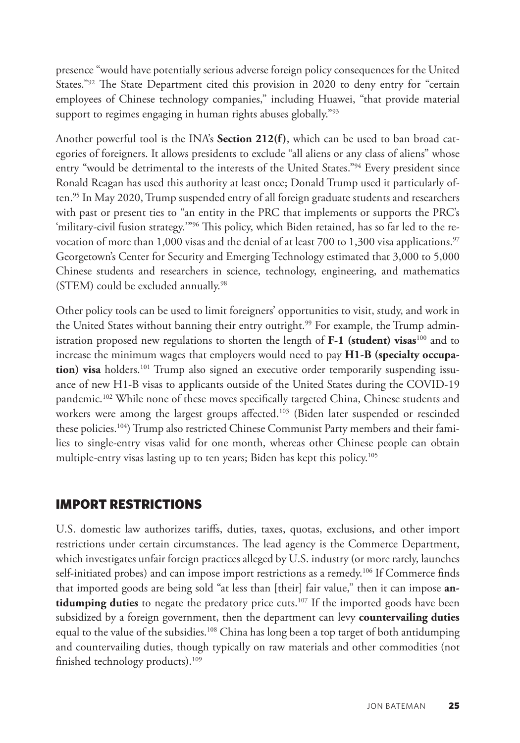<span id="page-16-0"></span>presence "would have potentially serious adverse foreign policy consequences for the United States."<sup>92</sup> The State Department cited this provision in 2020 to deny entry for "certain employees of Chinese technology companies," including Huawei, "that provide material support to regimes engaging in human rights abuses globally."<sup>93</sup>

Another powerful tool is the INA's **Section 212(f)**, which can be used to ban broad categories of foreigners. It allows presidents to exclude "all aliens or any class of aliens" whose entry "would be detrimental to the interests of the United States."<sup>[94](#page-31-0)</sup> Every president since Ronald Reagan has used this authority at least once; Donald Trump used it particularly of-ten.<sup>[95](#page-31-0)</sup> In May 2020, Trump suspended entry of all foreign graduate students and researchers with past or present ties to "an entity in the PRC that implements or supports the PRC's 'military-civil fusion strategy.'["96](#page-31-0) This policy, which Biden retained, has so far led to the re-vocation of more than 1,000 visas and the denial of at least 700 to 1,300 visa applications.<sup>[97](#page-32-0)</sup> Georgetown's Center for Security and Emerging Technology estimated that 3,000 to 5,000 Chinese students and researchers in science, technology, engineering, and mathematics (STEM) could be excluded annually.<sup>[98](#page-32-0)</sup>

Other policy tools can be used to limit foreigners' opportunities to visit, study, and work in the United States without banning their entry outright.<sup>[99](#page-32-0)</sup> For example, the Trump administration proposed new regulations to shorten the length of **F-1 (student) visas**[100](#page-32-0) and to increase the minimum wages that employers would need to pay **H1-B (specialty occupa**tion) visa holders.<sup>101</sup> Trump also signed an executive order temporarily suspending issuance of new H1-B visas to applicants outside of the United States during the COVID-19 pandemic[.102](#page-32-0) While none of these moves specifically targeted China, Chinese students and workers were among the largest groups affected.<sup>103</sup> (Biden later suspended or rescinded these policies[.104](#page-32-0)) Trump also restricted Chinese Communist Party members and their families to single-entry visas valid for one month, whereas other Chinese people can obtain multiple-entry visas lasting up to ten years; Biden has kept this policy.<sup>105</sup>

#### IMPORT RESTRICTIONS

U.S. domestic law authorizes tariffs, duties, taxes, quotas, exclusions, and other import restrictions under certain circumstances. The lead agency is the Commerce Department, which investigates unfair foreign practices alleged by U.S. industry (or more rarely, launches self-initiated probes) and can impose import restrictions as a remedy.<sup>106</sup> If Commerce finds that imported goods are being sold "at less than [their] fair value," then it can impose **antidumping duties** to negate the predatory price cuts.<sup>107</sup> If the imported goods have been subsidized by a foreign government, then the department can levy **countervailing duties**  equal to the value of the subsidies.<sup>[108](#page-32-0)</sup> China has long been a top target of both antidumping and countervailing duties, though typically on raw materials and other commodities (not finished technology products).[109](#page-32-0)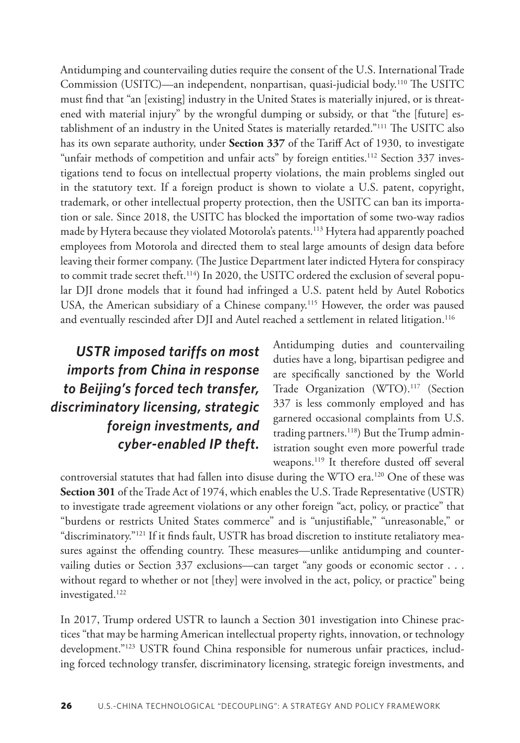<span id="page-17-0"></span>Antidumping and countervailing duties require the consent of the U.S. International Trade Commission (USITC)—an independent, nonpartisan, quasi-judicial body.[110](#page-32-0) The USITC must find that "an [existing] industry in the United States is materially injured, or is threatened with material injury" by the wrongful dumping or subsidy, or that "the [future] establishment of an industry in the United States is materially retarded.["111](#page-33-0) The USITC also has its own separate authority, under **Section 337** of the Tariff Act of 1930, to investigate "unfair methods of competition and unfair acts" by foreign entities.<sup>112</sup> Section 337 investigations tend to focus on intellectual property violations, the main problems singled out in the statutory text. If a foreign product is shown to violate a U.S. patent, copyright, trademark, or other intellectual property protection, then the USITC can ban its importation or sale. Since 2018, the USITC has blocked the importation of some two-way radios made by Hytera because they violated Motorola's patents.<sup>113</sup> Hytera had apparently poached employees from Motorola and directed them to steal large amounts of design data before leaving their former company. (The Justice Department later indicted Hytera for conspiracy to commit trade secret theft.<sup>[114](#page-33-0)</sup>) In 2020, the USITC ordered the exclusion of several popular DJI drone models that it found had infringed a U.S. patent held by Autel Robotics USA, the American subsidiary of a Chinese company.[115](#page-33-0) However, the order was paused and eventually rescinded after DJI and Autel reached a settlement in related litigation[.116](#page-33-0)

*USTR imposed tariffs on most imports from China in response to Beijing's forced tech transfer, discriminatory licensing, strategic foreign investments, and cyber-enabled IP theft.* Antidumping duties and countervailing duties have a long, bipartisan pedigree and are specifically sanctioned by the World Trade Organization (WTO).<sup>[117](#page-33-0)</sup> (Section 337 is less commonly employed and has garnered occasional complaints from U.S. trading partners.<sup>118</sup>) But the Trump administration sought even more powerful trade weapons.<sup>[119](#page-33-0)</sup> It therefore dusted off several

controversial statutes that had fallen into disuse during the WTO era.[120](#page-33-0) One of these was **Section 301** of the Trade Act of 1974, which enables the U.S. Trade Representative (USTR) to investigate trade agreement violations or any other foreign "act, policy, or practice" that "burdens or restricts United States commerce" and is "unjustifiable," "unreasonable," or "discriminatory."[121](#page-34-0) If it finds fault, USTR has broad discretion to institute retaliatory measures against the offending country. These measures—unlike antidumping and countervailing duties or Section 337 exclusions—can target "any goods or economic sector . . . without regard to whether or not [they] were involved in the act, policy, or practice" being investigated.[122](#page-34-0)

In 2017, Trump ordered USTR to launch a Section 301 investigation into Chinese practices "that may be harming American intellectual property rights, innovation, or technology development.["123](#page-34-0) USTR found China responsible for numerous unfair practices, including forced technology transfer, discriminatory licensing, strategic foreign investments, and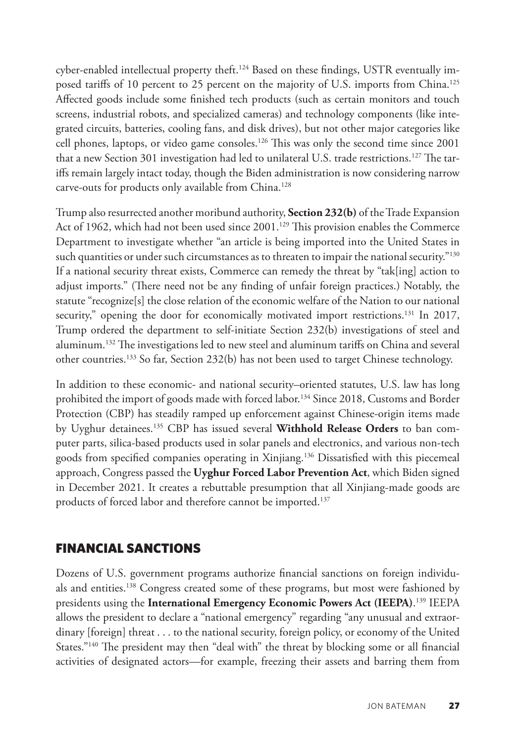<span id="page-18-0"></span>cyber-enabled intellectual property theft.<sup>124</sup> Based on these findings, USTR eventually im-posed tariffs of 10 percent to 25 percent on the majority of U.S. imports from China.<sup>[125](#page-34-0)</sup> Affected goods include some finished tech products (such as certain monitors and touch screens, industrial robots, and specialized cameras) and technology components (like integrated circuits, batteries, cooling fans, and disk drives), but not other major categories like cell phones, laptops, or video game consoles.[126](#page-34-0) This was only the second time since 2001 that a new Section 301 investigation had led to unilateral U.S. trade restrictions.<sup>127</sup> The tariffs remain largely intact today, though the Biden administration is now considering narrow carve-outs for products only available from China.<sup>128</sup>

Trump also resurrected another moribund authority, **Section 232(b)** of the Trade Expansion Act of 1962, which had not been used since  $2001$ .<sup>[129](#page-34-0)</sup> This provision enables the Commerce Department to investigate whether "an article is being imported into the United States in such quantities or under such circumstances as to threaten to impair the national security."<sup>[130](#page-34-0)</sup> If a national security threat exists, Commerce can remedy the threat by "tak[ing] action to adjust imports." (There need not be any finding of unfair foreign practices.) Notably, the statute "recognize[s] the close relation of the economic welfare of the Nation to our national security," opening the door for economically motivated import restrictions.<sup>131</sup> In 2017, Trump ordered the department to self-initiate Section 232(b) investigations of steel and aluminum[.132](#page-34-0) The investigations led to new steel and aluminum tariffs on China and several other countries[.133](#page-34-0) So far, Section 232(b) has not been used to target Chinese technology.

In addition to these economic- and national security–oriented statutes, U.S. law has long prohibited the import of goods made with forced labor.<sup>134</sup> Since 2018, Customs and Border Protection (CBP) has steadily ramped up enforcement against Chinese-origin items made by Uyghur detainees[.135](#page-34-0) CBP has issued several **Withhold Release Orders** to ban computer parts, silica-based products used in solar panels and electronics, and various non-tech goods from specified companies operating in Xinjiang[.136](#page-34-0) Dissatisfied with this piecemeal approach, Congress passed the **Uyghur Forced Labor Prevention Act**, which Biden signed in December 2021. It creates a rebuttable presumption that all Xinjiang-made goods are products of forced labor and therefore cannot be imported.<sup>137</sup>

#### FINANCIAL SANCTIONS

Dozens of U.S. government programs authorize financial sanctions on foreign individuals and entities.<sup>138</sup> Congress created some of these programs, but most were fashioned by presidents using the **International Emergency Economic Powers Act (IEEPA)**. [139](#page-35-0) IEEPA allows the president to declare a "national emergency" regarding "any unusual and extraordinary [foreign] threat . . . to the national security, foreign policy, or economy of the United States."<sup>140</sup> The president may then "deal with" the threat by blocking some or all financial activities of designated actors—for example, freezing their assets and barring them from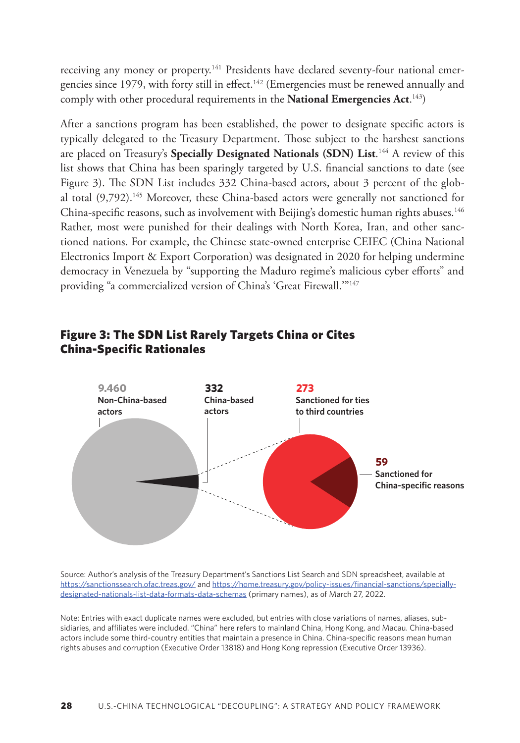<span id="page-19-0"></span>receiving any money or property[.141](#page-35-0) Presidents have declared seventy-four national emergencies since 1979, with forty still in effect.<sup>142</sup> (Emergencies must be renewed annually and comply with other procedural requirements in the **National Emergencies Act**. [143](#page-35-0))

After a sanctions program has been established, the power to designate specific actors is typically delegated to the Treasury Department. Those subject to the harshest sanctions are placed on Treasury's **Specially Designated Nationals (SDN) List**.<sup>144</sup> A review of this list shows that China has been sparingly targeted by U.S. financial sanctions to date (see Figure 3). The SDN List includes 332 China-based actors, about 3 percent of the global total (9,792).<sup>145</sup> Moreover, these China-based actors were generally not sanctioned for China-specific reasons, such as involvement with Beijing's domestic human rights abuses.<sup>146</sup> Rather, most were punished for their dealings with North Korea, Iran, and other sanctioned nations. For example, the Chinese state-owned enterprise CEIEC (China National Electronics Import & Export Corporation) was designated in 2020 for helping undermine democracy in Venezuela by "supporting the Maduro regime's malicious cyber efforts" and providing "a commercialized version of China's 'Great Firewall.'"<sup>147</sup>



#### Figure 3: The SDN List Rarely Targets China or Cites China-Specific Rationales **The SDN List Rarely Targets China or Cites China-Specific Relations**

Source: Author's analysis of the Treasury Department's Sanctions List Search and SDN spreadsheet, available at <https://sanctionssearch.ofac.treas.gov/>and <u>https://home.treasury.gov/policy-issues</u>/financial-sanctions/speciallynttps://sanctionssearch.ofactionsearch.off.com/minimizinessury.gov/policy-issues/minimizin-sanctions/s<br>[designated-nationals-list-data-formats-data-schemas](https://home.treasury.gov/policy-issues/financial-sanctions/specially-designated-nationals-list-data-formats-data-schemas) (primary names), as of March 27, 2022. designated-nationals-list-data-formats-data-schemas (primary names), as of January 30, 2022.

Note: Entries with exact duplicate names were excluded, but entries with close variations of names, aliases, subsidiaries, and affiliates were included. "China" here refers to mainland China, Hong Kong, and Macau. China-based actors include some third-country entities that maintain a presence in China. China-specific reasons mean human rights abuses and corruption (Executive Order 13818) and Hong Kong repression (Executive Order 13936).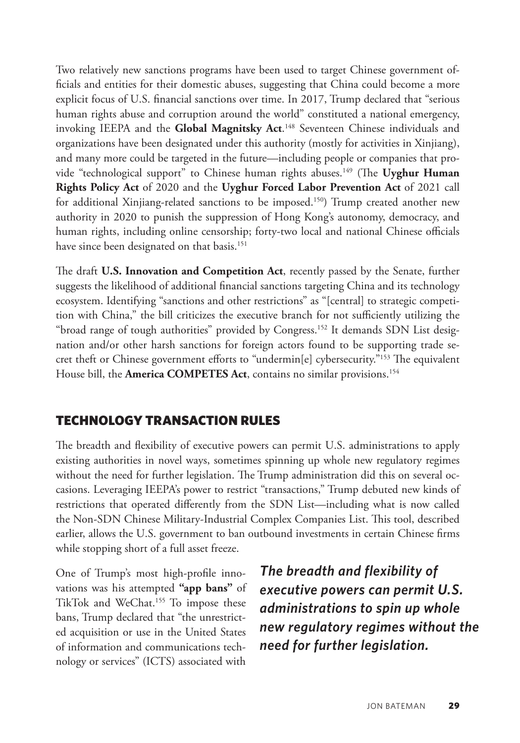<span id="page-20-0"></span>Two relatively new sanctions programs have been used to target Chinese government officials and entities for their domestic abuses, suggesting that China could become a more explicit focus of U.S. financial sanctions over time. In 2017, Trump declared that "serious human rights abuse and corruption around the world" constituted a national emergency, invoking IEEPA and the **Global Magnitsky Act**. [148](#page-35-0) Seventeen Chinese individuals and organizations have been designated under this authority (mostly for activities in Xinjiang), and many more could be targeted in the future—including people or companies that provide "technological support" to Chinese human rights abuses.[149](#page-35-0) (The **Uyghur Human Rights Policy Act** of 2020 and the **Uyghur Forced Labor Prevention Act** of 2021 call for additional Xinjiang-related sanctions to be imposed.[150\)](#page-35-0) Trump created another new authority in 2020 to punish the suppression of Hong Kong's autonomy, democracy, and human rights, including online censorship; forty-two local and national Chinese officials have since been designated on that basis.<sup>[151](#page-35-0)</sup>

The draft **U.S. Innovation and Competition Act**, recently passed by the Senate, further suggests the likelihood of additional financial sanctions targeting China and its technology ecosystem. Identifying "sanctions and other restrictions" as "[central] to strategic competition with China," the bill criticizes the executive branch for not sufficiently utilizing the "broad range of tough authorities" provided by Congress.<sup>[152](#page-35-0)</sup> It demands SDN List designation and/or other harsh sanctions for foreign actors found to be supporting trade secret theft or Chinese government efforts to "undermin[e] cybersecurity.["153](#page-35-0) The equivalent House bill, the **America COMPETES Act**, contains no similar provisions.<sup>154</sup>

#### TECHNOLOGY TRANSACTION RULES

The breadth and flexibility of executive powers can permit U.S. administrations to apply existing authorities in novel ways, sometimes spinning up whole new regulatory regimes without the need for further legislation. The Trump administration did this on several occasions. Leveraging IEEPA's power to restrict "transactions," Trump debuted new kinds of restrictions that operated differently from the SDN List—including what is now called the Non-SDN Chinese Military-Industrial Complex Companies List. This tool, described earlier, allows the U.S. government to ban outbound investments in certain Chinese firms while stopping short of a full asset freeze.

One of Trump's most high-profile innovations was his attempted **"app bans"** of TikTok and WeChat.<sup>155</sup> To impose these bans, Trump declared that "the unrestricted acquisition or use in the United States of information and communications technology or services" (ICTS) associated with

*The breadth and flexibility of executive powers can permit U.S. administrations to spin up whole new regulatory regimes without the need for further legislation.*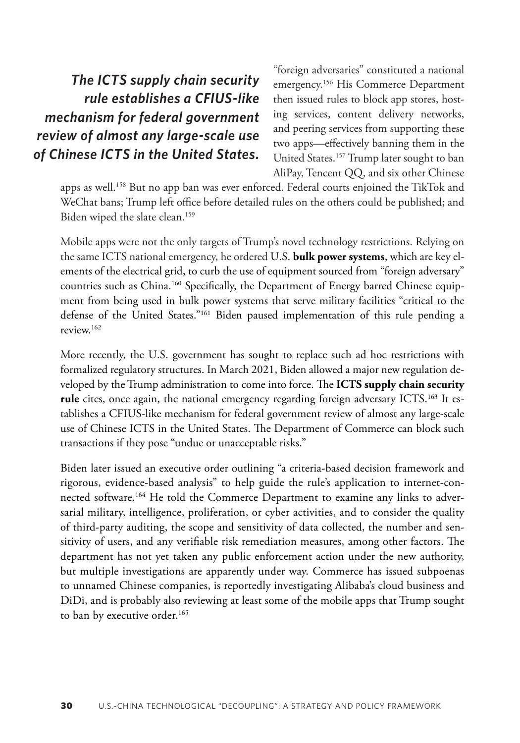# <span id="page-21-0"></span>*The ICTS supply chain security rule establishes a CFIUS-like mechanism for federal government review of almost any large-scale use of Chinese ICTS in the United States.*

"foreign adversaries" constituted a national emergency.[156](#page-36-0) His Commerce Department then issued rules to block app stores, hosting services, content delivery networks, and peering services from supporting these two apps—effectively banning them in the United States[.157](#page-36-0) Trump later sought to ban AliPay, Tencent QQ, and six other Chinese

apps as well.<sup>158</sup> But no app ban was ever enforced. Federal courts enjoined the TikTok and WeChat bans; Trump left office before detailed rules on the others could be published; and Biden wiped the slate clean.<sup>159</sup>

Mobile apps were not the only targets of Trump's novel technology restrictions. Relying on the same ICTS national emergency, he ordered U.S. **bulk power systems**, which are key elements of the electrical grid, to curb the use of equipment sourced from "foreign adversary" countries such as China[.160](#page-36-0) Specifically, the Department of Energy barred Chinese equipment from being used in bulk power systems that serve military facilities "critical to the defense of the United States.["161](#page-36-0) Biden paused implementation of this rule pending a review[.162](#page-36-0)

More recently, the U.S. government has sought to replace such ad hoc restrictions with formalized regulatory structures. In March 2021, Biden allowed a major new regulation developed by the Trump administration to come into force. The **ICTS supply chain security**  rule cites, once again, the national emergency regarding foreign adversary ICTS.<sup>163</sup> It establishes a CFIUS-like mechanism for federal government review of almost any large-scale use of Chinese ICTS in the United States. The Department of Commerce can block such transactions if they pose "undue or unacceptable risks."

Biden later issued an executive order outlining "a criteria-based decision framework and rigorous, evidence-based analysis" to help guide the rule's application to internet-connected software.[164](#page-36-0) He told the Commerce Department to examine any links to adversarial military, intelligence, proliferation, or cyber activities, and to consider the quality of third-party auditing, the scope and sensitivity of data collected, the number and sensitivity of users, and any verifiable risk remediation measures, among other factors. The department has not yet taken any public enforcement action under the new authority, but multiple investigations are apparently under way. Commerce has issued subpoenas to unnamed Chinese companies, is reportedly investigating Alibaba's cloud business and DiDi, and is probably also reviewing at least some of the mobile apps that Trump sought to ban by executive order.<sup>[165](#page-36-0)</sup>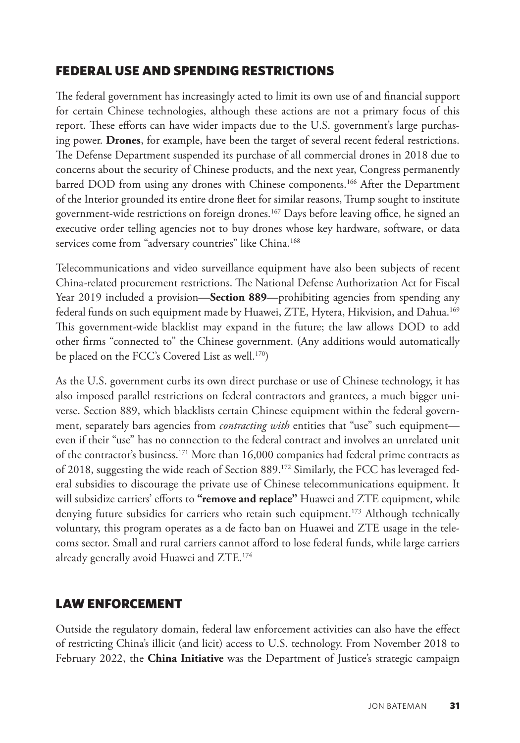#### <span id="page-22-0"></span>FEDERAL USE AND SPENDING RESTRICTIONS

The federal government has increasingly acted to limit its own use of and financial support for certain Chinese technologies, although these actions are not a primary focus of this report. These efforts can have wider impacts due to the U.S. government's large purchasing power. **Drones**, for example, have been the target of several recent federal restrictions. The Defense Department suspended its purchase of all commercial drones in 2018 due to concerns about the security of Chinese products, and the next year, Congress permanently barred DOD from using any drones with Chinese components[.166](#page-36-0) After the Department of the Interior grounded its entire drone fleet for similar reasons, Trump sought to institute government-wide restrictions on foreign drones[.167](#page-37-0) Days before leaving office, he signed an executive order telling agencies not to buy drones whose key hardware, software, or data services come from "adversary countries" like China.<sup>168</sup>

Telecommunications and video surveillance equipment have also been subjects of recent China-related procurement restrictions. The National Defense Authorization Act for Fiscal Year 2019 included a provision—**Section 889**—prohibiting agencies from spending any federal funds on such equipment made by Huawei, ZTE, Hytera, Hikvision, and Dahua.[169](#page-37-0) This government-wide blacklist may expand in the future; the law allows DOD to add other firms "connected to" the Chinese government. (Any additions would automatically be placed on the FCC's Covered List as well.<sup>170</sup>)

As the U.S. government curbs its own direct purchase or use of Chinese technology, it has also imposed parallel restrictions on federal contractors and grantees, a much bigger universe. Section 889, which blacklists certain Chinese equipment within the federal government, separately bars agencies from *contracting with* entities that "use" such equipment even if their "use" has no connection to the federal contract and involves an unrelated unit of the contractor's business.[171](#page-37-0) More than 16,000 companies had federal prime contracts as of 2018, suggesting the wide reach of Section 889[.172](#page-37-0) Similarly, the FCC has leveraged federal subsidies to discourage the private use of Chinese telecommunications equipment. It will subsidize carriers' efforts to **"remove and replace"** Huawei and ZTE equipment, while denying future subsidies for carriers who retain such equipment.<sup>173</sup> Although technically voluntary, this program operates as a de facto ban on Huawei and ZTE usage in the telecoms sector. Small and rural carriers cannot afford to lose federal funds, while large carriers already generally avoid Huawei and ZTE.[174](#page-37-0)

#### LAW ENFORCEMENT

Outside the regulatory domain, federal law enforcement activities can also have the effect of restricting China's illicit (and licit) access to U.S. technology. From November 2018 to February 2022, the **China Initiative** was the Department of Justice's strategic campaign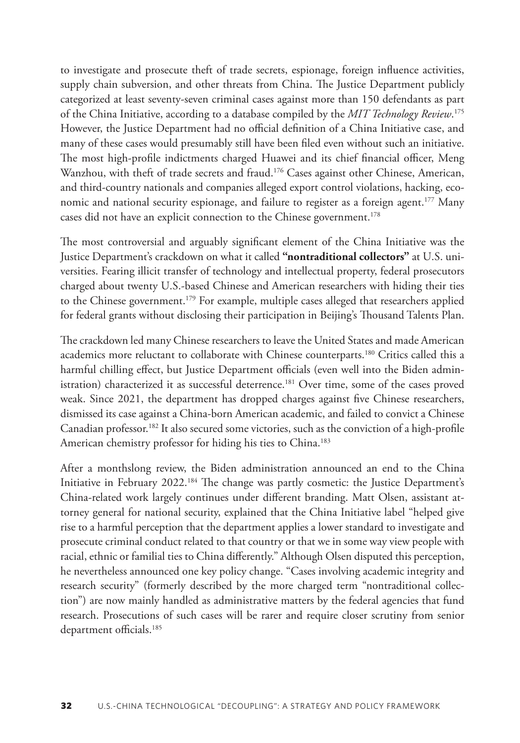<span id="page-23-0"></span>to investigate and prosecute theft of trade secrets, espionage, foreign influence activities, supply chain subversion, and other threats from China. The Justice Department publicly categorized at least seventy-seven criminal cases against more than 150 defendants as part of the China Initiative, according to a database compiled by the *MIT Technology Review*. [175](#page-37-0) However, the Justice Department had no official definition of a China Initiative case, and many of these cases would presumably still have been filed even without such an initiative. The most high-profile indictments charged Huawei and its chief financial officer, Meng Wanzhou, with theft of trade secrets and fraud.<sup>176</sup> Cases against other Chinese, American, and third-country nationals and companies alleged export control violations, hacking, economic and national security espionage, and failure to register as a foreign agent[.177](#page-37-0) Many cases did not have an explicit connection to the Chinese government.<sup>[178](#page-37-0)</sup>

The most controversial and arguably significant element of the China Initiative was the Justice Department's crackdown on what it called **"nontraditional collectors"** at U.S. universities. Fearing illicit transfer of technology and intellectual property, federal prosecutors charged about twenty U.S.-based Chinese and American researchers with hiding their ties to the Chinese government.<sup>179</sup> For example, multiple cases alleged that researchers applied for federal grants without disclosing their participation in Beijing's Thousand Talents Plan.

The crackdown led many Chinese researchers to leave the United States and made American academics more reluctant to collaborate with Chinese counterparts.<sup>180</sup> Critics called this a harmful chilling effect, but Justice Department officials (even well into the Biden administration) characterized it as successful deterrence.<sup>181</sup> Over time, some of the cases proved weak. Since 2021, the department has dropped charges against five Chinese researchers, dismissed its case against a China-born American academic, and failed to convict a Chinese Canadian professor.<sup>182</sup> It also secured some victories, such as the conviction of a high-profile American chemistry professor for hiding his ties to China.<sup>[183](#page-38-0)</sup>

After a monthslong review, the Biden administration announced an end to the China Initiative in February 2022.[184](#page-38-0) The change was partly cosmetic: the Justice Department's China-related work largely continues under different branding. Matt Olsen, assistant attorney general for national security, explained that the China Initiative label "helped give rise to a harmful perception that the department applies a lower standard to investigate and prosecute criminal conduct related to that country or that we in some way view people with racial, ethnic or familial ties to China differently." Although Olsen disputed this perception, he nevertheless announced one key policy change. "Cases involving academic integrity and research security" (formerly described by the more charged term "nontraditional collection") are now mainly handled as administrative matters by the federal agencies that fund research. Prosecutions of such cases will be rarer and require closer scrutiny from senior department officials.<sup>185</sup>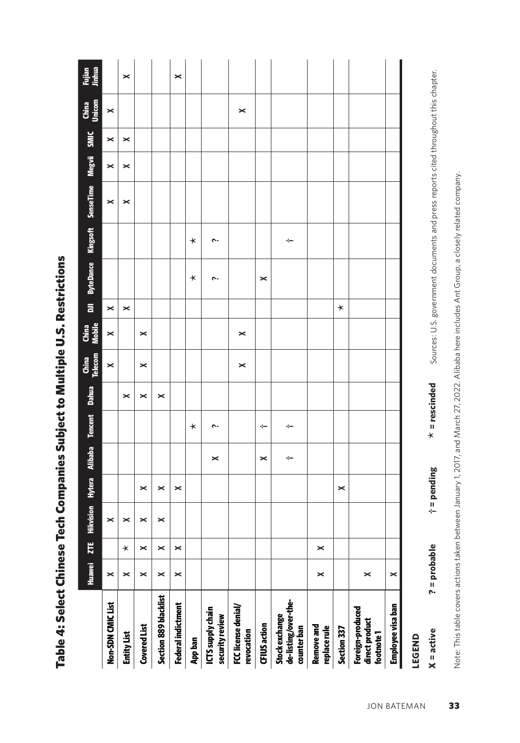| j                                                              |
|----------------------------------------------------------------|
|                                                                |
| ֖֖֖֖֖֖֧ׅ֖֧֧֧֧֧֚֚֚֚֚֚֚֚֚֚֚֚֚֚֚֚֚֚֬֝֕֝֝֝֝֝֝֝֝֝֟֩֝֓֝֬֝֬֝֓֝֬֝֬֝֬֝֬ |
|                                                                |
|                                                                |
|                                                                |
|                                                                |
|                                                                |
|                                                                |
|                                                                |
|                                                                |
|                                                                |
| ֚֚֬                                                            |
|                                                                |
|                                                                |
|                                                                |
|                                                                |
|                                                                |
|                                                                |
|                                                                |
|                                                                |
|                                                                |
|                                                                |
|                                                                |
|                                                                |
|                                                                |
|                                                                |
| i                                                              |
| Ï                                                              |
|                                                                |
|                                                                |
|                                                                |
|                                                                |
|                                                                |
|                                                                |
|                                                                |
|                                                                |

|                                                       | <b>Huawei</b> | ZTE     | Hikvision |   | Hytera Alibaba Tencent Dahua |         |   | China<br>Telecom | China<br>Mobile | $\bar{a}$ |         |         | ByteDance Kingsoft SenseTime Megvii SMIC |   |   | China<br>Unicom | Fujian<br>Jinhua      |
|-------------------------------------------------------|---------------|---------|-----------|---|------------------------------|---------|---|------------------|-----------------|-----------|---------|---------|------------------------------------------|---|---|-----------------|-----------------------|
| Non-SDN CMICList                                      | ×             |         |           |   |                              |         |   | $\times$         | ×               | ×         |         |         | ×                                        | × | × | $\times$        |                       |
| <b>Entity List</b>                                    | ×             | $\star$ |           |   |                              |         | × |                  |                 | ×         |         |         | ×                                        | × | × |                 | ×                     |
| <b>Covered List</b>                                   | ×             | ×       |           | × |                              |         | × | ×                | ×               |           |         |         |                                          |   |   |                 |                       |
| Section 889 blacklist                                 | ×             | ×       |           | × |                              |         | × |                  |                 |           |         |         |                                          |   |   |                 |                       |
| Federal indictment                                    | ×             | ×       |           | × |                              |         |   |                  |                 |           |         |         |                                          |   |   |                 | $\boldsymbol{\times}$ |
| <b>App ban</b>                                        |               |         |           |   |                              | $\star$ |   |                  |                 |           | $\star$ | $\star$ |                                          |   |   |                 |                       |
| ICTS supply chain<br>security review                  |               |         |           |   | ×                            | ċ       |   |                  |                 |           | ċ.      | ċ       |                                          |   |   |                 |                       |
| FCC license denial/<br>revocation                     |               |         |           |   |                              |         |   | ×                | ×               |           |         |         |                                          |   |   | ×               |                       |
| <b>CFIUS action</b>                                   |               |         |           |   | ×                            | ÷       |   |                  |                 |           | ×       |         |                                          |   |   |                 |                       |
| de-listing/over-the-<br>Stock exchange<br>counter ban |               |         |           |   | ÷                            | ÷       |   |                  |                 |           |         | ÷       |                                          |   |   |                 |                       |
| Remove and<br>replace rule                            | ×             | ×       |           |   |                              |         |   |                  |                 |           |         |         |                                          |   |   |                 |                       |
| Section 337                                           |               |         |           | × |                              |         |   |                  |                 | $\star$   |         |         |                                          |   |   |                 |                       |
| Foreign-produced<br>direct product<br>footnote 1      | ×             |         |           |   |                              |         |   |                  |                 |           |         |         |                                          |   |   |                 |                       |
| Employee visa ban                                     | ×             |         |           |   |                              |         |   |                  |                 |           |         |         |                                          |   |   |                 |                       |
| LEGEND                                                |               |         |           |   |                              |         |   |                  |                 |           |         |         |                                          |   |   |                 |                       |

Sources: U.S. government documents and press reports cited throughout this chapter. Sources: U.S. government documents and press reports cited throughout this chapter.  $x =$  rescinded **X = active ? = probable † = pending** \* **= rescinded**  $t =$  pending ? = probable  $X =$  active

Note: This table covers actions taken between January 1, 2017, and March 27, 2022. Alibaba here includes Ant Group, a closely related company. Note: This table covers actions taken between January 1, 2017, and March 27, 2022. Alibaba here includes Ant Group, a closely related company.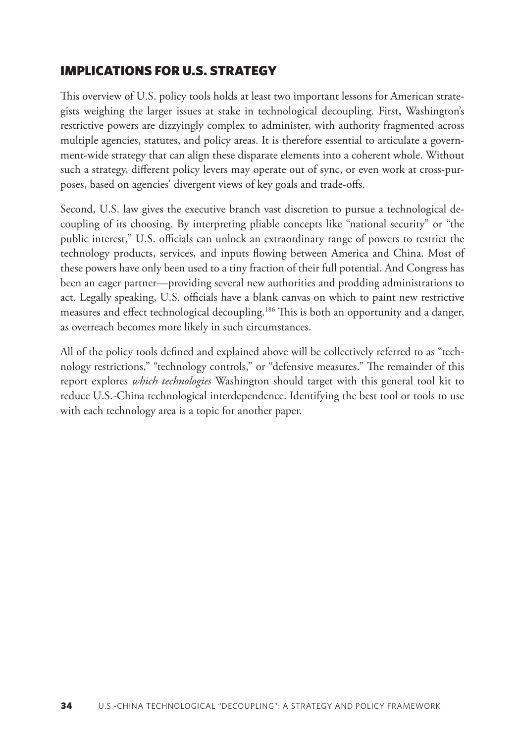#### <span id="page-25-0"></span>IMPLICATIONS FOR U.S. STRATEGY

This overview of U.S. policy tools holds at least two important lessons for American strategists weighing the larger issues at stake in technological decoupling. First, Washington's restrictive powers are dizzyingly complex to administer, with authority fragmented across multiple agencies, statutes, and policy areas. It is therefore essential to articulate a government-wide strategy that can align these disparate elements into a coherent whole. Without such a strategy, different policy levers may operate out of sync, or even work at cross-purposes, based on agencies' divergent views of key goals and trade-offs.

Second, U.S. law gives the executive branch vast discretion to pursue a technological decoupling of its choosing. By interpreting pliable concepts like "national security" or "the public interest," U.S. officials can unlock an extraordinary range of powers to restrict the technology products, services, and inputs flowing between America and China. Most of these powers have only been used to a tiny fraction of their full potential. And Congress has been an eager partner—providing several new authorities and prodding administrations to act. Legally speaking, U.S. officials have a blank canvas on which to paint new restrictive measures and effect technological decoupling.[186](#page-38-0) This is both an opportunity and a danger, as overreach becomes more likely in such circumstances.

All of the policy tools defined and explained above will be collectively referred to as "technology restrictions," "technology controls," or "defensive measures." The remainder of this report explores *which technologies* Washington should target with this general tool kit to reduce U.S.-China technological interdependence. Identifying the best tool or tools to use with each technology area is a topic for another paper.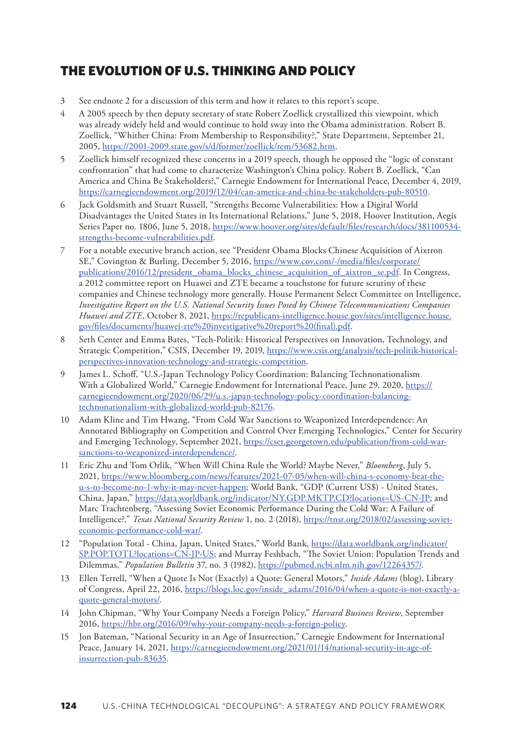### <span id="page-26-0"></span>THE EVOLUTION OF U.S. THINKING AND POLICY

- [3](#page-0-0) See endnote 2 for a discussion of this term and how it relates to this report's scope.
- [4](#page-1-0) A 2005 speech by then deputy secretary of state Robert Zoellick crystallized this viewpoint, which was already widely held and would continue to hold sway into the Obama administration. Robert B. Zoellick, "Whither China: From Membership to Responsibility?," State Department, September 21, 2005, https://2001-2009.[state.gov/s/d/former/zoellick/rem/53682.htm.](https://2001-2009.state.gov/s/d/former/zoellick/rem/53682.htm)
- [5](#page-1-0) Zoellick himself recognized these concerns in a 2019 speech, though he opposed the "logic of constant confrontation" that had come to characterize Washington's China policy. Robert B. Zoellick, "Can America and China Be Stakeholders?," Carnegie Endowment for International Peace, December 4, 2019, <https://carnegieendowment.org/2019/12/04/can-america-and-china-be-stakeholders-pub-80510>.
- [6](#page-3-0) Jack Goldsmith and Stuart Russell, "Strengths Become Vulnerabilities: How a Digital World Disadvantages the United States in Its International Relations," June 5, 2018, Hoover Institution, Aegis Series Paper no. 1806, June 5, 2018, [https://www.hoover.org/sites/default/files/research/docs/381100534](https://www.hoover.org/sites/default/files/research/docs/381100534-strengths-become-vulnerabilities.pdf) [strengths-become-vulnerabilities.pdf](https://www.hoover.org/sites/default/files/research/docs/381100534-strengths-become-vulnerabilities.pdf).
- [7](#page-3-0) For a notable executive branch action, see "President Obama Blocks Chinese Acquisition of Aixtron SE," Covington & Burling, December 5, 2016, [https://www.cov.com/-/media/files/corporate/](https://www.cov.com/-/media/files/corporate/publications/2016/12/president_obama_blocks_chinese_acquisition_of_aixtron_se.pdf) [publications/2016/12/president\\_obama\\_blocks\\_chinese\\_acquisition\\_of\\_aixtron\\_se.pdf.](https://www.cov.com/-/media/files/corporate/publications/2016/12/president_obama_blocks_chinese_acquisition_of_aixtron_se.pdf) In Congress, a 2012 committee report on Huawei and ZTE became a touchstone for future scrutiny of these companies and Chinese technology more generally. House Permanent Select Committee on Intelligence, *Investigative Report on the U.S. National Security Issues Posed by Chinese Telecommunications Companies*  Huawei and ZTE, October 8, 2021, [https://republicans-intelligence.house.gov/sites/intelligence.house.](https://republicans-intelligence.house.gov/sites/intelligence.house.gov/files/documents/huawei-zte%20investigative%20report%20(final).pdf) [gov/files/documents/huawei-zte%20investigative%20report%20\(final\).pdf](https://republicans-intelligence.house.gov/sites/intelligence.house.gov/files/documents/huawei-zte%20investigative%20report%20(final).pdf).
- [8](#page-3-0) Seth Center and Emma Bates, "Tech-Politik: Historical Perspectives on Innovation, Technology, and Strategic Competition," CSIS, December 19, 2019, [https://www.csis.org/analysis/tech-politik-historical](https://www.csis.org/analysis/tech-politik-historical-perspectives-innovation-technology-and-strategic-competition)[perspectives-innovation-technology-and-strategic-competition.](https://www.csis.org/analysis/tech-politik-historical-perspectives-innovation-technology-and-strategic-competition)
- [9](#page-3-0) James L. Schoff, "U.S.-Japan Technology Policy Coordination: Balancing Technonationalism With a Globalized World," Carnegie Endowment for International Peace, June 29, 2020, [https://](https://carnegieendowment.org/2020/06/29/u.s.-japan-technology-policy-coordination-balancing-technonationalism-with-globalized-world-pub-82176) [carnegieendowment.org/2020/06/29/u.s.-japan-technology-policy-coordination-balancing](https://carnegieendowment.org/2020/06/29/u.s.-japan-technology-policy-coordination-balancing-technonationalism-with-globalized-world-pub-82176)[technonationalism-with-globalized-world-pub-82176.](https://carnegieendowment.org/2020/06/29/u.s.-japan-technology-policy-coordination-balancing-technonationalism-with-globalized-world-pub-82176)
- [10](#page-3-0) Adam Kline and Tim Hwang, "From Cold War Sanctions to Weaponized Interdependence: An Annotated Bibliography on Competition and Control Over Emerging Technologies," Center for Security and Emerging Technology, September 2021, [https://cset.georgetown.edu/publication/from-cold-war](https://cset.georgetown.edu/publication/from-cold-war-sanctions-to-weaponized-interdependence/)[sanctions-to-weaponized-interdependence/](https://cset.georgetown.edu/publication/from-cold-war-sanctions-to-weaponized-interdependence/).
- [11](#page-4-0) Eric Zhu and Tom Orlik, "When Will China Rule the World? Maybe Never," *Bloomberg*, July 5, 2021, [https://www.bloomberg.com/news/features/2021-07-05/when-will-china-s-economy-beat-the](https://www.bloomberg.com/news/features/2021-07-05/when-will-china-s-economy-beat-the-u-s-to-become-no-1-why-it-may-never-happen)[u-s-to-become-no-1-why-it-may-never-happen;](https://www.bloomberg.com/news/features/2021-07-05/when-will-china-s-economy-beat-the-u-s-to-become-no-1-why-it-may-never-happen) World Bank, "GDP (Current US\$) - United States, China, Japan,"<https://data.worldbank.org/indicator/NY.GDP.MKTP.CD?locations=US-CN-JP>; and Marc Trachtenberg, "Assessing Soviet Economic Performance During the Cold War: A Failure of Intelligence?," *Texas National Security Review* 1, no. 2 (2018), [https://tnsr.org/2018/02/assessing-soviet](https://tnsr.org/2018/02/assessing-soviet-economic-performance-cold-war/)[economic-performance-cold-war/](https://tnsr.org/2018/02/assessing-soviet-economic-performance-cold-war/).
- [12](#page-4-0) "Population Total China, Japan, United States," World Bank, [https://data.worldbank.org/indicator/](https://data.worldbank.org/indicator/SP.POP.TOTL?locations=CN-JP-US) [SP.POP.TOTL?locations=CN-JP-US](https://data.worldbank.org/indicator/SP.POP.TOTL?locations=CN-JP-US); and Murray Feshbach, "The Soviet Union: Population Trends and Dilemmas," *Population Bulletin* 37, no. 3 (1982),<https://pubmed.ncbi.nlm.nih.gov/12264357/>.
- [13](#page-4-0) Ellen Terrell, "When a Quote Is Not (Exactly) a Quote: General Motors," *Inside Adams* (blog), Library of Congress, April 22, 2016, [https://blogs.loc.gov/inside\\_adams/2016/04/when-a-quote-is-not-exactly-a](https://blogs.loc.gov/inside_adams/2016/04/when-a-quote-is-not-exactly-a-quote-general-motors/)[quote-general-motors/](https://blogs.loc.gov/inside_adams/2016/04/when-a-quote-is-not-exactly-a-quote-general-motors/).
- [14](#page-4-0) John Chipman, "Why Your Company Needs a Foreign Policy," *Harvard Business Review*, September 2016, [https://hbr.org/2016/09/why-your-company-needs-a-foreign-policy.](https://hbr.org/2016/09/why-your-company-needs-a-foreign-policy)
- [15](#page-4-0) Jon Bateman, "National Security in an Age of Insurrection," Carnegie Endowment for International Peace, January 14, 2021, [https://carnegieendowment.org/2021/01/14/national-security-in-age-of](https://carnegieendowment.org/2021/01/14/national-security-in-age-of-insurrection-pub-83635)[insurrection-pub-83635](https://carnegieendowment.org/2021/01/14/national-security-in-age-of-insurrection-pub-83635).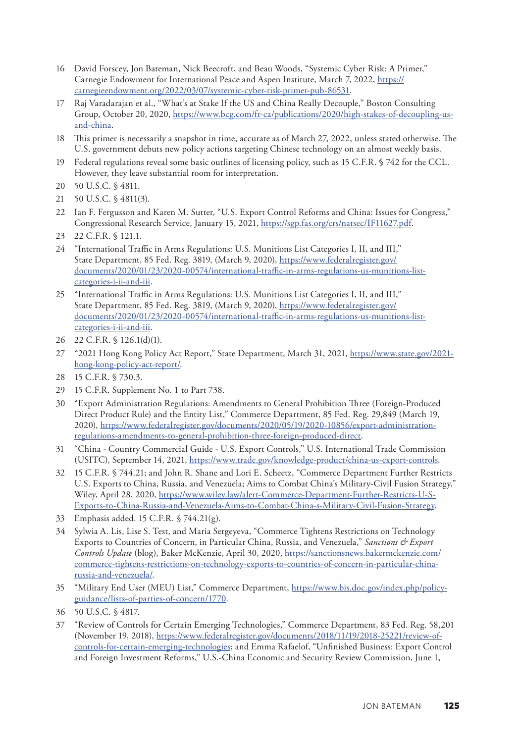- <span id="page-27-0"></span>[16](#page-5-0) David Forscey, Jon Bateman, Nick Beecroft, and Beau Woods, "Systemic Cyber Risk: A Primer," Carnegie Endowment for International Peace and Aspen Institute, March 7, 2022, [https://](https://carnegieendowment.org/2022/03/07/systemic-cyber-risk-primer-pub-86531) [carnegieendowment.org/2022/03/07/systemic-cyber-risk-primer-pub-86531.](https://carnegieendowment.org/2022/03/07/systemic-cyber-risk-primer-pub-86531)
- [17](#page-6-0) Raj Varadarajan et al., "What's at Stake If the US and China Really Decouple," Boston Consulting Group, October 20, 2020, [https://www.bcg.com/fr-ca/publications/2020/high-stakes-of-decoupling-us](https://www.bcg.com/fr-ca/publications/2020/high-stakes-of-decoupling-us-and-china)[and-china.](https://www.bcg.com/fr-ca/publications/2020/high-stakes-of-decoupling-us-and-china)
- [18](#page-6-0) This primer is necessarily a snapshot in time, accurate as of March 27, 2022, unless stated otherwise. The U.S. government debuts new policy actions targeting Chinese technology on an almost weekly basis.
- [19](#page-8-0) Federal regulations reveal some basic outlines of licensing policy, such as 15 C.F.R. § 742 for the CCL. However, they leave substantial room for interpretation.
- [20](#page-8-0) 50 U.S.C. § 4811.
- [21](#page-8-0) 50 U.S.C. § 4811(3).
- [22](#page-8-0) Ian F. Fergusson and Karen M. Sutter, "U.S. Export Control Reforms and China: Issues for Congress," Congressional Research Service, January 15, 2021, [https://sgp.fas.org/crs/natsec/IF11627.pdf.](https://sgp.fas.org/crs/natsec/IF11627.pdf)
- [23](#page-8-0) 22 C.F.R. § 121.1.
- [24](#page-8-0) "International Traffic in Arms Regulations: U.S. Munitions List Categories I, II, and III," State Department, 85 Fed. Reg. 3819, (March 9, 2020), [https://www.federalregister.gov/](https://www.federalregister.gov/documents/2020/01/23/2020-00574/international-traffic-in-arms-regulations-us-munitions-list-categories-i-ii-and-iii) [documents/2020/01/23/2020-00574/international-traffic-in-arms-regulations-us-munitions-list](https://www.federalregister.gov/documents/2020/01/23/2020-00574/international-traffic-in-arms-regulations-us-munitions-list-categories-i-ii-and-iii)[categories-i-ii-and-iii.](https://www.federalregister.gov/documents/2020/01/23/2020-00574/international-traffic-in-arms-regulations-us-munitions-list-categories-i-ii-and-iii)
- [25](#page-8-0) "International Traffic in Arms Regulations: U.S. Munitions List Categories I, II, and III," State Department, 85 Fed. Reg. 3819, (March 9, 2020), [https://www.federalregister.gov/](https://www.federalregister.gov/documents/2020/01/23/2020-00574/international-traffic-in-arms-regulations-us-munitions-list-categories-i-ii-and-iii) [documents/2020/01/23/2020-00574/international-traffic-in-arms-regulations-us-munitions-list](https://www.federalregister.gov/documents/2020/01/23/2020-00574/international-traffic-in-arms-regulations-us-munitions-list-categories-i-ii-and-iii)[categories-i-ii-and-iii.](https://www.federalregister.gov/documents/2020/01/23/2020-00574/international-traffic-in-arms-regulations-us-munitions-list-categories-i-ii-and-iii)
- [26](#page-8-0) 22 C.F.R. § 126.1(d)(1).
- [27](#page-8-0) "2021 Hong Kong Policy Act Report," State Department, March 31, 2021, [https://www.state.gov/2021](https://www.state.gov/2021-hong-kong-policy-act-report/) [hong-kong-policy-act-report/](https://www.state.gov/2021-hong-kong-policy-act-report/).
- [28](#page-8-0) 15 C.F.R. § 730.3.
- [29](#page-9-0) 15 C.F.R. Supplement No. 1 to Part 738.
- [30](#page-9-0) "Export Administration Regulations: Amendments to General Prohibition Three (Foreign-Produced Direct Product Rule) and the Entity List," Commerce Department, 85 Fed. Reg. 29,849 (March 19, 2020), [https://www.federalregister.gov/documents/2020/05/19/2020-10856/export-administration](https://www.federalregister.gov/documents/2020/05/19/2020-10856/export-administration-regulations-amendments-to-general-prohibition-three-foreign-produced-direct)[regulations-amendments-to-general-prohibition-three-foreign-produced-direct.](https://www.federalregister.gov/documents/2020/05/19/2020-10856/export-administration-regulations-amendments-to-general-prohibition-three-foreign-produced-direct)
- [31](#page-9-0) "China Country Commercial Guide U.S. Export Controls," U.S. International Trade Commission (USITC), September 14, 2021, <https://www.trade.gov/knowledge-product/china-us-export-controls>.
- [32](#page-9-0) 15 C.F.R. § 744.21; and John R. Shane and Lori E. Scheetz, "Commerce Department Further Restricts U.S. Exports to China, Russia, and Venezuela; Aims to Combat China's Military-Civil Fusion Strategy," Wiley, April 28, 2020, [https://www.wiley.law/alert-Commerce-Department-Further-Restricts-U-S-](https://www.wiley.law/alert-Commerce-Department-Further-Restricts-U-S-Exports-to-China-Russia-and-Venezuela-Aims-to-Combat-China-s-Military-Civil-Fusion-Strategy)[Exports-to-China-Russia-and-Venezuela-Aims-to-Combat-China-s-Military-Civil-Fusion-Strategy](https://www.wiley.law/alert-Commerce-Department-Further-Restricts-U-S-Exports-to-China-Russia-and-Venezuela-Aims-to-Combat-China-s-Military-Civil-Fusion-Strategy).
- [33](#page-9-0) Emphasis added. 15 C.F.R. § 744.21(g).
- [34](#page-9-0) Sylwia A. Lis, Lise S. Test, and Maria Sergeyeva, "Commerce Tightens Restrictions on Technology Exports to Countries of Concern, in Particular China, Russia, and Venezuela," *Sanctions & Export Controls Update* (blog), Baker McKenzie, April 30, 2020, [https://sanctionsnews.bakermckenzie.com/](https://sanctionsnews.bakermckenzie.com/commerce-tightens-restrictions-on-technology-exports-to-countries-of-concern-in-particular-china-russia-and-venezuela/) [commerce-tightens-restrictions-on-technology-exports-to-countries-of-concern-in-particular-china](https://sanctionsnews.bakermckenzie.com/commerce-tightens-restrictions-on-technology-exports-to-countries-of-concern-in-particular-china-russia-and-venezuela/)[russia-and-venezuela/](https://sanctionsnews.bakermckenzie.com/commerce-tightens-restrictions-on-technology-exports-to-countries-of-concern-in-particular-china-russia-and-venezuela/).
- [35](#page-9-0) "Military End User (MEU) List," Commerce Department, [https://www.bis.doc.gov/index.php/policy](https://www.bis.doc.gov/index.php/policy-guidance/lists-of-parties-of-concern/1770)[guidance/lists-of-parties-of-concern/1770](https://www.bis.doc.gov/index.php/policy-guidance/lists-of-parties-of-concern/1770).
- [36](#page-9-0) 50 U.S.C. § 4817.
- [37](#page-9-0) "Review of Controls for Certain Emerging Technologies," Commerce Department, 83 Fed. Reg. 58,201 (November 19, 2018), [https://www.federalregister.gov/documents/2018/11/19/2018-25221/review-of](https://www.federalregister.gov/documents/2018/11/19/2018-25221/review-of-controls-for-certain-emerging-technologies)[controls-for-certain-emerging-technologies](https://www.federalregister.gov/documents/2018/11/19/2018-25221/review-of-controls-for-certain-emerging-technologies); and Emma Rafaelof, "Unfinished Business: Export Control and Foreign Investment Reforms," U.S.-China Economic and Security Review Commission, June 1,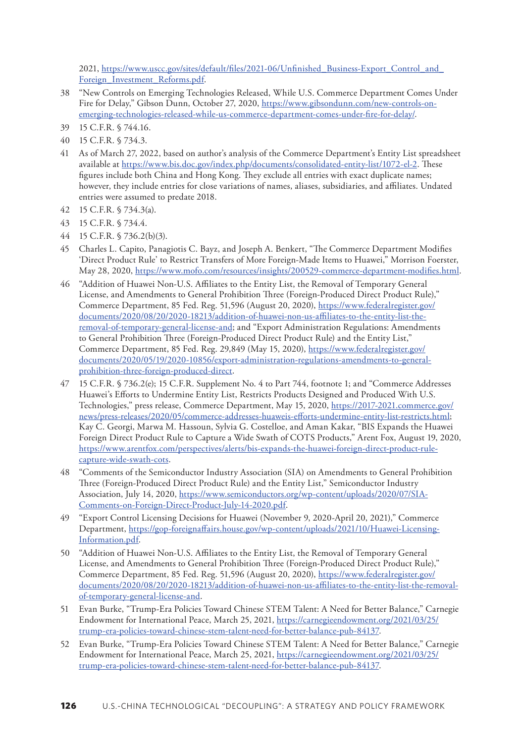<span id="page-28-0"></span>2021, [https://www.uscc.gov/sites/default/files/2021-06/Unfinished\\_Business-Export\\_Control\\_and\\_](https://www.uscc.gov/sites/default/files/2021-06/Unfinished_Business-Export_Control_and_Foreign_Investment_Reforms.pdf) [Foreign\\_Investment\\_Reforms.pdf.](https://www.uscc.gov/sites/default/files/2021-06/Unfinished_Business-Export_Control_and_Foreign_Investment_Reforms.pdf)

- [38](#page-9-0) "New Controls on Emerging Technologies Released, While U.S. Commerce Department Comes Under Fire for Delay," Gibson Dunn, October 27, 2020, [https://www.gibsondunn.com/new-controls-on](https://www.gibsondunn.com/new-controls-on-emerging-technologies-released-while-us-commerce-department-comes-under-fire-for-delay/)[emerging-technologies-released-while-us-commerce-department-comes-under-fire-for-delay/.](https://www.gibsondunn.com/new-controls-on-emerging-technologies-released-while-us-commerce-department-comes-under-fire-for-delay/)
- [39](#page-10-0) 15 C.F.R. § 744.16.
- [40](#page-10-0) 15 C.F.R. § 734.3.
- [41](#page-10-0) As of March 27, 2022, based on author's analysis of the Commerce Department's Entity List spreadsheet available at <https://www.bis.doc.gov/index.php/documents/consolidated-entity-list/1072-el-2>. These figures include both China and Hong Kong. They exclude all entries with exact duplicate names; however, they include entries for close variations of names, aliases, subsidiaries, and affiliates. Undated entries were assumed to predate 2018.
- [42](#page-11-0) 15 C.F.R. § 734.3(a).
- [43](#page-11-0) 15 C.F.R. § 734.4.
- [44](#page-11-0) 15 C.F.R. § 736.2(b)(3).
- [45](#page-11-0) Charles L. Capito, Panagiotis C. Bayz, and Joseph A. Benkert, "The Commerce Department Modifies 'Direct Product Rule' to Restrict Transfers of More Foreign-Made Items to Huawei," Morrison Foerster, May 28, 2020,<https://www.mofo.com/resources/insights/200529-commerce-department-modifies.html>.
- [46](#page-11-0) "Addition of Huawei Non-U.S. Affiliates to the Entity List, the Removal of Temporary General License, and Amendments to General Prohibition Three (Foreign-Produced Direct Product Rule)," Commerce Department, 85 Fed. Reg. 51,596 (August 20, 2020), [https://www.federalregister.gov/](https://www.federalregister.gov/documents/2020/08/20/2020-18213/addition-of-huawei-non-us-affiliates-to-the-entity-list-the-removal-of-temporary-general-license-and) [documents/2020/08/20/2020-18213/addition-of-huawei-non-us-affiliates-to-the-entity-list-the](https://www.federalregister.gov/documents/2020/08/20/2020-18213/addition-of-huawei-non-us-affiliates-to-the-entity-list-the-removal-of-temporary-general-license-and)[removal-of-temporary-general-license-and](https://www.federalregister.gov/documents/2020/08/20/2020-18213/addition-of-huawei-non-us-affiliates-to-the-entity-list-the-removal-of-temporary-general-license-and); and "Export Administration Regulations: Amendments to General Prohibition Three (Foreign-Produced Direct Product Rule) and the Entity List," Commerce Department, 85 Fed. Reg. 29,849 (May 15, 2020), [https://www.federalregister.gov/](https://www.federalregister.gov/documents/2020/05/19/2020-10856/export-administration-regulations-amendments-to-general-prohibition-three-foreign-produced-direct) [documents/2020/05/19/2020-10856/export-administration-regulations-amendments-to-general](https://www.federalregister.gov/documents/2020/05/19/2020-10856/export-administration-regulations-amendments-to-general-prohibition-three-foreign-produced-direct)[prohibition-three-foreign-produced-direct](https://www.federalregister.gov/documents/2020/05/19/2020-10856/export-administration-regulations-amendments-to-general-prohibition-three-foreign-produced-direct).
- [47](#page-11-0) 15 C.F.R. § 736.2(e); 15 C.F.R. Supplement No. 4 to Part 744, footnote 1; and "Commerce Addresses Huawei's Efforts to Undermine Entity List, Restricts Products Designed and Produced With U.S. Technologies," press release, Commerce Department, May 15, 2020, https://2017-2021.[commerce.gov/](https://2017-2021.commerce.gov/news/press-releases/2020/05/commerce-addresses-huaweis-efforts-undermine-entity-list-restricts.html) [news/press-releases/2020/05/commerce-addresses-huaweis-efforts-undermine-entity-list-restricts.html;](https://2017-2021.commerce.gov/news/press-releases/2020/05/commerce-addresses-huaweis-efforts-undermine-entity-list-restricts.html) Kay C. Georgi, Marwa M. Hassoun, Sylvia G. Costelloe, and Aman Kakar, "BIS Expands the Huawei Foreign Direct Product Rule to Capture a Wide Swath of COTS Products," Arent Fox, August 19, 2020, [https://www.arentfox.com/perspectives/alerts/bis-expands-the-huawei-foreign-direct-product-rule](https://www.arentfox.com/perspectives/alerts/bis-expands-the-huawei-foreign-direct-product-rule-capture-wide-swath-cots)[capture-wide-swath-cots](https://www.arentfox.com/perspectives/alerts/bis-expands-the-huawei-foreign-direct-product-rule-capture-wide-swath-cots).
- [48](#page-11-0) "Comments of the Semiconductor Industry Association (SIA) on Amendments to General Prohibition Three (Foreign-Produced Direct Product Rule) and the Entity List," Semiconductor Industry Association, July 14, 2020, [https://www.semiconductors.org/wp-content/uploads/2020/07/SIA-](https://www.semiconductors.org/wp-content/uploads/2020/07/SIA-Comments-on-Foreign-Direct-Product-July-14-2020.pdf)[Comments-on-Foreign-Direct-Product-July-14-2020.pdf.](https://www.semiconductors.org/wp-content/uploads/2020/07/SIA-Comments-on-Foreign-Direct-Product-July-14-2020.pdf)
- [49](#page-11-0) "Export Control Licensing Decisions for Huawei (November 9, 2020-April 20, 2021)," Commerce Department, [https://gop-foreignaffairs.house.gov/wp-content/uploads/2021/10/Huawei-Licensing-](https://gop-foreignaffairs.house.gov/wp-content/uploads/2021/10/Huawei-Licensing-Information.pdf)[Information.pdf](https://gop-foreignaffairs.house.gov/wp-content/uploads/2021/10/Huawei-Licensing-Information.pdf).
- [50](#page-11-0) "Addition of Huawei Non-U.S. Affiliates to the Entity List, the Removal of Temporary General License, and Amendments to General Prohibition Three (Foreign-Produced Direct Product Rule)," Commerce Department, 85 Fed. Reg. 51,596 (August 20, 2020), [https://www.federalregister.gov/](https://www.federalregister.gov/documents/2020/08/20/2020-18213/addition-of-huawei-non-us-affiliates-to-the-entity-list-the-removal-of-temporary-general-license-and) [documents/2020/08/20/2020-18213/addition-of-huawei-non-us-affiliates-to-the-entity-list-the-removal](https://www.federalregister.gov/documents/2020/08/20/2020-18213/addition-of-huawei-non-us-affiliates-to-the-entity-list-the-removal-of-temporary-general-license-and)[of-temporary-general-license-and.](https://www.federalregister.gov/documents/2020/08/20/2020-18213/addition-of-huawei-non-us-affiliates-to-the-entity-list-the-removal-of-temporary-general-license-and)
- [51](#page-11-0) Evan Burke, "Trump-Era Policies Toward Chinese STEM Talent: A Need for Better Balance," Carnegie Endowment for International Peace, March 25, 2021, [https://carnegieendowment.org/2021/03/25/](https://carnegieendowment.org/2021/03/25/trump-era-policies-toward-chinese-stem-talent-need-for-better-balance-pub-84137) [trump-era-policies-toward-chinese-stem-talent-need-for-better-balance-pub-84137](https://carnegieendowment.org/2021/03/25/trump-era-policies-toward-chinese-stem-talent-need-for-better-balance-pub-84137).
- [52](#page-11-0) Evan Burke, "Trump-Era Policies Toward Chinese STEM Talent: A Need for Better Balance," Carnegie Endowment for International Peace, March 25, 2021, [https://carnegieendowment.org/2021/03/25/](https://carnegieendowment.org/2021/03/25/trump-era-policies-toward-chinese-stem-talent-need-for-better-balance-pub-84137) [trump-era-policies-toward-chinese-stem-talent-need-for-better-balance-pub-84137](https://carnegieendowment.org/2021/03/25/trump-era-policies-toward-chinese-stem-talent-need-for-better-balance-pub-84137).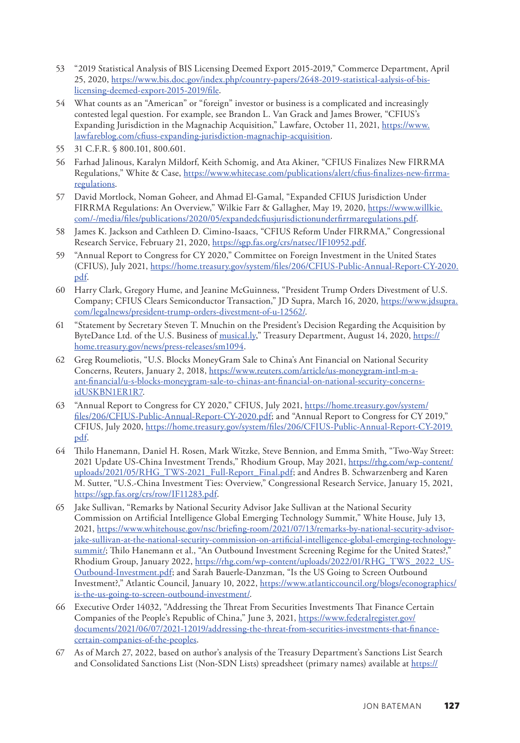- <span id="page-29-0"></span>[53](#page-11-0) "2019 Statistical Analysis of BIS Licensing Deemed Export 2015-2019," Commerce Department, April 25, 2020, [https://www.bis.doc.gov/index.php/country-papers/2648-2019-statistical-aalysis-of-bis](https://www.bis.doc.gov/index.php/country-papers/2648-2019-statistical-aalysis-of-bis-licensing-deemed-export-2015-2019/file)[licensing-deemed-export-2015-2019/file](https://www.bis.doc.gov/index.php/country-papers/2648-2019-statistical-aalysis-of-bis-licensing-deemed-export-2015-2019/file).
- [54](#page-12-0) What counts as an "American" or "foreign" investor or business is a complicated and increasingly contested legal question. For example, see Brandon L. Van Grack and James Brower, "CFIUS's Expanding Jurisdiction in the Magnachip Acquisition," Lawfare, October 11, 2021, [https://www.](https://www.lawfareblog.com/cfiuss-expanding-jurisdiction-magnachip-acquisition) [lawfareblog.com/cfiuss-expanding-jurisdiction-magnachip-acquisition](https://www.lawfareblog.com/cfiuss-expanding-jurisdiction-magnachip-acquisition).
- [55](#page-12-0) 31 C.F.R. § 800.101, 800.601.
- [56](#page-12-0) Farhad Jalinous, Karalyn Mildorf, Keith Schomig, and Ata Akiner, "CFIUS Finalizes New FIRRMA Regulations," White & Case, [https://www.whitecase.com/publications/alert/cfius-finalizes-new-firrma](https://www.whitecase.com/publications/alert/cfius-finalizes-new-firrma-regulations)[regulations](https://www.whitecase.com/publications/alert/cfius-finalizes-new-firrma-regulations).
- [57](#page-12-0) David Mortlock, Noman Goheer, and Ahmad El-Gamal, "Expanded CFIUS Jurisdiction Under FIRRMA Regulations: An Overview," Wilkie Farr & Gallagher, May 19, 2020, [https://www.willkie.](https://www.willkie.com/-/media/files/publications/2020/05/expandedcfiusjurisdictionunderfirrmaregulations.pdf) [com/-/media/files/publications/2020/05/expandedcfiusjurisdictionunderfirrmaregulations.pdf](https://www.willkie.com/-/media/files/publications/2020/05/expandedcfiusjurisdictionunderfirrmaregulations.pdf).
- [58](#page-12-0) James K. Jackson and Cathleen D. Cimino-Isaacs, "CFIUS Reform Under FIRRMA," Congressional Research Service, February 21, 2020, <https://sgp.fas.org/crs/natsec/IF10952.pdf>.
- [59](#page-12-0) "Annual Report to Congress for CY 2020," Committee on Foreign Investment in the United States (CFIUS), July 2021, [https://home.treasury.gov/system/files/206/CFIUS-Public-Annual-Report-CY-2020.](https://home.treasury.gov/system/files/206/CFIUS-Public-Annual-Report-CY-2020.pdf) [pdf](https://home.treasury.gov/system/files/206/CFIUS-Public-Annual-Report-CY-2020.pdf).
- [60](#page-12-0) Harry Clark, Gregory Hume, and Jeanine McGuinness, "President Trump Orders Divestment of U.S. Company; CFIUS Clears Semiconductor Transaction," JD Supra, March 16, 2020, [https://www.jdsupra.](https://www.jdsupra.com/legalnews/president-trump-orders-divestment-of-u-12562/) [com/legalnews/president-trump-orders-divestment-of-u-12562/](https://www.jdsupra.com/legalnews/president-trump-orders-divestment-of-u-12562/).
- [61](#page-12-0) "Statement by Secretary Steven T. Mnuchin on the President's Decision Regarding the Acquisition by ByteDance Ltd. of the U.S. Business of [musical.ly,](http://musical.ly)" Treasury Department, August 14, 2020, [https://](https://home.treasury.gov/news/press-releases/sm1094) [home.treasury.gov/news/press-releases/sm1094](https://home.treasury.gov/news/press-releases/sm1094).
- [62](#page-12-0) Greg Roumeliotis, "U.S. Blocks MoneyGram Sale to China's Ant Financial on National Security Concerns, Reuters, January 2, 2018, [https://www.reuters.com/article/us-moneygram-intl-m-a](https://www.reuters.com/article/us-moneygram-intl-m-a-ant-financial/u-s-blocks-moneygram-sale-to-chinas-ant-financial-on-national-security-concerns-idUSKBN1ER1R7)[ant-financial/u-s-blocks-moneygram-sale-to-chinas-ant-financial-on-national-security-concerns](https://www.reuters.com/article/us-moneygram-intl-m-a-ant-financial/u-s-blocks-moneygram-sale-to-chinas-ant-financial-on-national-security-concerns-idUSKBN1ER1R7)[idUSKBN1ER1R7](https://www.reuters.com/article/us-moneygram-intl-m-a-ant-financial/u-s-blocks-moneygram-sale-to-chinas-ant-financial-on-national-security-concerns-idUSKBN1ER1R7).
- [63](#page-12-0) "Annual Report to Congress for CY 2020," CFIUS, July 2021, [https://home.treasury.gov/system/](https://home.treasury.gov/system/files/206/CFIUS-Public-Annual-Report-CY-2020.pdf) [files/206/CFIUS-Public-Annual-Report-CY-2020.pdf](https://home.treasury.gov/system/files/206/CFIUS-Public-Annual-Report-CY-2020.pdf); and "Annual Report to Congress for CY 2019," CFIUS, July 2020, [https://home.treasury.gov/system/files/206/CFIUS-Public-Annual-Report-CY-2019.](https://home.treasury.gov/system/files/206/CFIUS-Public-Annual-Report-CY-2019.pdf) [pdf](https://home.treasury.gov/system/files/206/CFIUS-Public-Annual-Report-CY-2019.pdf).
- [64](#page-12-0) Thilo Hanemann, Daniel H. Rosen, Mark Witzke, Steve Bennion, and Emma Smith, "Two-Way Street: 2021 Update US-China Investment Trends," Rhodium Group, May 2021, [https://rhg.com/wp-content/](https://rhg.com/wp-content/uploads/2021/05/RHG_TWS-2021_Full-Report_Final.pdf) [uploads/2021/05/RHG\\_TWS-2021\\_Full-Report\\_Final.pdf;](https://rhg.com/wp-content/uploads/2021/05/RHG_TWS-2021_Full-Report_Final.pdf) and Andres B. Schwarzenberg and Karen M. Sutter, "U.S.-China Investment Ties: Overview," Congressional Research Service, January 15, 2021, <https://sgp.fas.org/crs/row/IF11283.pdf>.
- [65](#page-12-0) Jake Sullivan, "Remarks by National Security Advisor Jake Sullivan at the National Security Commission on Artificial Intelligence Global Emerging Technology Summit," White House, July 13, 2021, [https://www.whitehouse.gov/nsc/briefing-room/2021/07/13/remarks-by-national-security-advisor](https://www.whitehouse.gov/nsc/briefing-room/2021/07/13/remarks-by-national-security-advisor-jake-sullivan-at-the-national-security-commission-on-artificial-intelligence-global-emerging-technology-summit/)[jake-sullivan-at-the-national-security-commission-on-artificial-intelligence-global-emerging-technology](https://www.whitehouse.gov/nsc/briefing-room/2021/07/13/remarks-by-national-security-advisor-jake-sullivan-at-the-national-security-commission-on-artificial-intelligence-global-emerging-technology-summit/)[summit/](https://www.whitehouse.gov/nsc/briefing-room/2021/07/13/remarks-by-national-security-advisor-jake-sullivan-at-the-national-security-commission-on-artificial-intelligence-global-emerging-technology-summit/); Thilo Hanemann et al., "An Outbound Investment Screening Regime for the United States?," Rhodium Group, January 2022, [https://rhg.com/wp-content/uploads/2022/01/RHG\\_TWS\\_2022\\_US-](https://rhg.com/wp-content/uploads/2022/01/RHG_TWS_2022_US-Outbound-Investment.pdf)[Outbound-Investment.pdf;](https://rhg.com/wp-content/uploads/2022/01/RHG_TWS_2022_US-Outbound-Investment.pdf) and Sarah Bauerle-Danzman, "Is the US Going to Screen Outbound Investment?," Atlantic Council, January 10, 2022, [https://www.atlanticcouncil.org/blogs/econographics/](https://www.atlanticcouncil.org/blogs/econographics/is-the-us-going-to-screen-outbound-investment/) [is-the-us-going-to-screen-outbound-investment/.](https://www.atlanticcouncil.org/blogs/econographics/is-the-us-going-to-screen-outbound-investment/)
- [66](#page-12-0) Executive Order 14032, "Addressing the Threat From Securities Investments That Finance Certain Companies of the People's Republic of China," June 3, 2021, [https://www.federalregister.gov/](https://www.federalregister.gov/documents/2021/06/07/2021-12019/addressing-the-threat-from-securities-investments-that-finance-certain-companies-of-the-peoples) [documents/2021/06/07/2021-12019/addressing-the-threat-from-securities-investments-that-finance](https://www.federalregister.gov/documents/2021/06/07/2021-12019/addressing-the-threat-from-securities-investments-that-finance-certain-companies-of-the-peoples)[certain-companies-of-the-peoples.](https://www.federalregister.gov/documents/2021/06/07/2021-12019/addressing-the-threat-from-securities-investments-that-finance-certain-companies-of-the-peoples)
- [67](#page-13-0) As of March 27, 2022, based on author's analysis of the Treasury Department's Sanctions List Search and Consolidated Sanctions List (Non-SDN Lists) spreadsheet (primary names) available at [https://](https://sanctionssearch.ofac.treas.gov/)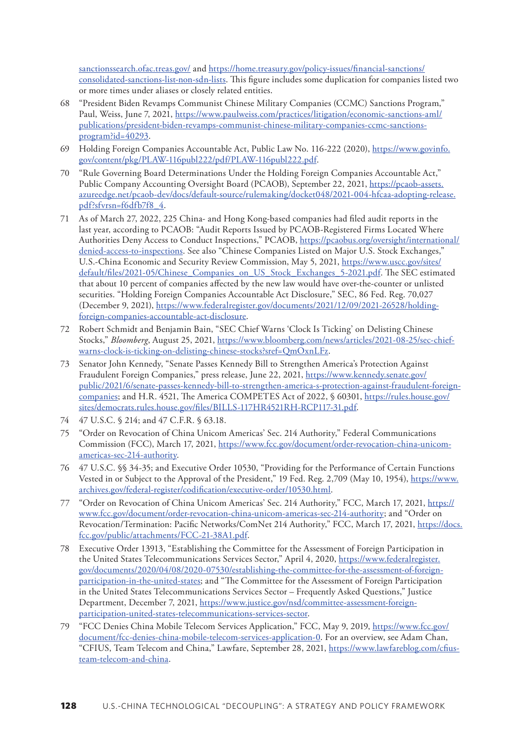<span id="page-30-0"></span>[sanctionssearch.ofac.treas.gov/](https://sanctionssearch.ofac.treas.gov/) and [https://home.treasury.gov/policy-issues/financial-sanctions/](https://home.treasury.gov/policy-issues/financial-sanctions/consolidated-sanctions-list-non-sdn-lists) [consolidated-sanctions-list-non-sdn-lists.](https://home.treasury.gov/policy-issues/financial-sanctions/consolidated-sanctions-list-non-sdn-lists) This figure includes some duplication for companies listed two or more times under aliases or closely related entities.

- [68](#page-13-0) "President Biden Revamps Communist Chinese Military Companies (CCMC) Sanctions Program," Paul, Weiss, June 7, 2021, [https://www.paulweiss.com/practices/litigation/economic-sanctions-aml/](https://www.paulweiss.com/practices/litigation/economic-sanctions-aml/publications/president-biden-revamps-communist-chinese-military-companies-ccmc-sanctions-program?id=40293) [publications/president-biden-revamps-communist-chinese-military-companies-ccmc-sanctions](https://www.paulweiss.com/practices/litigation/economic-sanctions-aml/publications/president-biden-revamps-communist-chinese-military-companies-ccmc-sanctions-program?id=40293)[program?id=40293.](https://www.paulweiss.com/practices/litigation/economic-sanctions-aml/publications/president-biden-revamps-communist-chinese-military-companies-ccmc-sanctions-program?id=40293)
- [69](#page-13-0) Holding Foreign Companies Accountable Act, Public Law No. 116-222 (2020), [https://www.govinfo.](https://www.govinfo.gov/content/pkg/PLAW-116publ222/pdf/PLAW-116publ222.pdf) [gov/content/pkg/PLAW-116publ222/pdf/PLAW-116publ222.pdf.](https://www.govinfo.gov/content/pkg/PLAW-116publ222/pdf/PLAW-116publ222.pdf)
- [70](#page-13-0) "Rule Governing Board Determinations Under the Holding Foreign Companies Accountable Act," Public Company Accounting Oversight Board (PCAOB), September 22, 2021, [https://pcaob-assets.](https://pcaob-assets.azureedge.net/pcaob-dev/docs/default-source/rulemaking/docket048/2021-004-hfcaa-adopting-release.pdf?sfvrsn=f6dfb7f8_4) [azureedge.net/pcaob-dev/docs/default-source/rulemaking/docket048/2021-004-hfcaa-adopting-release.](https://pcaob-assets.azureedge.net/pcaob-dev/docs/default-source/rulemaking/docket048/2021-004-hfcaa-adopting-release.pdf?sfvrsn=f6dfb7f8_4) [pdf?sfvrsn=f6dfb7f8\\_4.](https://pcaob-assets.azureedge.net/pcaob-dev/docs/default-source/rulemaking/docket048/2021-004-hfcaa-adopting-release.pdf?sfvrsn=f6dfb7f8_4)
- [71](#page-14-0) As of March 27, 2022, 225 China- and Hong Kong-based companies had filed audit reports in the last year, according to PCAOB: "Audit Reports Issued by PCAOB-Registered Firms Located Where Authorities Deny Access to Conduct Inspections," PCAOB, [https://pcaobus.org/oversight/international/](https://pcaobus.org/oversight/international/denied-access-to-inspections) [denied-access-to-inspections](https://pcaobus.org/oversight/international/denied-access-to-inspections). See also "Chinese Companies Listed on Major U.S. Stock Exchanges," U.S.-China Economic and Security Review Commission, May 5, 2021, [https://www.uscc.gov/sites/](https://www.uscc.gov/sites/default/files/2021-05/Chinese_Companies_on_US_Stock_Exchanges_5-2021.pdf) [default/files/2021-05/Chinese\\_Companies\\_on\\_US\\_Stock\\_Exchanges\\_5-2021.pdf.](https://www.uscc.gov/sites/default/files/2021-05/Chinese_Companies_on_US_Stock_Exchanges_5-2021.pdf) The SEC estimated that about 10 percent of companies affected by the new law would have over-the-counter or unlisted securities. "Holding Foreign Companies Accountable Act Disclosure," SEC, 86 Fed. Reg. 70,027 (December 9, 2021), [https://www.federalregister.gov/documents/2021/12/09/2021-26528/holding](https://www.federalregister.gov/documents/2021/12/09/2021-26528/holding-foreign-companies-accountable-act-disclosure)[foreign-companies-accountable-act-disclosure.](https://www.federalregister.gov/documents/2021/12/09/2021-26528/holding-foreign-companies-accountable-act-disclosure)
- [72](#page-14-0) Robert Schmidt and Benjamin Bain, "SEC Chief Warns 'Clock Is Ticking' on Delisting Chinese Stocks," *Bloomberg*, August 25, 2021, [https://www.bloomberg.com/news/articles/2021-08-25/sec-chief](https://www.bloomberg.com/news/articles/2021-08-25/sec-chief-warns-clock-is-ticking-on-delisting-chinese-stocks?sref=QmOxnLFz)[warns-clock-is-ticking-on-delisting-chinese-stocks?sref=QmOxnLFz](https://www.bloomberg.com/news/articles/2021-08-25/sec-chief-warns-clock-is-ticking-on-delisting-chinese-stocks?sref=QmOxnLFz).
- [73](#page-14-0) Senator John Kennedy, "Senate Passes Kennedy Bill to Strengthen America's Protection Against Fraudulent Foreign Companies," press release, June 22, 2021, [https://www.kennedy.senate.gov/](https://www.kennedy.senate.gov/public/2021/6/senate-passes-kennedy-bill-to-strengthen-america-s-protection-against-fraudulent-foreign-companies) [public/2021/6/senate-passes-kennedy-bill-to-strengthen-america-s-protection-against-fraudulent-foreign](https://www.kennedy.senate.gov/public/2021/6/senate-passes-kennedy-bill-to-strengthen-america-s-protection-against-fraudulent-foreign-companies)[companies](https://www.kennedy.senate.gov/public/2021/6/senate-passes-kennedy-bill-to-strengthen-america-s-protection-against-fraudulent-foreign-companies); and H.R. 4521, The America COMPETES Act of 2022, § 60301, [https://rules.house.gov/](https://rules.house.gov/sites/democrats.rules.house.gov/files/BILLS-117HR4521RH-RCP117-31.pdf) [sites/democrats.rules.house.gov/files/BILLS-117HR4521RH-RCP117-31.pdf](https://rules.house.gov/sites/democrats.rules.house.gov/files/BILLS-117HR4521RH-RCP117-31.pdf).
- [74](#page-14-0) 47 U.S.C. § 214; and 47 C.F.R. § 63.18.
- [75](#page-14-0) "Order on Revocation of China Unicom Americas' Sec. 214 Authority," Federal Communications Commission (FCC), March 17, 2021, [https://www.fcc.gov/document/order-revocation-china-unicom](https://www.fcc.gov/document/order-revocation-china-unicom-americas-sec-214-authority)[americas-sec-214-authority](https://www.fcc.gov/document/order-revocation-china-unicom-americas-sec-214-authority).
- [76](#page-14-0) 47 U.S.C. §§ 34-35; and Executive Order 10530, "Providing for the Performance of Certain Functions Vested in or Subject to the Approval of the President," 19 Fed. Reg. 2,709 (May 10, 1954), [https://www.](https://www.archives.gov/federal-register/codification/executive-order/10530.html) [archives.gov/federal-register/codification/executive-order/10530.html](https://www.archives.gov/federal-register/codification/executive-order/10530.html).
- [77](#page-14-0) "Order on Revocation of China Unicom Americas' Sec. 214 Authority," FCC, March 17, 2021, [https://](https://www.fcc.gov/document/order-revocation-china-unicom-americas-sec-214-authority) [www.fcc.gov/document/order-revocation-china-unicom-americas-sec-214-authority](https://www.fcc.gov/document/order-revocation-china-unicom-americas-sec-214-authority); and "Order on Revocation/Termination: Pacific Networks/ComNet 214 Authority," FCC, March 17, 2021, [https://docs.](https://docs.fcc.gov/public/attachments/FCC-21-38A1.pdf) [fcc.gov/public/attachments/FCC-21-38A1.pdf.](https://docs.fcc.gov/public/attachments/FCC-21-38A1.pdf)
- [78](#page-14-0) Executive Order 13913, "Establishing the Committee for the Assessment of Foreign Participation in the United States Telecommunications Services Sector," April 4, 2020, [https://www.federalregister.](https://www.federalregister.gov/documents/2020/04/08/2020-07530/establishing-the-committee-for-the-assessment-of-foreign-participation-in-the-united-states) [gov/documents/2020/04/08/2020-07530/establishing-the-committee-for-the-assessment-of-foreign](https://www.federalregister.gov/documents/2020/04/08/2020-07530/establishing-the-committee-for-the-assessment-of-foreign-participation-in-the-united-states)[participation-in-the-united-states](https://www.federalregister.gov/documents/2020/04/08/2020-07530/establishing-the-committee-for-the-assessment-of-foreign-participation-in-the-united-states); and "The Committee for the Assessment of Foreign Participation in the United States Telecommunications Services Sector – Frequently Asked Questions," Justice Department, December 7, 2021, [https://www.justice.gov/nsd/committee-assessment-foreign](https://www.justice.gov/nsd/committee-assessment-foreign-participation-united-states-telecommunications-services-sector)[participation-united-states-telecommunications-services-sector](https://www.justice.gov/nsd/committee-assessment-foreign-participation-united-states-telecommunications-services-sector).
- [79](#page-14-0) "FCC Denies China Mobile Telecom Services Application," FCC, May 9, 2019, [https://www.fcc.gov/](https://www.fcc.gov/document/fcc-denies-china-mobile-telecom-services-application-0) [document/fcc-denies-china-mobile-telecom-services-application-0.](https://www.fcc.gov/document/fcc-denies-china-mobile-telecom-services-application-0) For an overview, see Adam Chan, "CFIUS, Team Telecom and China," Lawfare, September 28, 2021, [https://www.lawfareblog.com/cfius](https://www.lawfareblog.com/cfius-team-telecom-and-china)[team-telecom-and-china](https://www.lawfareblog.com/cfius-team-telecom-and-china).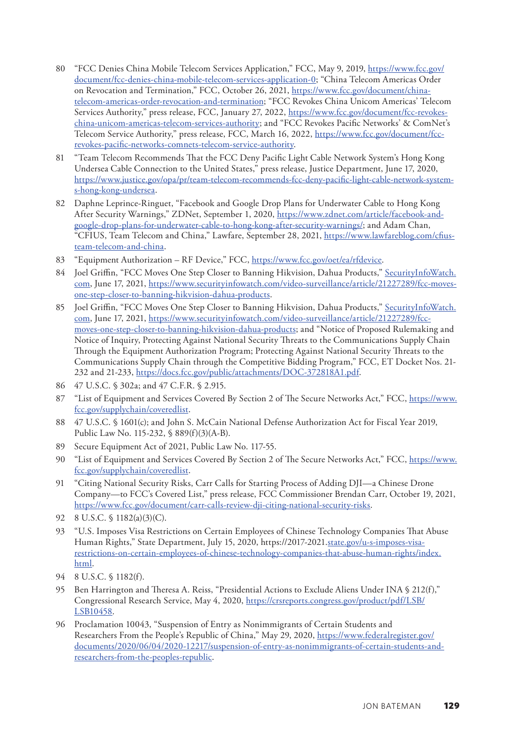- <span id="page-31-0"></span>[80](#page-14-0) "FCC Denies China Mobile Telecom Services Application," FCC, May 9, 2019, [https://www.fcc.gov/](https://www.fcc.gov/document/fcc-denies-china-mobile-telecom-services-application-0) [document/fcc-denies-china-mobile-telecom-services-application-0](https://www.fcc.gov/document/fcc-denies-china-mobile-telecom-services-application-0); "China Telecom Americas Order on Revocation and Termination," FCC, October 26, 2021, [https://www.fcc.gov/document/china](https://www.fcc.gov/document/china-telecom-americas-order-revocation-and-termination)[telecom-americas-order-revocation-and-termination;](https://www.fcc.gov/document/china-telecom-americas-order-revocation-and-termination) "FCC Revokes China Unicom Americas' Telecom Services Authority," press release, FCC, January 27, 2022, [https://www.fcc.gov/document/fcc-revokes](https://www.fcc.gov/document/fcc-revokes-china-unicom-americas-telecom-services-authority)[china-unicom-americas-telecom-services-authority;](https://www.fcc.gov/document/fcc-revokes-china-unicom-americas-telecom-services-authority) and "FCC Revokes Pacific Networks' & ComNet's Telecom Service Authority," press release, FCC, March 16, 2022, [https://www.fcc.gov/document/fcc](https://www.fcc.gov/document/fcc-revokes-pacific-networks-comnets-telecom-service-authority)[revokes-pacific-networks-comnets-telecom-service-authority.](https://www.fcc.gov/document/fcc-revokes-pacific-networks-comnets-telecom-service-authority)
- [81](#page-14-0) "Team Telecom Recommends That the FCC Deny Pacific Light Cable Network System's Hong Kong Undersea Cable Connection to the United States," press release, Justice Department, June 17, 2020, [https://www.justice.gov/opa/pr/team-telecom-recommends-fcc-deny-pacific-light-cable-network-system](https://www.justice.gov/opa/pr/team-telecom-recommends-fcc-deny-pacific-light-cable-network-system-s-hong-kong-undersea)[s-hong-kong-undersea](https://www.justice.gov/opa/pr/team-telecom-recommends-fcc-deny-pacific-light-cable-network-system-s-hong-kong-undersea).
- [82](#page-14-0) Daphne Leprince-Ringuet, "Facebook and Google Drop Plans for Underwater Cable to Hong Kong After Security Warnings," ZDNet, September 1, 2020, [https://www.zdnet.com/article/facebook-and](https://www.zdnet.com/article/facebook-and-google-drop-plans-for-underwater-cable-to-hong-kong-after-security-warnings/)[google-drop-plans-for-underwater-cable-to-hong-kong-after-security-warnings/;](https://www.zdnet.com/article/facebook-and-google-drop-plans-for-underwater-cable-to-hong-kong-after-security-warnings/) and Adam Chan, "CFIUS, Team Telecom and China," Lawfare, September 28, 2021, [https://www.lawfareblog.com/cfius](https://www.lawfareblog.com/cfius-team-telecom-and-china)[team-telecom-and-china.](https://www.lawfareblog.com/cfius-team-telecom-and-china)
- [83](#page-15-0) "Equipment Authorization RF Device," FCC, [https://www.fcc.gov/oet/ea/rfdevice.](https://www.fcc.gov/oet/ea/rfdevice)
- [84](#page-15-0) Joel Griffin, "FCC Moves One Step Closer to Banning Hikvision, Dahua Products," [SecurityInfoWatch.](http://SecurityInfoWatch.com) [com](http://SecurityInfoWatch.com), June 17, 2021, [https://www.securityinfowatch.com/video-surveillance/article/21227289/fcc-moves](https://www.securityinfowatch.com/video-surveillance/article/21227289/fcc-moves-one-step-closer-to-banning-hikvision-dahua-products)[one-step-closer-to-banning-hikvision-dahua-products.](https://www.securityinfowatch.com/video-surveillance/article/21227289/fcc-moves-one-step-closer-to-banning-hikvision-dahua-products)
- [85](#page-15-0) Joel Griffin, "FCC Moves One Step Closer to Banning Hikvision, Dahua Products," [SecurityInfoWatch.](http://SecurityInfoWatch.com) [com](http://SecurityInfoWatch.com), June 17, 2021, [https://www.securityinfowatch.com/video-surveillance/article/21227289/fcc](https://www.securityinfowatch.com/video-surveillance/article/21227289/fcc-moves-one-step-closer-to-banning-hikvision-dahua-products)[moves-one-step-closer-to-banning-hikvision-dahua-products;](https://www.securityinfowatch.com/video-surveillance/article/21227289/fcc-moves-one-step-closer-to-banning-hikvision-dahua-products) and "Notice of Proposed Rulemaking and Notice of Inquiry, Protecting Against National Security Threats to the Communications Supply Chain Through the Equipment Authorization Program; Protecting Against National Security Threats to the Communications Supply Chain through the Competitive Bidding Program," FCC, ET Docket Nos. 21 232 and 21-233, [https://docs.fcc.gov/public/attachments/DOC-372818A1.pdf.](https://docs.fcc.gov/public/attachments/DOC-372818A1.pdf)
- [86](#page-15-0) 47 U.S.C. § 302a; and 47 C.F.R. § 2.915.
- [87](#page-15-0) "List of Equipment and Services Covered By Section 2 of The Secure Networks Act," FCC, [https://www.](https://www.fcc.gov/supplychain/coveredlist) [fcc.gov/supplychain/coveredlist.](https://www.fcc.gov/supplychain/coveredlist)
- [88](#page-15-0) 47 U.S.C. § 1601(c); and John S. McCain National Defense Authorization Act for Fiscal Year 2019, Public Law No. 115-232, § 889(f)(3)(A-B).
- [89](#page-15-0) Secure Equipment Act of 2021, Public Law No. 117-55.
- [90](#page-15-0) "List of Equipment and Services Covered By Section 2 of The Secure Networks Act," FCC, [https://www.](https://www.fcc.gov/supplychain/coveredlist) [fcc.gov/supplychain/coveredlist.](https://www.fcc.gov/supplychain/coveredlist)
- [91](#page-15-0) "Citing National Security Risks, Carr Calls for Starting Process of Adding DJI—a Chinese Drone Company—to FCC's Covered List," press release, FCC Commissioner Brendan Carr, October 19, 2021, [https://www.fcc.gov/document/carr-calls-review-dji-citing-national-security-risks.](https://www.fcc.gov/document/carr-calls-review-dji-citing-national-security-risks)
- [92](#page-16-0) 8 U.S.C. § 1182(a)(3)(C).
- [93](#page-16-0) "U.S. Imposes Visa Restrictions on Certain Employees of Chinese Technology Companies That Abuse Human Rights," State Department, July 15, 2020, https://2017-2021.[state.gov/u-s-imposes-visa](http://state.gov/u-s-imposes-visa-restrictions-on-certain-employees-of-chinese-technology-companies-that-abuse-human-rights/index.html)[restrictions-on-certain-employees-of-chinese-technology-companies-that-abuse-human-rights/index.](http://state.gov/u-s-imposes-visa-restrictions-on-certain-employees-of-chinese-technology-companies-that-abuse-human-rights/index.html) [html](http://state.gov/u-s-imposes-visa-restrictions-on-certain-employees-of-chinese-technology-companies-that-abuse-human-rights/index.html).
- [94](#page-16-0) 8 U.S.C. § 1182(f).
- [95](#page-16-0) Ben Harrington and Theresa A. Reiss, "Presidential Actions to Exclude Aliens Under INA § 212(f)," Congressional Research Service, May 4, 2020, [https://crsreports.congress.gov/product/pdf/LSB/](https://crsreports.congress.gov/product/pdf/LSB/LSB10458) [LSB10458.](https://crsreports.congress.gov/product/pdf/LSB/LSB10458)
- [96](#page-16-0) Proclamation 10043, "Suspension of Entry as Nonimmigrants of Certain Students and Researchers From the People's Republic of China," May 29, 2020, [https://www.federalregister.gov/](https://www.federalregister.gov/documents/2020/06/04/2020-12217/suspension-of-entry-as-nonimmigrants-of-certain-students-and-researchers-from-the-peoples-republic) [documents/2020/06/04/2020-12217/suspension-of-entry-as-nonimmigrants-of-certain-students-and](https://www.federalregister.gov/documents/2020/06/04/2020-12217/suspension-of-entry-as-nonimmigrants-of-certain-students-and-researchers-from-the-peoples-republic)[researchers-from-the-peoples-republic](https://www.federalregister.gov/documents/2020/06/04/2020-12217/suspension-of-entry-as-nonimmigrants-of-certain-students-and-researchers-from-the-peoples-republic).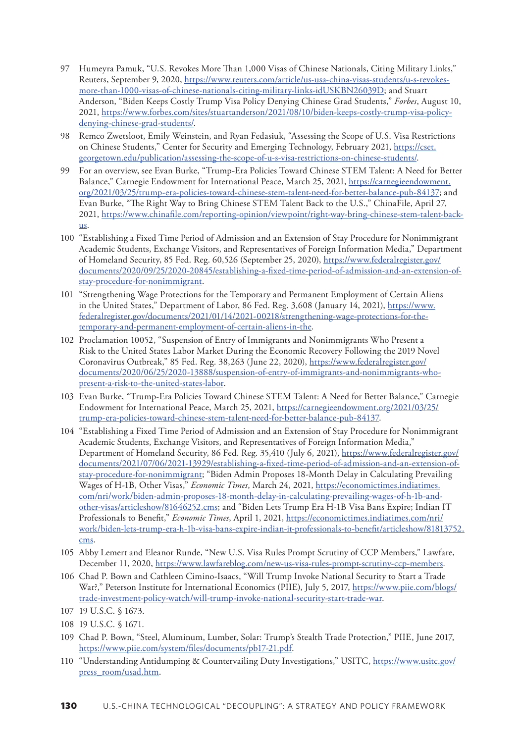- <span id="page-32-0"></span>[97](#page-16-0) Humeyra Pamuk, "U.S. Revokes More Than 1,000 Visas of Chinese Nationals, Citing Military Links," Reuters, September 9, 2020, [https://www.reuters.com/article/us-usa-china-visas-students/u-s-revokes](https://www.reuters.com/article/us-usa-china-visas-students/u-s-revokes-more-than-1000-visas-of-chinese-nationals-citing-military-links-idUSKBN26039D)[more-than-1000-visas-of-chinese-nationals-citing-military-links-idUSKBN26039D](https://www.reuters.com/article/us-usa-china-visas-students/u-s-revokes-more-than-1000-visas-of-chinese-nationals-citing-military-links-idUSKBN26039D); and Stuart Anderson, "Biden Keeps Costly Trump Visa Policy Denying Chinese Grad Students," *Forbes*, August 10, 2021, [https://www.forbes.com/sites/stuartanderson/2021/08/10/biden-keeps-costly-trump-visa-policy](https://www.forbes.com/sites/stuartanderson/2021/08/10/biden-keeps-costly-trump-visa-policy-denying-chinese-grad-students/)[denying-chinese-grad-students/](https://www.forbes.com/sites/stuartanderson/2021/08/10/biden-keeps-costly-trump-visa-policy-denying-chinese-grad-students/).
- [98](#page-16-0) Remco Zwetsloot, Emily Weinstein, and Ryan Fedasiuk, "Assessing the Scope of U.S. Visa Restrictions on Chinese Students," Center for Security and Emerging Technology, February 2021, [https://cset.](https://cset.georgetown.edu/publication/assessing-the-scope-of-u-s-visa-restrictions-on-chinese-students/) [georgetown.edu/publication/assessing-the-scope-of-u-s-visa-restrictions-on-chinese-students/.](https://cset.georgetown.edu/publication/assessing-the-scope-of-u-s-visa-restrictions-on-chinese-students/)
- [99](#page-16-0) For an overview, see Evan Burke, "Trump-Era Policies Toward Chinese STEM Talent: A Need for Better Balance," Carnegie Endowment for International Peace, March 25, 2021, [https://carnegieendowment.](https://carnegieendowment.org/2021/03/25/trump-era-policies-toward-chinese-stem-talent-need-for-better-balance-pub-84137) [org/2021/03/25/trump-era-policies-toward-chinese-stem-talent-need-for-better-balance-pub-84137;](https://carnegieendowment.org/2021/03/25/trump-era-policies-toward-chinese-stem-talent-need-for-better-balance-pub-84137) and Evan Burke, "The Right Way to Bring Chinese STEM Talent Back to the U.S.," ChinaFile, April 27, 2021, [https://www.chinafile.com/reporting-opinion/viewpoint/right-way-bring-chinese-stem-talent-back](https://www.chinafile.com/reporting-opinion/viewpoint/right-way-bring-chinese-stem-talent-back-us)[us](https://www.chinafile.com/reporting-opinion/viewpoint/right-way-bring-chinese-stem-talent-back-us).
- [100](#page-16-0) "Establishing a Fixed Time Period of Admission and an Extension of Stay Procedure for Nonimmigrant Academic Students, Exchange Visitors, and Representatives of Foreign Information Media," Department of Homeland Security, 85 Fed. Reg. 60,526 (September 25, 2020), [https://www.federalregister.gov/](https://www.federalregister.gov/documents/2020/09/25/2020-20845/establishing-a-fixed-time-period-of-admission-and-an-extension-of-stay-procedure-for-nonimmigrant) [documents/2020/09/25/2020-20845/establishing-a-fixed-time-period-of-admission-and-an-extension-of](https://www.federalregister.gov/documents/2020/09/25/2020-20845/establishing-a-fixed-time-period-of-admission-and-an-extension-of-stay-procedure-for-nonimmigrant)[stay-procedure-for-nonimmigrant.](https://www.federalregister.gov/documents/2020/09/25/2020-20845/establishing-a-fixed-time-period-of-admission-and-an-extension-of-stay-procedure-for-nonimmigrant)
- [101](#page-16-0) "Strengthening Wage Protections for the Temporary and Permanent Employment of Certain Aliens in the United States," Department of Labor, 86 Fed. Reg. 3,608 (January 14, 2021), [https://www.](https://www.federalregister.gov/documents/2021/01/14/2021-00218/strengthening-wage-protections-for-the-temporary-and-permanent-employment-of-certain-aliens-in-the) [federalregister.gov/documents/2021/01/14/2021-00218/strengthening-wage-protections-for-the](https://www.federalregister.gov/documents/2021/01/14/2021-00218/strengthening-wage-protections-for-the-temporary-and-permanent-employment-of-certain-aliens-in-the)[temporary-and-permanent-employment-of-certain-aliens-in-the.](https://www.federalregister.gov/documents/2021/01/14/2021-00218/strengthening-wage-protections-for-the-temporary-and-permanent-employment-of-certain-aliens-in-the)
- [102](#page-16-0) Proclamation 10052, "Suspension of Entry of Immigrants and Nonimmigrants Who Present a Risk to the United States Labor Market During the Economic Recovery Following the 2019 Novel Coronavirus Outbreak," 85 Fed. Reg. 38,263 (June 22, 2020), [https://www.federalregister.gov/](https://www.federalregister.gov/documents/2020/06/25/2020-13888/suspension-of-entry-of-immigrants-and-nonimmigrants-who-present-a-risk-to-the-united-states-labor) [documents/2020/06/25/2020-13888/suspension-of-entry-of-immigrants-and-nonimmigrants-who](https://www.federalregister.gov/documents/2020/06/25/2020-13888/suspension-of-entry-of-immigrants-and-nonimmigrants-who-present-a-risk-to-the-united-states-labor)[present-a-risk-to-the-united-states-labor.](https://www.federalregister.gov/documents/2020/06/25/2020-13888/suspension-of-entry-of-immigrants-and-nonimmigrants-who-present-a-risk-to-the-united-states-labor)
- [103](#page-16-0) Evan Burke, "Trump-Era Policies Toward Chinese STEM Talent: A Need for Better Balance," Carnegie Endowment for International Peace, March 25, 2021, [https://carnegieendowment.org/2021/03/25/](https://carnegieendowment.org/2021/03/25/trump-era-policies-toward-chinese-stem-talent-need-for-better-balance-pub-84137) [trump-era-policies-toward-chinese-stem-talent-need-for-better-balance-pub-84137](https://carnegieendowment.org/2021/03/25/trump-era-policies-toward-chinese-stem-talent-need-for-better-balance-pub-84137).
- [104](#page-16-0) "Establishing a Fixed Time Period of Admission and an Extension of Stay Procedure for Nonimmigrant Academic Students, Exchange Visitors, and Representatives of Foreign Information Media," Department of Homeland Security, 86 Fed. Reg. 35,410 (July 6, 2021), [https://www.federalregister.gov/](https://www.federalregister.gov/documents/2021/07/06/2021-13929/establishing-a-fixed-time-period-of-admission-and-an-extension-of-stay-procedure-for-nonimmigrant) [documents/2021/07/06/2021-13929/establishing-a-fixed-time-period-of-admission-and-an-extension-of](https://www.federalregister.gov/documents/2021/07/06/2021-13929/establishing-a-fixed-time-period-of-admission-and-an-extension-of-stay-procedure-for-nonimmigrant)[stay-procedure-for-nonimmigrant;](https://www.federalregister.gov/documents/2021/07/06/2021-13929/establishing-a-fixed-time-period-of-admission-and-an-extension-of-stay-procedure-for-nonimmigrant) "Biden Admin Proposes 18-Month Delay in Calculating Prevailing Wages of H-1B, Other Visas," *Economic Times*, March 24, 2021, [https://economictimes.indiatimes.](https://economictimes.indiatimes.com/nri/work/biden-admin-proposes-18-month-delay-in-calculating-prevailing-wages-of-h-1b-and-other-visas/articleshow/81646252.cms) [com/nri/work/biden-admin-proposes-18-month-delay-in-calculating-prevailing-wages-of-h-1b-and](https://economictimes.indiatimes.com/nri/work/biden-admin-proposes-18-month-delay-in-calculating-prevailing-wages-of-h-1b-and-other-visas/articleshow/81646252.cms)[other-visas/articleshow/81646252.cms;](https://economictimes.indiatimes.com/nri/work/biden-admin-proposes-18-month-delay-in-calculating-prevailing-wages-of-h-1b-and-other-visas/articleshow/81646252.cms) and "Biden Lets Trump Era H-1B Visa Bans Expire; Indian IT Professionals to Benefit," *Economic Times*, April 1, 2021, [https://economictimes.indiatimes.com/nri/](https://economictimes.indiatimes.com/nri/work/biden-lets-trump-era-h-1b-visa-bans-expire-indian-it-professionals-to-benefit/articleshow/81813752.cms) [work/biden-lets-trump-era-h-1b-visa-bans-expire-indian-it-professionals-to-benefit/articleshow/81813752.](https://economictimes.indiatimes.com/nri/work/biden-lets-trump-era-h-1b-visa-bans-expire-indian-it-professionals-to-benefit/articleshow/81813752.cms) [cms](https://economictimes.indiatimes.com/nri/work/biden-lets-trump-era-h-1b-visa-bans-expire-indian-it-professionals-to-benefit/articleshow/81813752.cms).
- [105](#page-16-0) Abby Lemert and Eleanor Runde, "New U.S. Visa Rules Prompt Scrutiny of CCP Members," Lawfare, December 11, 2020, <https://www.lawfareblog.com/new-us-visa-rules-prompt-scrutiny-ccp-members>.
- [106](#page-16-0) Chad P. Bown and Cathleen Cimino-Isaacs, "Will Trump Invoke National Security to Start a Trade War?," Peterson Institute for International Economics (PIIE), July 5, 2017, [https://www.piie.com/blogs/](https://www.piie.com/blogs/trade-investment-policy-watch/will-trump-invoke-national-security-start-trade-war) [trade-investment-policy-watch/will-trump-invoke-national-security-start-trade-war](https://www.piie.com/blogs/trade-investment-policy-watch/will-trump-invoke-national-security-start-trade-war).

- [108](#page-16-0) 19 U.S.C. § 1671.
- [109](#page-16-0) Chad P. Bown, "Steel, Aluminum, Lumber, Solar: Trump's Stealth Trade Protection," PIIE, June 2017, [https://www.piie.com/system/files/documents/pb17-21.pdf.](https://www.piie.com/system/files/documents/pb17-21.pdf)
- [110](#page-17-0) "Understanding Antidumping & Countervailing Duty Investigations," USITC, [https://www.usitc.gov/](https://www.usitc.gov/press_room/usad.htm) [press\\_room/usad.htm](https://www.usitc.gov/press_room/usad.htm).

[<sup>107</sup>](#page-16-0) 19 U.S.C. § 1673.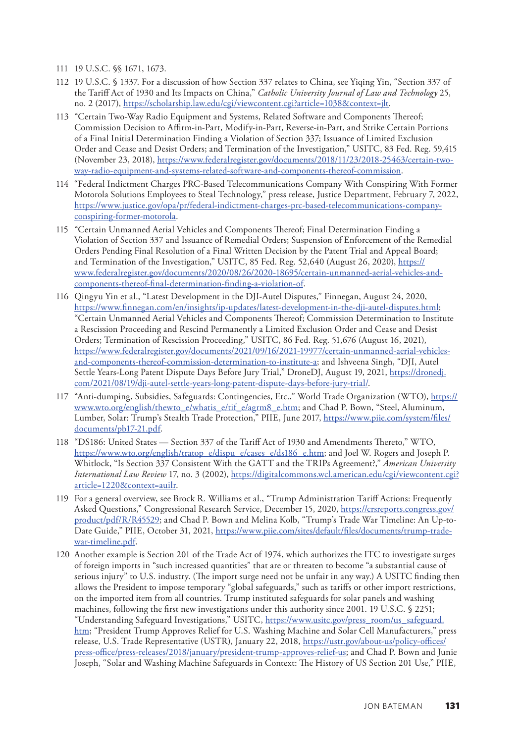- <span id="page-33-0"></span>[111](#page-17-0) 19 U.S.C. §§ 1671, 1673.
- [112](#page-17-0) 19 U.S.C. § 1337. For a discussion of how Section 337 relates to China, see Yiqing Yin, "Section 337 of the Tariff Act of 1930 and Its Impacts on China," *Catholic University Journal of Law and Technology* 25, no. 2 (2017), [https://scholarship.law.edu/cgi/viewcontent.cgi?article=1038&context=jlt.](https://scholarship.law.edu/cgi/viewcontent.cgi?article=1038&context=jlt)
- [113](#page-17-0) "Certain Two-Way Radio Equipment and Systems, Related Software and Components Thereof; Commission Decision to Affirm-in-Part, Modify-in-Part, Reverse-in-Part, and Strike Certain Portions of a Final Initial Determination Finding a Violation of Section 337; Issuance of Limited Exclusion Order and Cease and Desist Orders; and Termination of the Investigation," USITC, 83 Fed. Reg. 59,415 (November 23, 2018), [https://www.federalregister.gov/documents/2018/11/23/2018-25463/certain-two](https://www.federalregister.gov/documents/2018/11/23/2018-25463/certain-two-way-radio-equipment-and-systems-related-software-and-components-thereof-commission)[way-radio-equipment-and-systems-related-software-and-components-thereof-commission.](https://www.federalregister.gov/documents/2018/11/23/2018-25463/certain-two-way-radio-equipment-and-systems-related-software-and-components-thereof-commission)
- [114](#page-17-0) "Federal Indictment Charges PRC-Based Telecommunications Company With Conspiring With Former Motorola Solutions Employees to Steal Technology," press release, Justice Department, February 7, 2022, [https://www.justice.gov/opa/pr/federal-indictment-charges-prc-based-telecommunications-company](https://www.justice.gov/opa/pr/federal-indictment-charges-prc-based-telecommunications-company-conspiring-former-motorola)[conspiring-former-motorola](https://www.justice.gov/opa/pr/federal-indictment-charges-prc-based-telecommunications-company-conspiring-former-motorola).
- [115](#page-17-0) "Certain Unmanned Aerial Vehicles and Components Thereof; Final Determination Finding a Violation of Section 337 and Issuance of Remedial Orders; Suspension of Enforcement of the Remedial Orders Pending Final Resolution of a Final Written Decision by the Patent Trial and Appeal Board; and Termination of the Investigation," USITC, 85 Fed. Reg. 52,640 (August 26, 2020), [https://](https://www.federalregister.gov/documents/2020/08/26/2020-18695/certain-unmanned-aerial-vehicles-and-components-thereof-final-determination-finding-a-violation-of) [www.federalregister.gov/documents/2020/08/26/2020-18695/certain-unmanned-aerial-vehicles-and](https://www.federalregister.gov/documents/2020/08/26/2020-18695/certain-unmanned-aerial-vehicles-and-components-thereof-final-determination-finding-a-violation-of)[components-thereof-final-determination-finding-a-violation-of.](https://www.federalregister.gov/documents/2020/08/26/2020-18695/certain-unmanned-aerial-vehicles-and-components-thereof-final-determination-finding-a-violation-of)
- [116](#page-17-0) Qingyu Yin et al., "Latest Development in the DJI-Autel Disputes," Finnegan, August 24, 2020, <https://www.finnegan.com/en/insights/ip-updates/latest-development-in-the-dji-autel-disputes.html>; "Certain Unmanned Aerial Vehicles and Components Thereof; Commission Determination to Institute a Rescission Proceeding and Rescind Permanently a Limited Exclusion Order and Cease and Desist Orders; Termination of Rescission Proceeding," USITC, 86 Fed. Reg. 51,676 (August 16, 2021), [https://www.federalregister.gov/documents/2021/09/16/2021-19977/certain-unmanned-aerial-vehicles](https://www.federalregister.gov/documents/2021/09/16/2021-19977/certain-unmanned-aerial-vehicles-and-components-thereof-commission-determination-to-institute-a)[and-components-thereof-commission-determination-to-institute-a](https://www.federalregister.gov/documents/2021/09/16/2021-19977/certain-unmanned-aerial-vehicles-and-components-thereof-commission-determination-to-institute-a); and Ishveena Singh, "DJI, Autel Settle Years-Long Patent Dispute Days Before Jury Trial," DroneDJ, August 19, 2021, [https://dronedj.](https://dronedj.com/2021/08/19/dji-autel-settle-years-long-patent-dispute-days-before-jury-trial/) [com/2021/08/19/dji-autel-settle-years-long-patent-dispute-days-before-jury-trial/.](https://dronedj.com/2021/08/19/dji-autel-settle-years-long-patent-dispute-days-before-jury-trial/)
- [117](#page-17-0) "Anti-dumping, Subsidies, Safeguards: Contingencies, Etc.," World Trade Organization (WTO), [https://](https://www.wto.org/english/thewto_e/whatis_e/tif_e/agrm8_e.htm) [www.wto.org/english/thewto\\_e/whatis\\_e/tif\\_e/agrm8\\_e.htm;](https://www.wto.org/english/thewto_e/whatis_e/tif_e/agrm8_e.htm) and Chad P. Bown, "Steel, Aluminum, Lumber, Solar: Trump's Stealth Trade Protection," PIIE, June 2017, [https://www.piie.com/system/files/](https://www.piie.com/system/files/documents/pb17-21.pdf) [documents/pb17-21.pdf](https://www.piie.com/system/files/documents/pb17-21.pdf).
- [118](#page-17-0) "DS186: United States Section 337 of the Tariff Act of 1930 and Amendments Thereto," WTO, [https://www.wto.org/english/tratop\\_e/dispu\\_e/cases\\_e/ds186\\_e.htm](https://www.wto.org/english/tratop_e/dispu_e/cases_e/ds186_e.htm); and Joel W. Rogers and Joseph P. Whitlock, "Is Section 337 Consistent With the GATT and the TRIPs Agreement?," *American University International Law Review* 17, no. 3 (2002), [https://digitalcommons.wcl.american.edu/cgi/viewcontent.cgi?](https://digitalcommons.wcl.american.edu/cgi/viewcontent.cgi?article=1220&context=auilr) [article=1220&context=auilr.](https://digitalcommons.wcl.american.edu/cgi/viewcontent.cgi?article=1220&context=auilr)
- [119](#page-17-0) For a general overview, see Brock R. Williams et al., "Trump Administration Tariff Actions: Frequently Asked Questions," Congressional Research Service, December 15, 2020, [https://crsreports.congress.gov/](https://crsreports.congress.gov/product/pdf/R/R45529) [product/pdf/R/R45529](https://crsreports.congress.gov/product/pdf/R/R45529); and Chad P. Bown and Melina Kolb, "Trump's Trade War Timeline: An Up-toDate Guide," PIIE, October 31, 2021, [https://www.piie.com/sites/default/files/documents/trump-trade](https://www.piie.com/sites/default/files/documents/trump-trade-war-timeline.pdf)[war-timeline.pdf](https://www.piie.com/sites/default/files/documents/trump-trade-war-timeline.pdf).
- [120](#page-17-0) Another example is Section 201 of the Trade Act of 1974, which authorizes the ITC to investigate surges of foreign imports in "such increased quantities" that are or threaten to become "a substantial cause of serious injury" to U.S. industry. (The import surge need not be unfair in any way.) A USITC finding then allows the President to impose temporary "global safeguards," such as tariffs or other import restrictions, on the imported item from all countries. Trump instituted safeguards for solar panels and washing machines, following the first new investigations under this authority since 2001. 19 U.S.C. § 2251; "Understanding Safeguard Investigations," USITC, [https://www.usitc.gov/press\\_room/us\\_safeguard.](https://www.usitc.gov/press_room/us_safeguard.htm) [htm;](https://www.usitc.gov/press_room/us_safeguard.htm) "President Trump Approves Relief for U.S. Washing Machine and Solar Cell Manufacturers," press release, U.S. Trade Representative (USTR), January 22, 2018, [https://ustr.gov/about-us/policy-offices/](https://ustr.gov/about-us/policy-offices/press-office/press-releases/2018/january/president-trump-approves-relief-us) [press-office/press-releases/2018/january/president-trump-approves-relief-us](https://ustr.gov/about-us/policy-offices/press-office/press-releases/2018/january/president-trump-approves-relief-us); and Chad P. Bown and Junie Joseph, "Solar and Washing Machine Safeguards in Context: The History of US Section 201 Use," PIIE,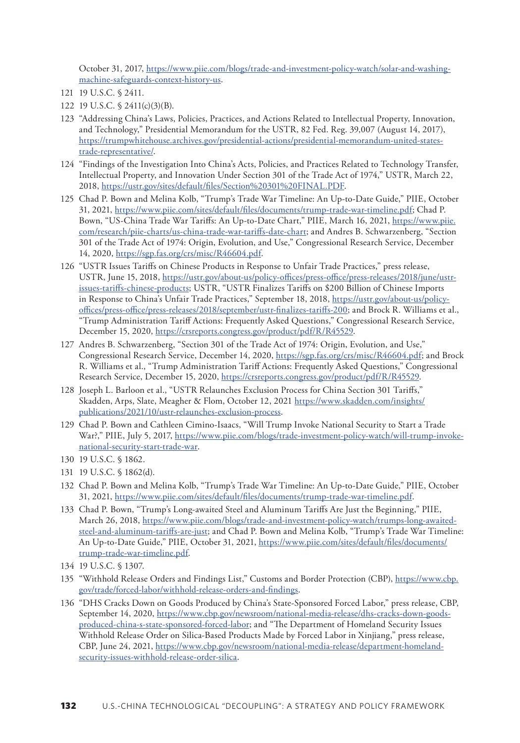<span id="page-34-0"></span>October 31, 2017, [https://www.piie.com/blogs/trade-and-investment-policy-watch/solar-and-washing](https://www.piie.com/blogs/trade-and-investment-policy-watch/solar-and-washing-machine-safeguards-context-history-us)[machine-safeguards-context-history-us](https://www.piie.com/blogs/trade-and-investment-policy-watch/solar-and-washing-machine-safeguards-context-history-us).

- [122](#page-17-0) 19 U.S.C. § 2411(c)(3)(B).
- [123](#page-17-0) "Addressing China's Laws, Policies, Practices, and Actions Related to Intellectual Property, Innovation, and Technology," Presidential Memorandum for the USTR, 82 Fed. Reg. 39,007 (August 14, 2017), [https://trumpwhitehouse.archives.gov/presidential-actions/presidential-memorandum-united-states](https://trumpwhitehouse.archives.gov/presidential-actions/presidential-memorandum-united-states-trade-representative/)[trade-representative/](https://trumpwhitehouse.archives.gov/presidential-actions/presidential-memorandum-united-states-trade-representative/).
- [124](#page-18-0) "Findings of the Investigation Into China's Acts, Policies, and Practices Related to Technology Transfer, Intellectual Property, and Innovation Under Section 301 of the Trade Act of 1974," USTR, March 22, 2018, [https://ustr.gov/sites/default/files/Section%20301%20FINAL.PDF.](https://ustr.gov/sites/default/files/Section%20301%20FINAL.PDF)
- [125](#page-18-0) Chad P. Bown and Melina Kolb, "Trump's Trade War Timeline: An Up-to-Date Guide," PIIE, October 31, 2021, [https://www.piie.com/sites/default/files/documents/trump-trade-war-timeline.pdf;](https://www.piie.com/sites/default/files/documents/trump-trade-war-timeline.pdf) Chad P. Bown, "US-China Trade War Tariffs: An Up-to-Date Chart," PIIE, March 16, 2021, [https://www.piie.](https://www.piie.com/research/piie-charts/us-china-trade-war-tariffs-date-chart) [com/research/piie-charts/us-china-trade-war-tariffs-date-chart;](https://www.piie.com/research/piie-charts/us-china-trade-war-tariffs-date-chart) and Andres B. Schwarzenberg, "Section 301 of the Trade Act of 1974: Origin, Evolution, and Use," Congressional Research Service, December 14, 2020,<https://sgp.fas.org/crs/misc/R46604.pdf>.
- [126](#page-18-0) "USTR Issues Tariffs on Chinese Products in Response to Unfair Trade Practices," press release, USTR, June 15, 2018, [https://ustr.gov/about-us/policy-offices/press-office/press-releases/2018/june/ustr](https://ustr.gov/about-us/policy-offices/press-office/press-releases/2018/june/ustr-issues-tariffs-chinese-products)[issues-tariffs-chinese-products](https://ustr.gov/about-us/policy-offices/press-office/press-releases/2018/june/ustr-issues-tariffs-chinese-products); USTR, "USTR Finalizes Tariffs on \$200 Billion of Chinese Imports in Response to China's Unfair Trade Practices," September 18, 2018, [https://ustr.gov/about-us/policy](https://ustr.gov/about-us/policy-offices/press-office/press-releases/2018/september/ustr-finalizes-tariffs-200)[offices/press-office/press-releases/2018/september/ustr-finalizes-tariffs-200;](https://ustr.gov/about-us/policy-offices/press-office/press-releases/2018/september/ustr-finalizes-tariffs-200) and Brock R. Williams et al., "Trump Administration Tariff Actions: Frequently Asked Questions," Congressional Research Service, December 15, 2020, <https://crsreports.congress.gov/product/pdf/R/R45529>.
- [127](#page-18-0) Andres B. Schwarzenberg, "Section 301 of the Trade Act of 1974: Origin, Evolution, and Use," Congressional Research Service, December 14, 2020,<https://sgp.fas.org/crs/misc/R46604.pdf>; and Brock R. Williams et al., "Trump Administration Tariff Actions: Frequently Asked Questions," Congressional Research Service, December 15, 2020, <https://crsreports.congress.gov/product/pdf/R/R45529>.
- [128](#page-18-0) Joseph L. Barloon et al., "USTR Relaunches Exclusion Process for China Section 301 Tariffs," Skadden, Arps, Slate, Meagher & Flom, October 12, 2021 [https://www.skadden.com/insights/](https://www.skadden.com/insights/publications/2021/10/ustr-relaunches-exclusion-process) [publications/2021/10/ustr-relaunches-exclusion-process](https://www.skadden.com/insights/publications/2021/10/ustr-relaunches-exclusion-process).
- [129](#page-18-0) Chad P. Bown and Cathleen Cimino-Isaacs, "Will Trump Invoke National Security to Start a Trade War?," PIIE, July 5, 2017, [https://www.piie.com/blogs/trade-investment-policy-watch/will-trump-invoke](https://www.piie.com/blogs/trade-investment-policy-watch/will-trump-invoke-national-security-start-trade-war)[national-security-start-trade-war](https://www.piie.com/blogs/trade-investment-policy-watch/will-trump-invoke-national-security-start-trade-war).
- [130](#page-18-0) 19 U.S.C. § 1862.
- [131](#page-18-0) 19 U.S.C. § 1862(d).
- [132](#page-18-0) Chad P. Bown and Melina Kolb, "Trump's Trade War Timeline: An Up-to-Date Guide," PIIE, October 31, 2021,<https://www.piie.com/sites/default/files/documents/trump-trade-war-timeline.pdf>.
- [133](#page-18-0) Chad P. Bown, "Trump's Long-awaited Steel and Aluminum Tariffs Are Just the Beginning," PIIE, March 26, 2018, [https://www.piie.com/blogs/trade-and-investment-policy-watch/trumps-long-awaited](https://www.piie.com/blogs/trade-and-investment-policy-watch/trumps-long-awaited-steel-and-aluminum-tariffs-are-just)[steel-and-aluminum-tariffs-are-just](https://www.piie.com/blogs/trade-and-investment-policy-watch/trumps-long-awaited-steel-and-aluminum-tariffs-are-just); and Chad P. Bown and Melina Kolb, "Trump's Trade War Timeline: An Up-to-Date Guide," PIIE, October 31, 2021, [https://www.piie.com/sites/default/files/documents/](https://www.piie.com/sites/default/files/documents/trump-trade-war-timeline.pdf) [trump-trade-war-timeline.pdf](https://www.piie.com/sites/default/files/documents/trump-trade-war-timeline.pdf).
- [134](#page-18-0) 19 U.S.C. § 1307.
- [135](#page-18-0) "Withhold Release Orders and Findings List," Customs and Border Protection (CBP), [https://www.cbp.](https://www.cbp.gov/trade/forced-labor/withhold-release-orders-and-findings) [gov/trade/forced-labor/withhold-release-orders-and-findings.](https://www.cbp.gov/trade/forced-labor/withhold-release-orders-and-findings)
- [136](#page-18-0) "DHS Cracks Down on Goods Produced by China's State-Sponsored Forced Labor," press release, CBP, September 14, 2020, [https://www.cbp.gov/newsroom/national-media-release/dhs-cracks-down-goods](https://www.cbp.gov/newsroom/national-media-release/dhs-cracks-down-goods-produced-china-s-state-sponsored-forced-labor)[produced-china-s-state-sponsored-forced-labor;](https://www.cbp.gov/newsroom/national-media-release/dhs-cracks-down-goods-produced-china-s-state-sponsored-forced-labor) and "The Department of Homeland Security Issues Withhold Release Order on Silica-Based Products Made by Forced Labor in Xinjiang," press release, CBP, June 24, 2021, [https://www.cbp.gov/newsroom/national-media-release/department-homeland](https://www.cbp.gov/newsroom/national-media-release/department-homeland-security-issues-withhold-release-order-silica)[security-issues-withhold-release-order-silica.](https://www.cbp.gov/newsroom/national-media-release/department-homeland-security-issues-withhold-release-order-silica)

[<sup>121</sup>](#page-17-0) 19 U.S.C. § 2411.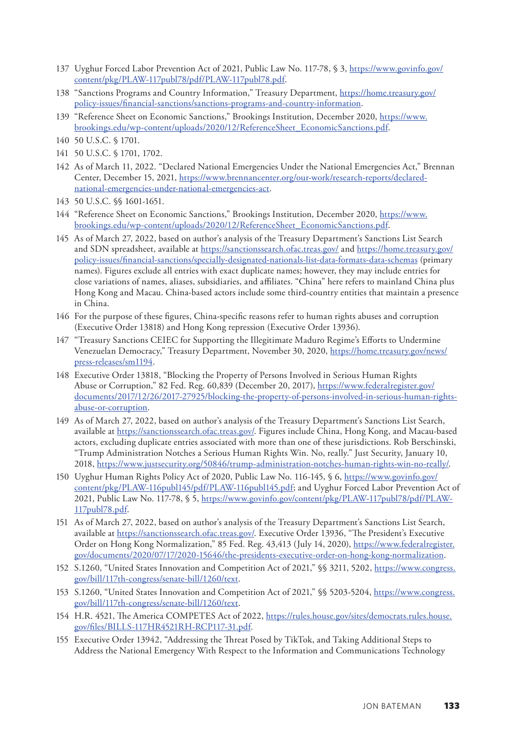- <span id="page-35-0"></span>[137](#page-18-0) Uyghur Forced Labor Prevention Act of 2021, Public Law No. 117-78, § 3, [https://www.govinfo.gov/](https://www.govinfo.gov/content/pkg/PLAW-117publ78/pdf/PLAW-117publ78.pdf) [content/pkg/PLAW-117publ78/pdf/PLAW-117publ78.pdf.](https://www.govinfo.gov/content/pkg/PLAW-117publ78/pdf/PLAW-117publ78.pdf)
- [138](#page-18-0) "Sanctions Programs and Country Information," Treasury Department, [https://home.treasury.gov/](https://home.treasury.gov/policy-issues/financial-sanctions/sanctions-programs-and-country-information) [policy-issues/financial-sanctions/sanctions-programs-and-country-information.](https://home.treasury.gov/policy-issues/financial-sanctions/sanctions-programs-and-country-information)
- [139](#page-18-0) "Reference Sheet on Economic Sanctions," Brookings Institution, December 2020, [https://www.](https://www.brookings.edu/wp-content/uploads/2020/12/ReferenceSheet_EconomicSanctions.pdf) [brookings.edu/wp-content/uploads/2020/12/ReferenceSheet\\_EconomicSanctions.pdf](https://www.brookings.edu/wp-content/uploads/2020/12/ReferenceSheet_EconomicSanctions.pdf).
- [140](#page-18-0) 50 U.S.C. § 1701.
- [141](#page-19-0) 50 U.S.C. § 1701, 1702.
- [142](#page-19-0) As of March 11, 2022. "Declared National Emergencies Under the National Emergencies Act," Brennan Center, December 15, 2021, [https://www.brennancenter.org/our-work/research-reports/declared](https://www.brennancenter.org/our-work/research-reports/declared-national-emergencies-under-national-emergencies-act)[national-emergencies-under-national-emergencies-act](https://www.brennancenter.org/our-work/research-reports/declared-national-emergencies-under-national-emergencies-act).
- [143](#page-19-0) 50 U.S.C. §§ 1601-1651.
- [144](#page-19-0) "Reference Sheet on Economic Sanctions," Brookings Institution, December 2020, [https://www.](https://www.brookings.edu/wp-content/uploads/2020/12/ReferenceSheet_EconomicSanctions.pdf) [brookings.edu/wp-content/uploads/2020/12/ReferenceSheet\\_EconomicSanctions.pdf](https://www.brookings.edu/wp-content/uploads/2020/12/ReferenceSheet_EconomicSanctions.pdf).
- [145](#page-19-0) As of March 27, 2022, based on author's analysis of the Treasury Department's Sanctions List Search and SDN spreadsheet, available at <https://sanctionssearch.ofac.treas.gov/> and [https://home.treasury.gov/](https://home.treasury.gov/policy-issues/financial-sanctions/specially-designated-nationals-list-data-formats-data-schemas) [policy-issues/financial-sanctions/specially-designated-nationals-list-data-formats-data-schemas](https://home.treasury.gov/policy-issues/financial-sanctions/specially-designated-nationals-list-data-formats-data-schemas) (primary names). Figures exclude all entries with exact duplicate names; however, they may include entries for close variations of names, aliases, subsidiaries, and affiliates. "China" here refers to mainland China plus Hong Kong and Macau. China-based actors include some third-country entities that maintain a presence in China.
- [146](#page-19-0) For the purpose of these figures, China-specific reasons refer to human rights abuses and corruption (Executive Order 13818) and Hong Kong repression (Executive Order 13936).
- [147](#page-19-0) "Treasury Sanctions CEIEC for Supporting the Illegitimate Maduro Regime's Efforts to Undermine Venezuelan Democracy," Treasury Department, November 30, 2020, [https://home.treasury.gov/news/](https://home.treasury.gov/news/press-releases/sm1194) [press-releases/sm1194.](https://home.treasury.gov/news/press-releases/sm1194)
- [148](#page-20-0) Executive Order 13818, "Blocking the Property of Persons Involved in Serious Human Rights Abuse or Corruption," 82 Fed. Reg. 60,839 (December 20, 2017), [https://www.federalregister.gov/](https://www.federalregister.gov/documents/2017/12/26/2017-27925/blocking-the-property-of-persons-involved-in-serious-human-rights-abuse-or-corruption) [documents/2017/12/26/2017-27925/blocking-the-property-of-persons-involved-in-serious-human-rights](https://www.federalregister.gov/documents/2017/12/26/2017-27925/blocking-the-property-of-persons-involved-in-serious-human-rights-abuse-or-corruption)[abuse-or-corruption.](https://www.federalregister.gov/documents/2017/12/26/2017-27925/blocking-the-property-of-persons-involved-in-serious-human-rights-abuse-or-corruption)
- [149](#page-20-0) As of March 27, 2022, based on author's analysis of the Treasury Department's Sanctions List Search, available at<https://sanctionssearch.ofac.treas.gov/>. Figures include China, Hong Kong, and Macau-based actors, excluding duplicate entries associated with more than one of these jurisdictions. Rob Berschinski, "Trump Administration Notches a Serious Human Rights Win. No, really." Just Security, January 10, 2018, [https://www.justsecurity.org/50846/trump-administration-notches-human-rights-win-no-really/.](https://www.justsecurity.org/50846/trump-administration-notches-human-rights-win-no-really/)
- [150](#page-20-0) Uyghur Human Rights Policy Act of 2020, Public Law No. 116-145, § 6, [https://www.govinfo.gov/](https://www.govinfo.gov/content/pkg/PLAW-116publ145/pdf/PLAW-116publ145.pdf) [content/pkg/PLAW-116publ145/pdf/PLAW-116publ145.pdf](https://www.govinfo.gov/content/pkg/PLAW-116publ145/pdf/PLAW-116publ145.pdf); and Uyghur Forced Labor Prevention Act of 2021, Public Law No. 117-78, § 5, [https://www.govinfo.gov/content/pkg/PLAW-117publ78/pdf/PLAW-](https://www.govinfo.gov/content/pkg/PLAW-117publ78/pdf/PLAW-117publ78.pdf)[117publ78.pdf](https://www.govinfo.gov/content/pkg/PLAW-117publ78/pdf/PLAW-117publ78.pdf).
- [151](#page-20-0) As of March 27, 2022, based on author's analysis of the Treasury Department's Sanctions List Search, available at<https://sanctionssearch.ofac.treas.gov/>. Executive Order 13936, "The President's Executive Order on Hong Kong Normalization," 85 Fed. Reg. 43,413 (July 14, 2020), [https://www.federalregister.](https://www.federalregister.gov/documents/2020/07/17/2020-15646/the-presidents-executive-order-on-hong-kong-normalization) [gov/documents/2020/07/17/2020-15646/the-presidents-executive-order-on-hong-kong-normalization](https://www.federalregister.gov/documents/2020/07/17/2020-15646/the-presidents-executive-order-on-hong-kong-normalization).
- [152](#page-20-0) S.1260, "United States Innovation and Competition Act of 2021," \$§ 3211, 5202, [https://www.congress.](https://www.congress.gov/bill/117th-congress/senate-bill/1260/text) [gov/bill/117th-congress/senate-bill/1260/text.](https://www.congress.gov/bill/117th-congress/senate-bill/1260/text)
- [153](#page-20-0) S.1260, "United States Innovation and Competition Act of 2021," §§ 5203-5204, [https://www.congress.](https://www.congress.gov/bill/117th-congress/senate-bill/1260/text) [gov/bill/117th-congress/senate-bill/1260/text.](https://www.congress.gov/bill/117th-congress/senate-bill/1260/text)
- [154](#page-20-0) H.R. 4521, The America COMPETES Act of 2022, [https://rules.house.gov/sites/democrats.rules.house.](https://rules.house.gov/sites/democrats.rules.house.gov/files/BILLS-117HR4521RH-RCP117-31.pdf) [gov/files/BILLS-117HR4521RH-RCP117-31.pdf](https://rules.house.gov/sites/democrats.rules.house.gov/files/BILLS-117HR4521RH-RCP117-31.pdf).
- [155](#page-20-0) Executive Order 13942, "Addressing the Threat Posed by TikTok, and Taking Additional Steps to Address the National Emergency With Respect to the Information and Communications Technology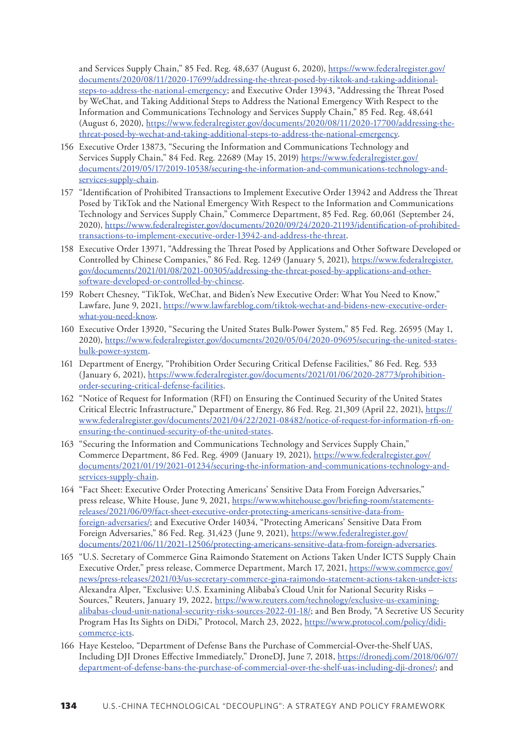<span id="page-36-0"></span>and Services Supply Chain," 85 Fed. Reg. 48,637 (August 6, 2020), [https://www.federalregister.gov/](https://www.federalregister.gov/documents/2020/08/11/2020-17699/addressing-the-threat-posed-by-tiktok-and-taking-additional-steps-to-address-the-national-emergency) [documents/2020/08/11/2020-17699/addressing-the-threat-posed-by-tiktok-and-taking-additional](https://www.federalregister.gov/documents/2020/08/11/2020-17699/addressing-the-threat-posed-by-tiktok-and-taking-additional-steps-to-address-the-national-emergency)[steps-to-address-the-national-emergency;](https://www.federalregister.gov/documents/2020/08/11/2020-17699/addressing-the-threat-posed-by-tiktok-and-taking-additional-steps-to-address-the-national-emergency) and Executive Order 13943, "Addressing the Threat Posed by WeChat, and Taking Additional Steps to Address the National Emergency With Respect to the Information and Communications Technology and Services Supply Chain," 85 Fed. Reg. 48,641 (August 6, 2020), [https://www.federalregister.gov/documents/2020/08/11/2020-17700/addressing-the](https://www.federalregister.gov/documents/2020/08/11/2020-17700/addressing-the-threat-posed-by-wechat-and-taking-additional-steps-to-address-the-national-emergency)[threat-posed-by-wechat-and-taking-additional-steps-to-address-the-national-emergency](https://www.federalregister.gov/documents/2020/08/11/2020-17700/addressing-the-threat-posed-by-wechat-and-taking-additional-steps-to-address-the-national-emergency).

- [156](#page-21-0) Executive Order 13873, "Securing the Information and Communications Technology and Services Supply Chain," 84 Fed. Reg. 22689 (May 15, 2019) [https://www.federalregister.gov/](https://www.federalregister.gov/documents/2019/05/17/2019-10538/securing-the-information-and-communications-technology-and-services-supply-chain) [documents/2019/05/17/2019-10538/securing-the-information-and-communications-technology-and](https://www.federalregister.gov/documents/2019/05/17/2019-10538/securing-the-information-and-communications-technology-and-services-supply-chain)[services-supply-chain.](https://www.federalregister.gov/documents/2019/05/17/2019-10538/securing-the-information-and-communications-technology-and-services-supply-chain)
- [157](#page-21-0) "Identification of Prohibited Transactions to Implement Executive Order 13942 and Address the Threat Posed by TikTok and the National Emergency With Respect to the Information and Communications Technology and Services Supply Chain," Commerce Department, 85 Fed. Reg. 60,061 (September 24, 2020), [https://www.federalregister.gov/documents/2020/09/24/2020-21193/identification-of-prohibited](https://www.federalregister.gov/documents/2020/09/24/2020-21193/identification-of-prohibited-transactions-to-implement-executive-order-13942-and-address-the-threat)[transactions-to-implement-executive-order-13942-and-address-the-threat](https://www.federalregister.gov/documents/2020/09/24/2020-21193/identification-of-prohibited-transactions-to-implement-executive-order-13942-and-address-the-threat).
- [158](#page-21-0) Executive Order 13971, "Addressing the Threat Posed by Applications and Other Software Developed or Controlled by Chinese Companies," 86 Fed. Reg. 1249 (January 5, 2021), [https://www.federalregister.](https://www.federalregister.gov/documents/2021/01/08/2021-00305/addressing-the-threat-posed-by-applications-and-other-software-developed-or-controlled-by-chinese) [gov/documents/2021/01/08/2021-00305/addressing-the-threat-posed-by-applications-and-other](https://www.federalregister.gov/documents/2021/01/08/2021-00305/addressing-the-threat-posed-by-applications-and-other-software-developed-or-controlled-by-chinese)[software-developed-or-controlled-by-chinese.](https://www.federalregister.gov/documents/2021/01/08/2021-00305/addressing-the-threat-posed-by-applications-and-other-software-developed-or-controlled-by-chinese)
- [159](#page-21-0) Robert Chesney, "TikTok, WeChat, and Biden's New Executive Order: What You Need to Know," Lawfare, June 9, 2021, [https://www.lawfareblog.com/tiktok-wechat-and-bidens-new-executive-order](https://www.lawfareblog.com/tiktok-wechat-and-bidens-new-executive-order-what-you-need-know)[what-you-need-know.](https://www.lawfareblog.com/tiktok-wechat-and-bidens-new-executive-order-what-you-need-know)
- [160](#page-21-0) Executive Order 13920, "Securing the United States Bulk-Power System," 85 Fed. Reg. 26595 (May 1, 2020), [https://www.federalregister.gov/documents/2020/05/04/2020-09695/securing-the-united-states](https://www.federalregister.gov/documents/2020/05/04/2020-09695/securing-the-united-states-bulk-power-system)[bulk-power-system](https://www.federalregister.gov/documents/2020/05/04/2020-09695/securing-the-united-states-bulk-power-system).
- [161](#page-21-0) Department of Energy, "Prohibition Order Securing Critical Defense Facilities," 86 Fed. Reg. 533 (January 6, 2021), [https://www.federalregister.gov/documents/2021/01/06/2020-28773/prohibition](https://www.federalregister.gov/documents/2021/01/06/2020-28773/prohibition-order-securing-critical-defense-facilities)[order-securing-critical-defense-facilities](https://www.federalregister.gov/documents/2021/01/06/2020-28773/prohibition-order-securing-critical-defense-facilities).
- [162](#page-21-0) "Notice of Request for Information (RFI) on Ensuring the Continued Security of the United States Critical Electric Infrastructure," Department of Energy, 86 Fed. Reg. 21,309 (April 22, 2021), [https://](https://www.federalregister.gov/documents/2021/04/22/2021-08482/notice-of-request-for-information-rfi-on-ensuring-the-continued-security-of-the-united-states) [www.federalregister.gov/documents/2021/04/22/2021-08482/notice-of-request-for-information-rfi-on](https://www.federalregister.gov/documents/2021/04/22/2021-08482/notice-of-request-for-information-rfi-on-ensuring-the-continued-security-of-the-united-states)[ensuring-the-continued-security-of-the-united-states.](https://www.federalregister.gov/documents/2021/04/22/2021-08482/notice-of-request-for-information-rfi-on-ensuring-the-continued-security-of-the-united-states)
- [163](#page-21-0) "Securing the Information and Communications Technology and Services Supply Chain," Commerce Department, 86 Fed. Reg. 4909 (January 19, 2021), [https://www.federalregister.gov/](https://www.federalregister.gov/documents/2021/01/19/2021-01234/securing-the-information-and-communications-technology-and-services-supply-chain) [documents/2021/01/19/2021-01234/securing-the-information-and-communications-technology-and](https://www.federalregister.gov/documents/2021/01/19/2021-01234/securing-the-information-and-communications-technology-and-services-supply-chain)[services-supply-chain.](https://www.federalregister.gov/documents/2021/01/19/2021-01234/securing-the-information-and-communications-technology-and-services-supply-chain)
- [164](#page-21-0) "Fact Sheet: Executive Order Protecting Americans' Sensitive Data From Foreign Adversaries," press release, White House, June 9, 2021, [https://www.whitehouse.gov/briefing-room/statements](https://www.whitehouse.gov/briefing-room/statements-releases/2021/06/09/fact-sheet-executive-order-protecting-americans-sensitive-data-from-foreign-adversaries/)[releases/2021/06/09/fact-sheet-executive-order-protecting-americans-sensitive-data-from](https://www.whitehouse.gov/briefing-room/statements-releases/2021/06/09/fact-sheet-executive-order-protecting-americans-sensitive-data-from-foreign-adversaries/)[foreign-adversaries/](https://www.whitehouse.gov/briefing-room/statements-releases/2021/06/09/fact-sheet-executive-order-protecting-americans-sensitive-data-from-foreign-adversaries/); and Executive Order 14034, "Protecting Americans' Sensitive Data From Foreign Adversaries," 86 Fed. Reg. 31,423 (June 9, 2021), [https://www.federalregister.gov/](https://www.federalregister.gov/documents/2021/06/11/2021-12506/protecting-americans-sensitive-data-from-foreign-adversaries) [documents/2021/06/11/2021-12506/protecting-americans-sensitive-data-from-foreign-adversaries](https://www.federalregister.gov/documents/2021/06/11/2021-12506/protecting-americans-sensitive-data-from-foreign-adversaries).
- [165](#page-21-0) "U.S. Secretary of Commerce Gina Raimondo Statement on Actions Taken Under ICTS Supply Chain Executive Order," press release, Commerce Department, March 17, 2021, [https://www.commerce.gov/](https://www.commerce.gov/news/press-releases/2021/03/us-secretary-commerce-gina-raimondo-statement-actions-taken-under-icts) [news/press-releases/2021/03/us-secretary-commerce-gina-raimondo-statement-actions-taken-under-icts;](https://www.commerce.gov/news/press-releases/2021/03/us-secretary-commerce-gina-raimondo-statement-actions-taken-under-icts) Alexandra Alper, "Exclusive: U.S. Examining Alibaba's Cloud Unit for National Security Risks – Sources," Reuters, January 19, 2022, [https://www.reuters.com/technology/exclusive-us-examining](https://www.reuters.com/technology/exclusive-us-examining-alibabas-cloud-unit-national-security-risks-sources-2022-01-18/)[alibabas-cloud-unit-national-security-risks-sources-2022-01-18/;](https://www.reuters.com/technology/exclusive-us-examining-alibabas-cloud-unit-national-security-risks-sources-2022-01-18/) and Ben Brody, "A Secretive US Security Program Has Its Sights on DiDi," Protocol, March 23, 2022, [https://www.protocol.com/policy/didi](https://www.protocol.com/policy/didi-commerce-icts)[commerce-icts.](https://www.protocol.com/policy/didi-commerce-icts)
- [166](#page-22-0) Haye Kesteloo, "Department of Defense Bans the Purchase of Commercial-Over-the-Shelf UAS, Including DJI Drones Effective Immediately," DroneDJ, June 7, 2018, [https://dronedj.com/2018/06/07/](https://dronedj.com/2018/06/07/department-of-defense-bans-the-purchase-of-commercial-over-the-shelf-uas-including-dji-drones/) [department-of-defense-bans-the-purchase-of-commercial-over-the-shelf-uas-including-dji-drones/;](https://dronedj.com/2018/06/07/department-of-defense-bans-the-purchase-of-commercial-over-the-shelf-uas-including-dji-drones/) and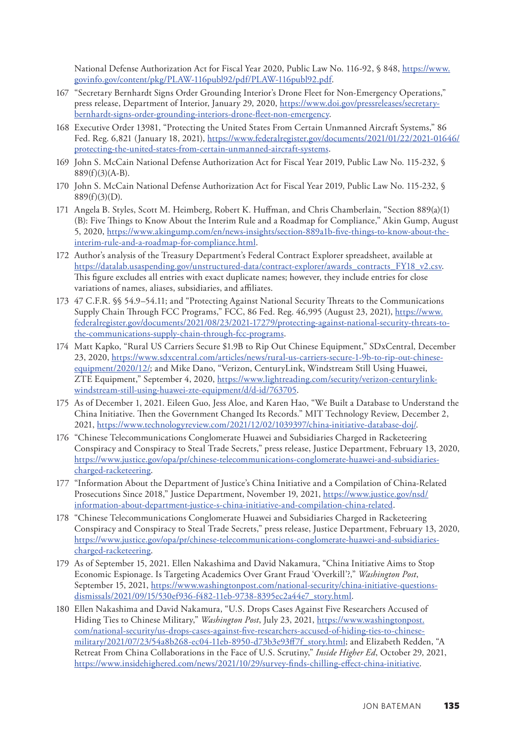<span id="page-37-0"></span>National Defense Authorization Act for Fiscal Year 2020, Public Law No. 116-92, § 848, [https://www.](https://www.govinfo.gov/content/pkg/PLAW-116publ92/pdf/PLAW-116publ92.pdf) [govinfo.gov/content/pkg/PLAW-116publ92/pdf/PLAW-116publ92.pdf](https://www.govinfo.gov/content/pkg/PLAW-116publ92/pdf/PLAW-116publ92.pdf).

- [167](#page-22-0) "Secretary Bernhardt Signs Order Grounding Interior's Drone Fleet for Non-Emergency Operations," press release, Department of Interior, January 29, 2020, [https://www.doi.gov/pressreleases/secretary](https://www.doi.gov/pressreleases/secretary-bernhardt-signs-order-grounding-interiors-drone-fleet-non-emergency)[bernhardt-signs-order-grounding-interiors-drone-fleet-non-emergency.](https://www.doi.gov/pressreleases/secretary-bernhardt-signs-order-grounding-interiors-drone-fleet-non-emergency)
- [168](#page-22-0) Executive Order 13981, "Protecting the United States From Certain Unmanned Aircraft Systems," 86 Fed. Reg. 6,821 (January 18, 2021), [https://www.federalregister.gov/documents/2021/01/22/2021-01646/](https://www.federalregister.gov/documents/2021/01/22/2021-01646/protecting-the-united-states-from-certain-unmanned-aircraft-systems) [protecting-the-united-states-from-certain-unmanned-aircraft-systems](https://www.federalregister.gov/documents/2021/01/22/2021-01646/protecting-the-united-states-from-certain-unmanned-aircraft-systems).
- [169](#page-22-0) John S. McCain National Defense Authorization Act for Fiscal Year 2019, Public Law No. 115-232, § 889(f)(3)(A-B).
- [170](#page-22-0) John S. McCain National Defense Authorization Act for Fiscal Year 2019, Public Law No. 115-232, §  $889(f)(3)(D)$ .
- [171](#page-22-0) Angela B. Styles, Scott M. Heimberg, Robert K. Huffman, and Chris Chamberlain, "Section 889(a)(1) (B): Five Things to Know About the Interim Rule and a Roadmap for Compliance," Akin Gump, August 5, 2020, [https://www.akingump.com/en/news-insights/section-889a1b-five-things-to-know-about-the](https://www.akingump.com/en/news-insights/section-889a1b-five-things-to-know-about-the-interim-rule-and-a-roadmap-for-compliance.html)[interim-rule-and-a-roadmap-for-compliance.html.](https://www.akingump.com/en/news-insights/section-889a1b-five-things-to-know-about-the-interim-rule-and-a-roadmap-for-compliance.html)
- [172](#page-22-0) Author's analysis of the Treasury Department's Federal Contract Explorer spreadsheet, available at [https://datalab.usaspending.gov/unstructured-data/contract-explorer/awards\\_contracts\\_FY18\\_v2.csv](https://datalab.usaspending.gov/unstructured-data/contract-explorer/awards_contracts_FY18_v2.csv). This figure excludes all entries with exact duplicate names; however, they include entries for close variations of names, aliases, subsidiaries, and affiliates.
- [173](#page-22-0) 47 C.F.R. §§ 54.9–54.11; and "Protecting Against National Security Threats to the Communications Supply Chain Through FCC Programs," FCC, 86 Fed. Reg. 46,995 (August 23, 2021), [https://www.](https://www.federalregister.gov/documents/2021/08/23/2021-17279/protecting-against-national-security-threats-to-the-communications-supply-chain-through-fcc-programs) [federalregister.gov/documents/2021/08/23/2021-17279/protecting-against-national-security-threats-to](https://www.federalregister.gov/documents/2021/08/23/2021-17279/protecting-against-national-security-threats-to-the-communications-supply-chain-through-fcc-programs)[the-communications-supply-chain-through-fcc-programs](https://www.federalregister.gov/documents/2021/08/23/2021-17279/protecting-against-national-security-threats-to-the-communications-supply-chain-through-fcc-programs).
- [174](#page-22-0) Matt Kapko, "Rural US Carriers Secure \$1.9B to Rip Out Chinese Equipment," SDxCentral, December 23, 2020, [https://www.sdxcentral.com/articles/news/rural-us-carriers-secure-1-9b-to-rip-out-chinese](https://www.sdxcentral.com/articles/news/rural-us-carriers-secure-1-9b-to-rip-out-chinese-equipment/2020/12/)[equipment/2020/12/](https://www.sdxcentral.com/articles/news/rural-us-carriers-secure-1-9b-to-rip-out-chinese-equipment/2020/12/); and Mike Dano, "Verizon, CenturyLink, Windstream Still Using Huawei, ZTE Equipment," September 4, 2020, [https://www.lightreading.com/security/verizon-centurylink](https://www.lightreading.com/security/verizon-centurylink-windstream-still-using-huawei-zte-equipment/d/d-id/763705)[windstream-still-using-huawei-zte-equipment/d/d-id/763705](https://www.lightreading.com/security/verizon-centurylink-windstream-still-using-huawei-zte-equipment/d/d-id/763705).
- [175](#page-23-0) As of December 1, 2021. Eileen Guo, Jess Aloe, and Karen Hao, "We Built a Database to Understand the China Initiative. Then the Government Changed Its Records." MIT Technology Review, December 2, 2021, <https://www.technologyreview.com/2021/12/02/1039397/china-initiative-database-doj/>.
- [176](#page-23-0) "Chinese Telecommunications Conglomerate Huawei and Subsidiaries Charged in Racketeering Conspiracy and Conspiracy to Steal Trade Secrets," press release, Justice Department, February 13, 2020, [https://www.justice.gov/opa/pr/chinese-telecommunications-conglomerate-huawei-and-subsidiaries](https://www.justice.gov/opa/pr/chinese-telecommunications-conglomerate-huawei-and-subsidiaries-charged-racketeering)[charged-racketeering](https://www.justice.gov/opa/pr/chinese-telecommunications-conglomerate-huawei-and-subsidiaries-charged-racketeering).
- [177](#page-23-0) "Information About the Department of Justice's China Initiative and a Compilation of China-Related Prosecutions Since 2018," Justice Department, November 19, 2021, [https://www.justice.gov/nsd/](https://www.justice.gov/nsd/information-about-department-justice-s-china-initiative-and-compilation-china-related) [information-about-department-justice-s-china-initiative-and-compilation-china-related.](https://www.justice.gov/nsd/information-about-department-justice-s-china-initiative-and-compilation-china-related)
- [178](#page-23-0) "Chinese Telecommunications Conglomerate Huawei and Subsidiaries Charged in Racketeering Conspiracy and Conspiracy to Steal Trade Secrets," press release, Justice Department, February 13, 2020, [https://www.justice.gov/opa/pr/chinese-telecommunications-conglomerate-huawei-and-subsidiaries](https://www.justice.gov/opa/pr/chinese-telecommunications-conglomerate-huawei-and-subsidiaries-charged-racketeering)[charged-racketeering](https://www.justice.gov/opa/pr/chinese-telecommunications-conglomerate-huawei-and-subsidiaries-charged-racketeering).
- [179](#page-23-0) As of September 15, 2021. Ellen Nakashima and David Nakamura, "China Initiative Aims to Stop Economic Espionage. Is Targeting Academics Over Grant Fraud 'Overkill'?," *Washington Post*, September 15, 2021, [https://www.washingtonpost.com/national-security/china-initiative-questions](https://www.washingtonpost.com/national-security/china-initiative-questions-dismissals/2021/09/15/530ef936-f482-11eb-9738-8395ec2a44e7_story.html)[dismissals/2021/09/15/530ef936-f482-11eb-9738-8395ec2a44e7\\_story.html.](https://www.washingtonpost.com/national-security/china-initiative-questions-dismissals/2021/09/15/530ef936-f482-11eb-9738-8395ec2a44e7_story.html)
- [180](#page-23-0) Ellen Nakashima and David Nakamura, "U.S. Drops Cases Against Five Researchers Accused of Hiding Ties to Chinese Military," *Washington Post*, July 23, 2021, [https://www.washingtonpost.](https://www.washingtonpost.com/national-security/us-drops-cases-against-five-researchers-accused-of-hiding-ties-to-chinese-military/2021/07/23/54a8b268-ec04-11eb-8950-d73b3e93ff7f_story.html) [com/national-security/us-drops-cases-against-five-researchers-accused-of-hiding-ties-to-chinese](https://www.washingtonpost.com/national-security/us-drops-cases-against-five-researchers-accused-of-hiding-ties-to-chinese-military/2021/07/23/54a8b268-ec04-11eb-8950-d73b3e93ff7f_story.html)[military/2021/07/23/54a8b268-ec04-11eb-8950-d73b3e93ff7f\\_story.html;](https://www.washingtonpost.com/national-security/us-drops-cases-against-five-researchers-accused-of-hiding-ties-to-chinese-military/2021/07/23/54a8b268-ec04-11eb-8950-d73b3e93ff7f_story.html) and Elizabeth Redden, "A Retreat From China Collaborations in the Face of U.S. Scrutiny," *Inside Higher Ed*, October 29, 2021, <https://www.insidehighered.com/news/2021/10/29/survey-finds-chilling-effect-china-initiative>.